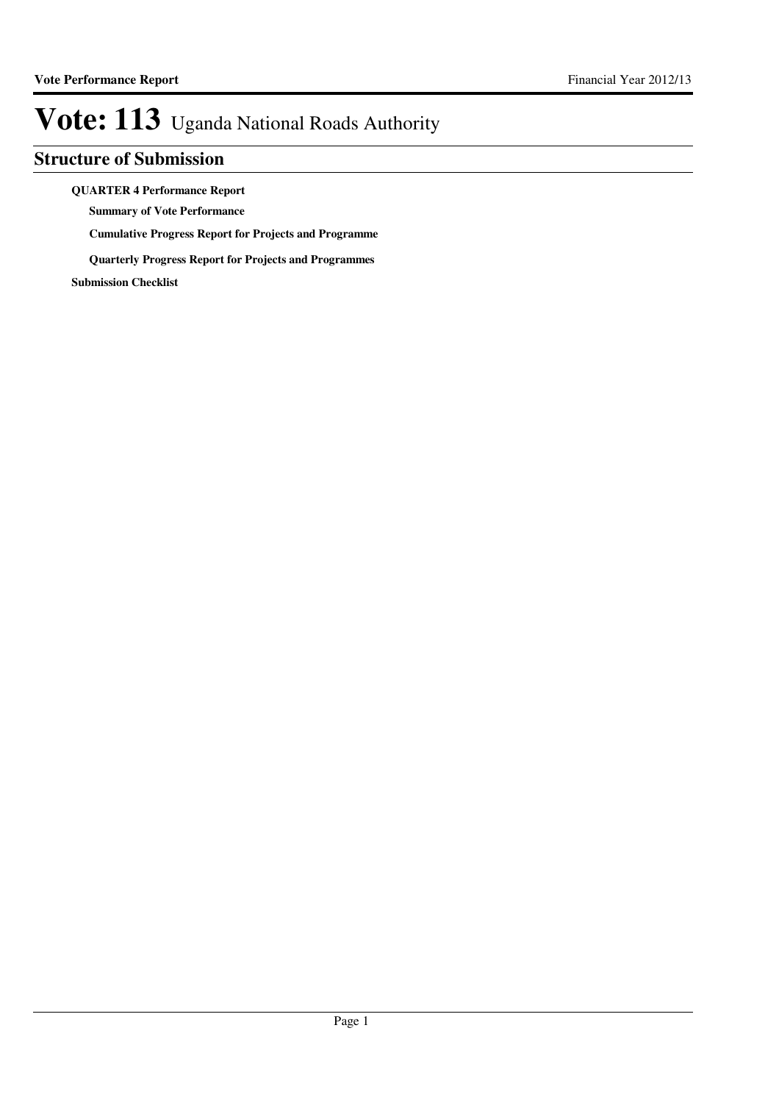### **Structure of Submission**

### **QUARTER 4 Performance Report**

**Summary of Vote Performance**

**Cumulative Progress Report for Projects and Programme**

**Quarterly Progress Report for Projects and Programmes**

**Submission Checklist**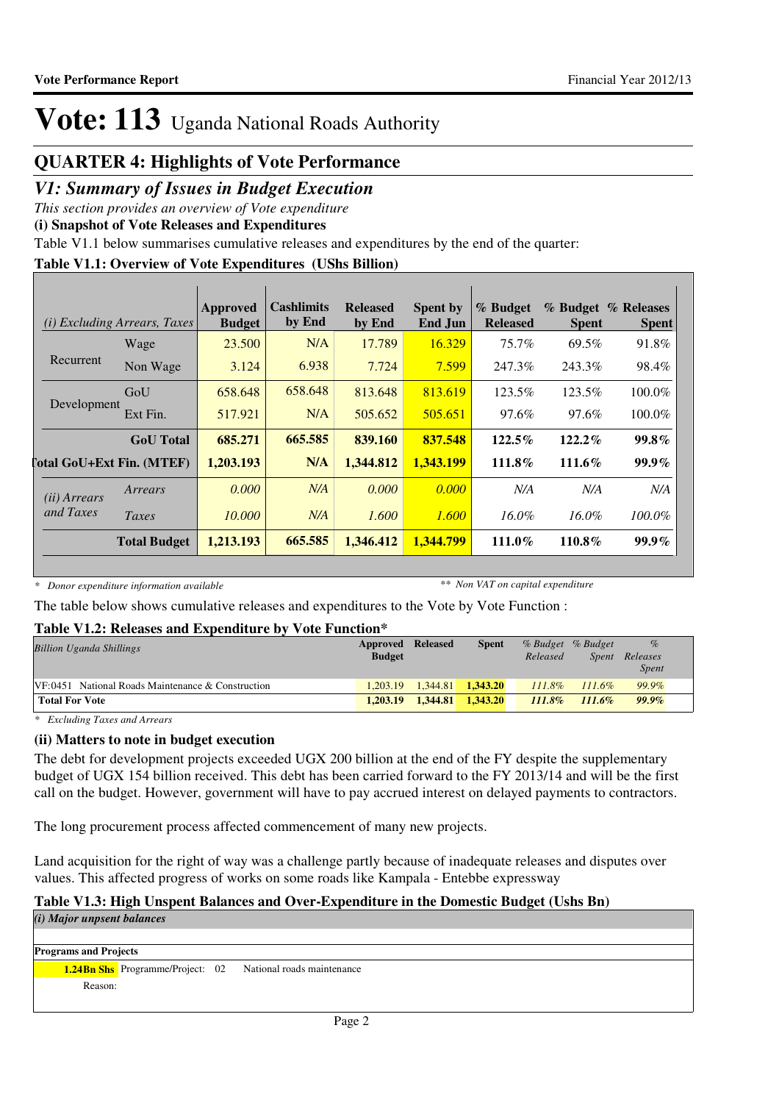### **QUARTER 4: Highlights of Vote Performance**

### *V1: Summary of Issues in Budget Execution*

*This section provides an overview of Vote expenditure*

**(i) Snapshot of Vote Releases and Expenditures**

Table V1.1 below summarises cumulative releases and expenditures by the end of the quarter:

### **Table V1.1: Overview of Vote Expenditures (UShs Billion)**

|                       | <i>(i)</i> Excluding Arrears, Taxes | Approved<br><b>Budget</b> | Cashlimits<br>by End | <b>Released</b><br>by End | <b>Spent by</b><br>End Jun | % Budget<br><b>Released</b> | <b>Spent</b> | % Budget % Releases<br><b>Spent</b> |
|-----------------------|-------------------------------------|---------------------------|----------------------|---------------------------|----------------------------|-----------------------------|--------------|-------------------------------------|
|                       | Wage                                | 23.500                    | N/A                  | 17.789                    | 16.329                     | $75.7\%$                    | 69.5%        | 91.8%                               |
| Recurrent             | Non Wage                            | 3.124                     | 6.938                | 7.724                     | 7.599                      | 247.3%                      | 243.3%       | 98.4%                               |
|                       | GoU                                 | 658.648                   | 658.648              | 813.648                   | 813.619                    | 123.5%                      | 123.5%       | 100.0%                              |
| Development           | Ext Fin.                            | 517.921                   | N/A                  | 505.652                   | 505.651                    | 97.6%                       | 97.6%        | 100.0%                              |
|                       | <b>GoU</b> Total                    | 685.271                   | 665.585              | 839.160                   | 837.548                    | $122.5\%$                   | $122.2\%$    | $99.8\%$                            |
|                       | <b>Total GoU+Ext Fin. (MTEF)</b>    | 1,203.193                 | N/A                  | 1,344.812                 | 1,343.199                  | 111.8%                      | 111.6%       | $99.9\%$                            |
| ( <i>ii</i> ) Arrears | Arrears                             | 0.000                     | N/A                  | 0.000                     | 0.000                      | N/A                         | N/A          | N/A                                 |
| and Taxes             | Taxes                               | 10.000                    | N/A                  | 1.600                     | 1.600                      | $16.0\%$                    | $16.0\%$     | $100.0\%$                           |
|                       | <b>Total Budget</b>                 | 1,213.193                 | 665.585              | 1.346.412                 | 1.344.799                  | 111.0%                      | 110.8%       | $99.9\%$                            |

*\* Donor expenditure information available*

*\*\* Non VAT on capital expenditure*

The table below shows cumulative releases and expenditures to the Vote by Vote Function :

### **Table V1.2: Releases and Expenditure by Vote Function\***

| <b>Billion Uganda Shillings</b>                      | <b>Approved Released</b><br><b>Budget</b> |          | <b>Spent</b>          | % Budget % Budget<br>Released | Spent     | $\%$<br>Releases<br><i>Spent</i> |  |
|------------------------------------------------------|-------------------------------------------|----------|-----------------------|-------------------------------|-----------|----------------------------------|--|
| $VF: 0451$ National Roads Maintenance & Construction | 1.203.19                                  |          | $1,344.81$ $1,343.20$ | $111.8\%$                     | $111.6\%$ | 99.9%                            |  |
| <b>Total For Vote</b>                                | 1.203.19                                  | 1.344.81 | 1.343.20              | 111.8%                        | $111.6\%$ | $99.9\%$                         |  |

*\* Excluding Taxes and Arrears*

### **(ii) Matters to note in budget execution**

The debt for development projects exceeded UGX 200 billion at the end of the FY despite the supplementary budget of UGX 154 billion received. This debt has been carried forward to the FY 2013/14 and will be the first call on the budget. However, government will have to pay accrued interest on delayed payments to contractors.

The long procurement process affected commencement of many new projects.

Land acquisition for the right of way was a challenge partly because of inadequate releases and disputes over values. This affected progress of works on some roads like Kampala - Entebbe expressway

### **Table V1.3: High Unspent Balances and Over-Expenditure in the Domestic Budget (Ushs Bn)**

*(i) Major unpsent balances*

**Programs and Projects**

**1.24Bn Shs** Programme/Project: 02 National roads maintenance Reason: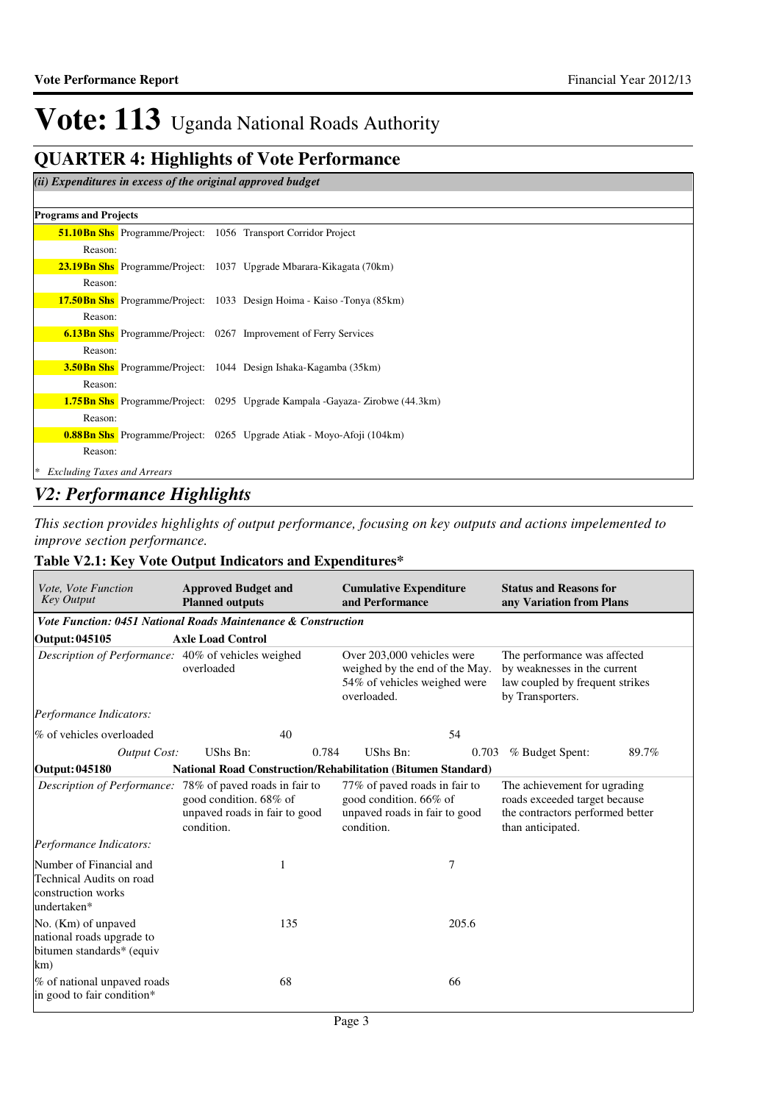### **QUARTER 4: Highlights of Vote Performance**

### *(ii) Expenditures in excess of the original approved budget*

### **Programs and Projects**

|                                         |  | <b>51.10Bn Shs</b> Programme/Project: 1056 Transport Corridor Project               |
|-----------------------------------------|--|-------------------------------------------------------------------------------------|
| Reason:                                 |  |                                                                                     |
|                                         |  | <b>23.19Bn Shs</b> Programme/Project: 1037 Upgrade Mbarara-Kikagata (70km)          |
| Reason:                                 |  |                                                                                     |
|                                         |  | <b>17.50Bn Shs</b> Programme/Project: 1033 Design Hoima - Kaiso - Tonya (85km)      |
| Reason:                                 |  |                                                                                     |
|                                         |  | <b>6.13Bn Shs</b> Programme/Project: 0267 Improvement of Ferry Services             |
| Reason:                                 |  |                                                                                     |
|                                         |  | <b>3.50Bn Shs</b> Programme/Project: 1044 Design Ishaka-Kagamba (35km)              |
| Reason:                                 |  |                                                                                     |
|                                         |  | <b>1.75Bn Shs</b> Programme/Project: 0295 Upgrade Kampala -Gayaza- Zirobwe (44.3km) |
| Reason:                                 |  |                                                                                     |
|                                         |  | <b>0.88Bn Shs</b> Programme/Project: 0265 Upgrade Atiak - Moyo-Afoji (104km)        |
| Reason:                                 |  |                                                                                     |
| <b>Excluding Taxes and Arrears</b><br>∗ |  |                                                                                     |

### *V2: Performance Highlights*

*This section provides highlights of output performance, focusing on key outputs and actions impelemented to improve section performance.*

### **Table V2.1: Key Vote Output Indicators and Expenditures\***

| Vote, Vote Function<br><b>Key Output</b>                                                 | <b>Approved Budget and</b><br><b>Planned outputs</b>                                                                               | <b>Cumulative Expenditure</b><br>and Performance                                                            | <b>Status and Reasons for</b><br>any Variation from Plans                                                              |
|------------------------------------------------------------------------------------------|------------------------------------------------------------------------------------------------------------------------------------|-------------------------------------------------------------------------------------------------------------|------------------------------------------------------------------------------------------------------------------------|
|                                                                                          | <b>Vote Function: 0451 National Roads Maintenance &amp; Construction</b>                                                           |                                                                                                             |                                                                                                                        |
| Output: 045105                                                                           | <b>Axle Load Control</b>                                                                                                           |                                                                                                             |                                                                                                                        |
| Description of Performance: 40% of vehicles weighed                                      | overloaded                                                                                                                         | Over 203,000 vehicles were<br>weighed by the end of the May.<br>54% of vehicles weighed were<br>overloaded. | The performance was affected<br>by weaknesses in the current<br>law coupled by frequent strikes<br>by Transporters.    |
| Performance Indicators:                                                                  |                                                                                                                                    |                                                                                                             |                                                                                                                        |
| % of vehicles overloaded                                                                 | 40                                                                                                                                 | 54                                                                                                          |                                                                                                                        |
| <b>Output Cost:</b>                                                                      | UShs Bn:<br>0.784                                                                                                                  | UShs Bn:<br>0.703                                                                                           | % Budget Spent:<br>89.7%                                                                                               |
| <b>Output: 045180</b>                                                                    | <b>National Road Construction/Rehabilitation (Bitumen Standard)</b>                                                                |                                                                                                             |                                                                                                                        |
|                                                                                          | Description of Performance: 78% of paved roads in fair to<br>good condition. 68% of<br>unpaved roads in fair to good<br>condition. | 77% of paved roads in fair to<br>good condition. 66% of<br>unpaved roads in fair to good<br>condition.      | The achievement for ugrading<br>roads exceeded target because<br>the contractors performed better<br>than anticipated. |
| Performance Indicators:                                                                  |                                                                                                                                    |                                                                                                             |                                                                                                                        |
| Number of Financial and<br>Technical Audits on road<br>construction works<br>undertaken* | 1                                                                                                                                  | 7                                                                                                           |                                                                                                                        |
| No. (Km) of unpaved<br>national roads upgrade to<br>bitumen standards* (equiv<br>km)     | 135                                                                                                                                | 205.6                                                                                                       |                                                                                                                        |
| % of national unpaved roads<br>in good to fair condition*                                | 68                                                                                                                                 | 66                                                                                                          |                                                                                                                        |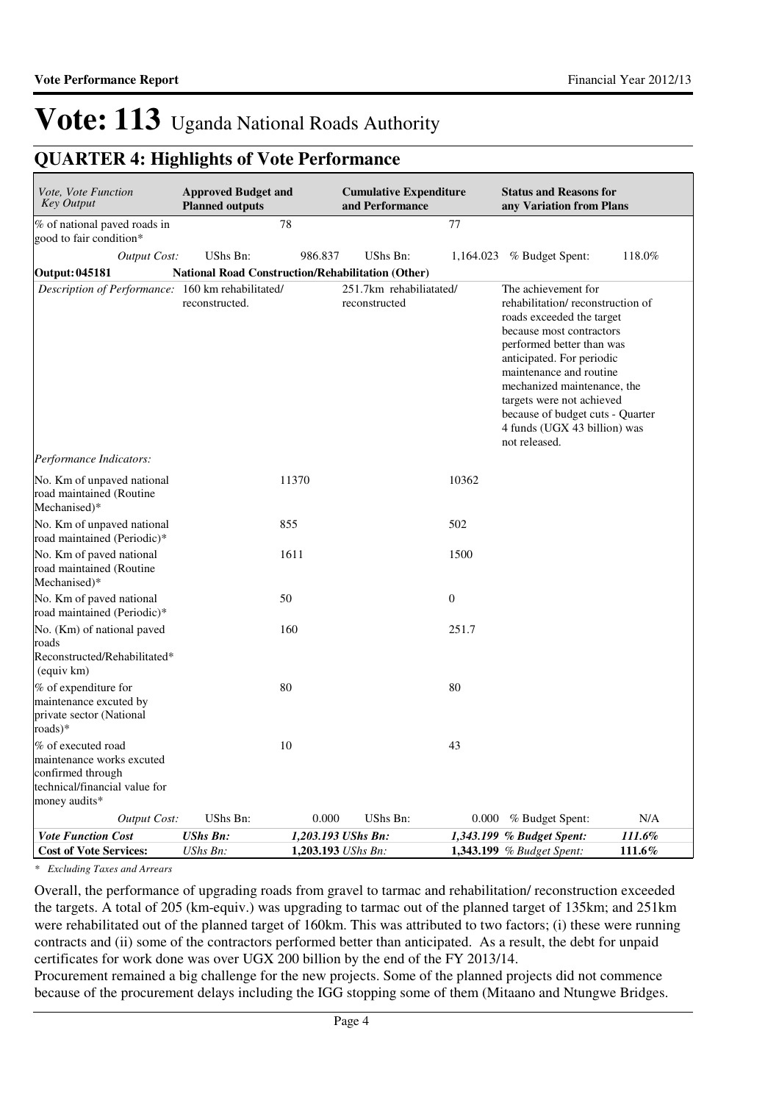## **QUARTER 4: Highlights of Vote Performance**

| Vote, Vote Function<br><b>Key Output</b>                                                                               | <b>Approved Budget and</b><br><b>Planned outputs</b>     |                                          | <b>Cumulative Expenditure</b><br>and Performance |                  | <b>Status and Reasons for</b><br>any Variation from Plans                                                                                                                                                                                                                                                                                              |                  |
|------------------------------------------------------------------------------------------------------------------------|----------------------------------------------------------|------------------------------------------|--------------------------------------------------|------------------|--------------------------------------------------------------------------------------------------------------------------------------------------------------------------------------------------------------------------------------------------------------------------------------------------------------------------------------------------------|------------------|
| % of national paved roads in<br>good to fair condition*                                                                | 78                                                       |                                          |                                                  | 77               |                                                                                                                                                                                                                                                                                                                                                        |                  |
| <b>Output Cost:</b>                                                                                                    | UShs Bn:                                                 | 986.837                                  | UShs Bn:                                         | 1,164.023        | % Budget Spent:                                                                                                                                                                                                                                                                                                                                        | 118.0%           |
| Output: 045181                                                                                                         | <b>National Road Construction/Rehabilitation (Other)</b> |                                          |                                                  |                  |                                                                                                                                                                                                                                                                                                                                                        |                  |
| Description of Performance: 160 km rehabilitated/                                                                      | reconstructed.                                           |                                          | 251.7km rehabiliatated/<br>reconstructed         |                  | The achievement for<br>rehabilitation/reconstruction of<br>roads exceeded the target<br>because most contractors<br>performed better than was<br>anticipated. For periodic<br>maintenance and routine<br>mechanized maintenance, the<br>targets were not achieved<br>because of budget cuts - Quarter<br>4 funds (UGX 43 billion) was<br>not released. |                  |
| Performance Indicators:                                                                                                |                                                          |                                          |                                                  |                  |                                                                                                                                                                                                                                                                                                                                                        |                  |
| No. Km of unpaved national<br>road maintained (Routine<br>Mechanised)*                                                 |                                                          | 11370                                    |                                                  | 10362            |                                                                                                                                                                                                                                                                                                                                                        |                  |
| No. Km of unpaved national<br>road maintained (Periodic)*                                                              | 855                                                      |                                          |                                                  | 502              |                                                                                                                                                                                                                                                                                                                                                        |                  |
| No. Km of paved national<br>road maintained (Routine<br>Mechanised)*                                                   | 1611                                                     |                                          |                                                  | 1500             |                                                                                                                                                                                                                                                                                                                                                        |                  |
| No. Km of paved national<br>road maintained (Periodic)*                                                                | 50                                                       |                                          |                                                  | $\boldsymbol{0}$ |                                                                                                                                                                                                                                                                                                                                                        |                  |
| No. (Km) of national paved<br>roads<br>Reconstructed/Rehabilitated*<br>(equiv km)                                      | 160                                                      |                                          |                                                  | 251.7            |                                                                                                                                                                                                                                                                                                                                                        |                  |
| % of expenditure for<br>maintenance excuted by<br>private sector (National<br>roads)*                                  | 80                                                       |                                          |                                                  | 80               |                                                                                                                                                                                                                                                                                                                                                        |                  |
| % of executed road<br>maintenance works excuted<br>confirmed through<br>technical/financial value for<br>money audits* | 10                                                       |                                          |                                                  | 43               |                                                                                                                                                                                                                                                                                                                                                        |                  |
| Output Cost:                                                                                                           | UShs Bn:                                                 | 0.000                                    | UShs Bn:                                         |                  | $0.000\%$ Budget Spent:                                                                                                                                                                                                                                                                                                                                | N/A              |
| <b>Vote Function Cost</b><br><b>Cost of Vote Services:</b>                                                             | <b>UShs Bn:</b><br>UShs Bn:                              | 1,203.193 UShs Bn:<br>1,203.193 UShs Bn: |                                                  |                  | 1,343.199 % Budget Spent:<br>1,343.199 % Budget Spent:                                                                                                                                                                                                                                                                                                 | 111.6%<br>111.6% |

*\* Excluding Taxes and Arrears*

Overall, the performance of upgrading roads from gravel to tarmac and rehabilitation/ reconstruction exceeded the targets. A total of 205 (km-equiv.) was upgrading to tarmac out of the planned target of 135km; and 251km were rehabilitated out of the planned target of 160km. This was attributed to two factors; (i) these were running contracts and (ii) some of the contractors performed better than anticipated. As a result, the debt for unpaid certificates for work done was over UGX 200 billion by the end of the FY 2013/14.

Procurement remained a big challenge for the new projects. Some of the planned projects did not commence because of the procurement delays including the IGG stopping some of them (Mitaano and Ntungwe Bridges.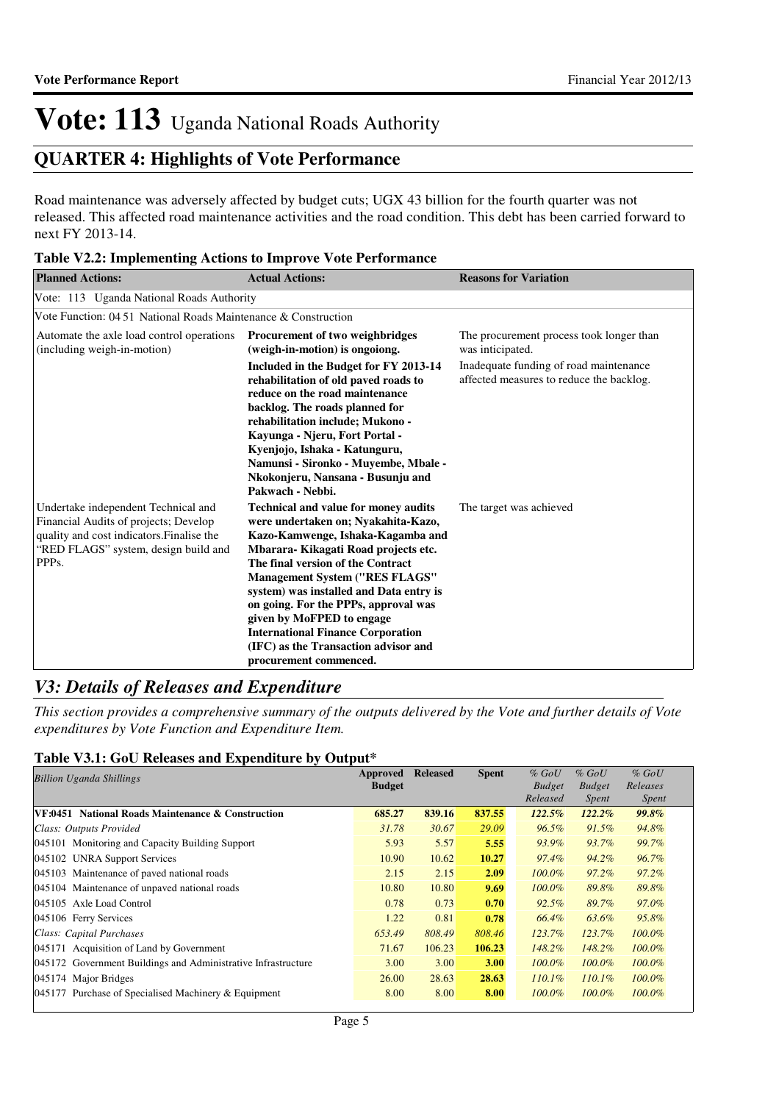## **QUARTER 4: Highlights of Vote Performance**

Road maintenance was adversely affected by budget cuts; UGX 43 billion for the fourth quarter was not released. This affected road maintenance activities and the road condition. This debt has been carried forward to next FY 2013-14.

|  |  | Table V2.2: Implementing Actions to Improve Vote Performance |  |
|--|--|--------------------------------------------------------------|--|
|--|--|--------------------------------------------------------------|--|

| <b>Planned Actions:</b>                                                                                                                                                                 | <b>Actual Actions:</b>                                                                                                                                                                                                                                                                                                                                                                                                                                                     | <b>Reasons for Variation</b>                                                       |
|-----------------------------------------------------------------------------------------------------------------------------------------------------------------------------------------|----------------------------------------------------------------------------------------------------------------------------------------------------------------------------------------------------------------------------------------------------------------------------------------------------------------------------------------------------------------------------------------------------------------------------------------------------------------------------|------------------------------------------------------------------------------------|
| Vote: 113 Uganda National Roads Authority                                                                                                                                               |                                                                                                                                                                                                                                                                                                                                                                                                                                                                            |                                                                                    |
| Vote Function: 04.51 National Roads Maintenance & Construction                                                                                                                          |                                                                                                                                                                                                                                                                                                                                                                                                                                                                            |                                                                                    |
| Automate the axle load control operations<br>(including weigh-in-motion)                                                                                                                | Procurement of two weighbridges<br>(weigh-in-motion) is ongoiong.                                                                                                                                                                                                                                                                                                                                                                                                          | The procurement process took longer than<br>was inticipated.                       |
|                                                                                                                                                                                         | Included in the Budget for FY 2013-14<br>rehabilitation of old paved roads to<br>reduce on the road maintenance<br>backlog. The roads planned for<br>rehabilitation include; Mukono -<br>Kayunga - Njeru, Fort Portal -<br>Kyenjojo, Ishaka - Katunguru,<br>Namunsi - Sironko - Muyembe, Mbale -<br>Nkokonjeru, Nansana - Busunju and<br>Pakwach - Nebbi.                                                                                                                  | Inadequate funding of road maintenance<br>affected measures to reduce the backlog. |
| Undertake independent Technical and<br>Financial Audits of projects; Develop<br>quality and cost indicators. Finalise the<br>"RED FLAGS" system, design build and<br>PPP <sub>s</sub> . | <b>Technical and value for money audits</b><br>were undertaken on; Nyakahita-Kazo,<br>Kazo-Kamwenge, Ishaka-Kagamba and<br>Mbarara-Kikagati Road projects etc.<br>The final version of the Contract<br><b>Management System ("RES FLAGS"</b><br>system) was installed and Data entry is<br>on going. For the PPPs, approval was<br>given by MoFPED to engage<br><b>International Finance Corporation</b><br>(IFC) as the Transaction advisor and<br>procurement commenced. | The target was achieved                                                            |

### *V3: Details of Releases and Expenditure*

*This section provides a comprehensive summary of the outputs delivered by the Vote and further details of Vote expenditures by Vote Function and Expenditure Item.*

### **Table V3.1: GoU Releases and Expenditure by Output\***

| <b>Billion Uganda Shillings</b>                               | Approved      | <b>Released</b> | <b>Spent</b> | $%$ GoU       | $%$ GoU       | $%$ GoU      |
|---------------------------------------------------------------|---------------|-----------------|--------------|---------------|---------------|--------------|
|                                                               | <b>Budget</b> |                 |              | <b>Budget</b> | <b>Budget</b> | Releases     |
|                                                               |               |                 |              | Released      | Spent         | <i>Spent</i> |
| VF:0451 National Roads Maintenance & Construction             | 685.27        | 839.16          | 837.55       | 122.5%        | $122.2\%$     | $99.8\%$     |
| Class: Outputs Provided                                       | 31.78         | 30.67           | 29.09        | $96.5\%$      | $91.5\%$      | 94.8%        |
| 045101 Monitoring and Capacity Building Support               | 5.93          | 5.57            | 5.55         | 93.9%         | 93.7%         | 99.7%        |
| 045102 UNRA Support Services                                  | 10.90         | 10.62           | 10.27        | 97.4%         | 94.2%         | 96.7%        |
| 045103 Maintenance of paved national roads                    | 2.15          | 2.15            | 2.09         | $100.0\%$     | $97.2\%$      | 97.2%        |
| 045104 Maintenance of unpaved national roads                  | 10.80         | 10.80           | 9.69         | $100.0\%$     | 89.8%         | 89.8%        |
| 045105 Axle Load Control                                      | 0.78          | 0.73            | 0.70         | $92.5\%$      | 89.7%         | 97.0%        |
| 045106 Ferry Services                                         | 1.22          | 0.81            | 0.78         | 66.4%         | 63.6%         | 95.8%        |
| Class: Capital Purchases                                      | 653.49        | 808.49          | 808.46       | $123.7\%$     | 123.7%        | $100.0\%$    |
| 045171 Acquisition of Land by Government                      | 71.67         | 106.23          | 106.23       | 148.2%        | 148.2%        | $100.0\%$    |
| 045172 Government Buildings and Administrative Infrastructure | 3.00          | 3.00            | 3.00         | $100.0\%$     | $100.0\%$     | $100.0\%$    |
| 045174 Major Bridges                                          | 26.00         | 28.63           | 28.63        | $110.1\%$     | $110.1\%$     | $100.0\%$    |
| $ 045177 $ Purchase of Specialised Machinery & Equipment      | 8.00          | 8.00            | 8.00         | $100.0\%$     | $100.0\%$     | 100.0%       |
|                                                               |               |                 |              |               |               |              |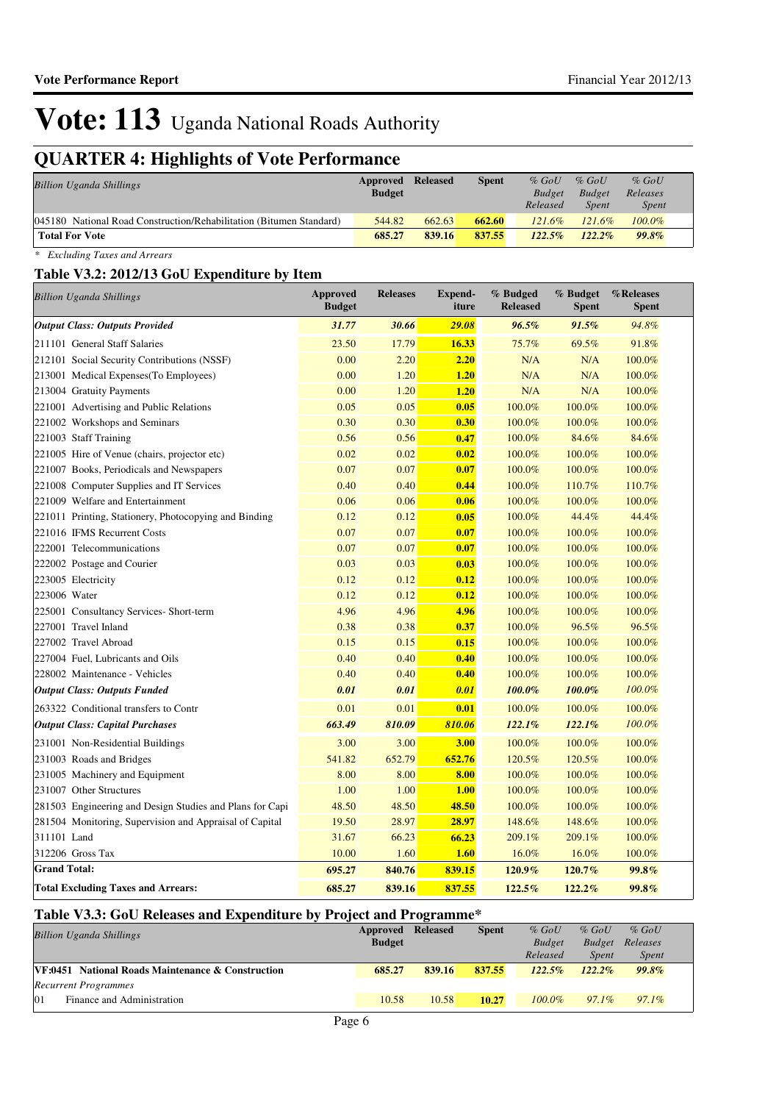## **QUARTER 4: Highlights of Vote Performance**

| <b>Billion Uganda Shillings</b>                                     | <b>Approved Released</b><br><b>Budget</b> |        | <b>Spent</b> | $%$ GoU<br><b>Budget</b><br>Released | $%$ GoU<br><b>Budget</b><br><b>Spent</b> | $%$ GoU<br>Releases<br><i>Spent</i> |  |
|---------------------------------------------------------------------|-------------------------------------------|--------|--------------|--------------------------------------|------------------------------------------|-------------------------------------|--|
| 045180 National Road Construction/Rehabilitation (Bitumen Standard) | 544.82                                    | 662.63 | 662.60       | $121.6\%$                            | $121.6\%$                                | $100.0\%$                           |  |
| <b>Total For Vote</b>                                               | 685.27                                    | 839.16 | 837.55       | $122.5\%$                            | $122.2\%$                                | 99.8%                               |  |

*\* Excluding Taxes and Arrears*

### **Table V3.2: 2012/13 GoU Expenditure by Item**

| <b>Billion Uganda Shillings</b>                          | Approved<br><b>Budget</b> | <b>Releases</b> | <b>Expend-</b><br>iture | % Budged<br><b>Released</b> | % Budget<br><b>Spent</b> | %Releases<br>Spent |
|----------------------------------------------------------|---------------------------|-----------------|-------------------------|-----------------------------|--------------------------|--------------------|
| <b>Output Class: Outputs Provided</b>                    | 31.77                     | 30.66           | 29.08                   | 96.5%                       | 91.5%                    | 94.8%              |
| 211101 General Staff Salaries                            | 23.50                     | 17.79           | 16.33                   | 75.7%                       | 69.5%                    | 91.8%              |
| 212101 Social Security Contributions (NSSF)              | 0.00                      | 2.20            | 2.20                    | N/A                         | N/A                      | 100.0%             |
| 213001 Medical Expenses(To Employees)                    | 0.00                      | 1.20            | 1.20                    | N/A                         | N/A                      | 100.0%             |
| 213004 Gratuity Payments                                 | 0.00                      | 1.20            | 1.20                    | N/A                         | N/A                      | 100.0%             |
| 221001 Advertising and Public Relations                  | 0.05                      | 0.05            | 0.05                    | 100.0%                      | 100.0%                   | 100.0%             |
| 221002 Workshops and Seminars                            | 0.30                      | 0.30            | 0.30                    | 100.0%                      | 100.0%                   | 100.0%             |
| 221003 Staff Training                                    | 0.56                      | 0.56            | 0.47                    | 100.0%                      | 84.6%                    | 84.6%              |
| 221005 Hire of Venue (chairs, projector etc)             | 0.02                      | 0.02            | 0.02                    | 100.0%                      | 100.0%                   | 100.0%             |
| 221007 Books, Periodicals and Newspapers                 | 0.07                      | 0.07            | 0.07                    | 100.0%                      | 100.0%                   | 100.0%             |
| 221008 Computer Supplies and IT Services                 | 0.40                      | 0.40            | 0.44                    | 100.0%                      | 110.7%                   | 110.7%             |
| 221009 Welfare and Entertainment                         | 0.06                      | 0.06            | 0.06                    | 100.0%                      | 100.0%                   | 100.0%             |
| 221011 Printing, Stationery, Photocopying and Binding    | 0.12                      | 0.12            | 0.05                    | 100.0%                      | 44.4%                    | 44.4%              |
| 221016 IFMS Recurrent Costs                              | 0.07                      | 0.07            | 0.07                    | 100.0%                      | 100.0%                   | 100.0%             |
| 222001 Telecommunications                                | 0.07                      | 0.07            | 0.07                    | 100.0%                      | 100.0%                   | 100.0%             |
| 222002 Postage and Courier                               | 0.03                      | 0.03            | 0.03                    | 100.0%                      | 100.0%                   | 100.0%             |
| 223005 Electricity                                       | 0.12                      | 0.12            | 0.12                    | 100.0%                      | 100.0%                   | 100.0%             |
| 223006 Water                                             | 0.12                      | 0.12            | 0.12                    | 100.0%                      | 100.0%                   | 100.0%             |
| 225001 Consultancy Services- Short-term                  | 4.96                      | 4.96            | 4.96                    | 100.0%                      | 100.0%                   | 100.0%             |
| 227001 Travel Inland                                     | 0.38                      | 0.38            | 0.37                    | 100.0%                      | 96.5%                    | 96.5%              |
| 227002 Travel Abroad                                     | 0.15                      | 0.15            | 0.15                    | 100.0%                      | 100.0%                   | 100.0%             |
| 227004 Fuel, Lubricants and Oils                         | 0.40                      | 0.40            | 0.40                    | 100.0%                      | 100.0%                   | 100.0%             |
| 228002 Maintenance - Vehicles                            | 0.40                      | 0.40            | 0.40                    | 100.0%                      | 100.0%                   | 100.0%             |
| <b>Output Class: Outputs Funded</b>                      | 0.01                      | 0.01            | 0.01                    | 100.0%                      | 100.0%                   | 100.0%             |
| 263322 Conditional transfers to Contr                    | 0.01                      | 0.01            | 0.01                    | 100.0%                      | 100.0%                   | 100.0%             |
| <b>Output Class: Capital Purchases</b>                   | 663.49                    | 810.09          | 810.06                  | 122.1%                      | 122.1%                   | 100.0%             |
| 231001 Non-Residential Buildings                         | 3.00                      | 3.00            | 3.00                    | 100.0%                      | 100.0%                   | 100.0%             |
| 231003 Roads and Bridges                                 | 541.82                    | 652.79          | 652.76                  | 120.5%                      | 120.5%                   | 100.0%             |
| 231005 Machinery and Equipment                           | 8.00                      | 8.00            | 8.00                    | 100.0%                      | 100.0%                   | 100.0%             |
| 231007 Other Structures                                  | 1.00                      | 1.00            | <b>1.00</b>             | 100.0%                      | 100.0%                   | 100.0%             |
| 281503 Engineering and Design Studies and Plans for Capi | 48.50                     | 48.50           | 48.50                   | 100.0%                      | 100.0%                   | 100.0%             |
| 281504 Monitoring, Supervision and Appraisal of Capital  | 19.50                     | 28.97           | 28.97                   | 148.6%                      | 148.6%                   | 100.0%             |
| 311101 Land                                              | 31.67                     | 66.23           | 66.23                   | 209.1%                      | 209.1%                   | 100.0%             |
| 312206 Gross Tax                                         | 10.00                     | 1.60            | <b>1.60</b>             | 16.0%                       | $16.0\%$                 | 100.0%             |
| <b>Grand Total:</b>                                      | 695.27                    | 840.76          | 839.15                  | 120.9%                      | 120.7%                   | 99.8%              |
| <b>Total Excluding Taxes and Arrears:</b>                | 685.27                    | 839.16          | 837.55                  | 122.5%                      | 122.2%                   | 99.8%              |

### **Table V3.3: GoU Releases and Expenditure by Project and Programme\***

| <b>Billion Uganda Shillings</b>                          | Approved<br><b>Budget</b> | <b>Released</b> | <b>Spent</b> | $%$ GoU<br><b>Budget</b> | $%$ GoU<br><b>Budget</b> | $%$ GoU<br>Releases |  |
|----------------------------------------------------------|---------------------------|-----------------|--------------|--------------------------|--------------------------|---------------------|--|
|                                                          |                           |                 |              | Released                 | <i>Spent</i>             | <i>Spent</i>        |  |
| <b>VF:0451</b> National Roads Maintenance & Construction | 685.27                    | 839.16          | 837.55       | $122.5\%$                | $122.2\%$                | 99.8%               |  |
| <b>Recurrent Programmes</b>                              |                           |                 |              |                          |                          |                     |  |
| 101<br>Finance and Administration                        | 10.58                     | 10.58           | 10.27        | $100.0\%$                | $97.1\%$                 | $97.1\%$            |  |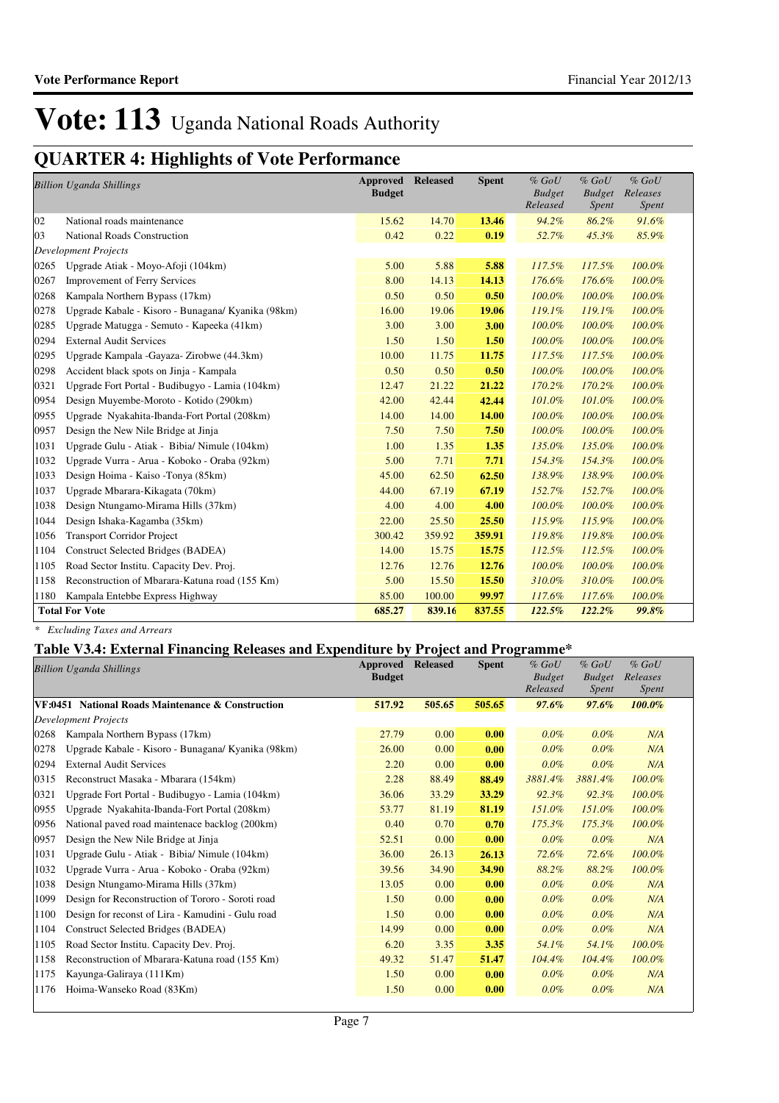## **QUARTER 4: Highlights of Vote Performance**

|      | <b>Billion Uganda Shillings</b>                    | Approved<br><b>Budget</b> | <b>Released</b> | <b>Spent</b> | $%$ $GoU$<br><b>Budget</b><br>Released | $%$ $GoU$<br><b>Budget</b><br>Spent | $%$ $GoU$<br>Releases<br>Spent |
|------|----------------------------------------------------|---------------------------|-----------------|--------------|----------------------------------------|-------------------------------------|--------------------------------|
| 02   | National roads maintenance                         | 15.62                     | 14.70           | 13.46        | 94.2%                                  | 86.2%                               | 91.6%                          |
| 03   | <b>National Roads Construction</b>                 | 0.42                      | 0.22            | 0.19         | 52.7%                                  | 45.3%                               | 85.9%                          |
|      | <b>Development Projects</b>                        |                           |                 |              |                                        |                                     |                                |
| 0265 | Upgrade Atiak - Moyo-Afoji (104km)                 | 5.00                      | 5.88            | 5.88         | 117.5%                                 | 117.5%                              | 100.0%                         |
| 0267 | <b>Improvement of Ferry Services</b>               | 8.00                      | 14.13           | 14.13        | 176.6%                                 | 176.6%                              | 100.0%                         |
| 0268 | Kampala Northern Bypass (17km)                     | 0.50                      | 0.50            | 0.50         | 100.0%                                 | 100.0%                              | 100.0%                         |
| 0278 | Upgrade Kabale - Kisoro - Bunagana/ Kyanika (98km) | 16.00                     | 19.06           | 19.06        | 119.1%                                 | 119.1%                              | 100.0%                         |
| 0285 | Upgrade Matugga - Semuto - Kapeeka (41km)          | 3.00                      | 3.00            | 3.00         | $100.0\%$                              | 100.0%                              | 100.0%                         |
| 0294 | <b>External Audit Services</b>                     | 1.50                      | 1.50            | 1.50         | $100.0\%$                              | 100.0%                              | 100.0%                         |
| 0295 | Upgrade Kampala -Gayaza- Zirobwe (44.3km)          | 10.00                     | 11.75           | 11.75        | 117.5%                                 | 117.5%                              | 100.0%                         |
| 0298 | Accident black spots on Jinja - Kampala            | 0.50                      | 0.50            | 0.50         | 100.0%                                 | 100.0%                              | 100.0%                         |
| 0321 | Upgrade Fort Portal - Budibugyo - Lamia (104km)    | 12.47                     | 21.22           | 21.22        | 170.2%                                 | 170.2%                              | 100.0%                         |
| 0954 | Design Muyembe-Moroto - Kotido (290km)             | 42.00                     | 42.44           | 42.44        | 101.0%                                 | 101.0%                              | 100.0%                         |
| 0955 | Upgrade Nyakahita-Ibanda-Fort Portal (208km)       | 14.00                     | 14.00           | 14.00        | 100.0%                                 | 100.0%                              | 100.0%                         |
| 0957 | Design the New Nile Bridge at Jinja                | 7.50                      | 7.50            | 7.50         | 100.0%                                 | 100.0%                              | 100.0%                         |
| 1031 | Upgrade Gulu - Atiak - Bibia/ Nimule (104km)       | 1.00                      | 1.35            | 1.35         | 135.0%                                 | 135.0%                              | 100.0%                         |
| 1032 | Upgrade Vurra - Arua - Koboko - Oraba (92km)       | 5.00                      | 7.71            | 7.71         | 154.3%                                 | 154.3%                              | 100.0%                         |
| 1033 | Design Hoima - Kaiso -Tonya (85km)                 | 45.00                     | 62.50           | 62.50        | 138.9%                                 | 138.9%                              | 100.0%                         |
| 1037 | Upgrade Mbarara-Kikagata (70km)                    | 44.00                     | 67.19           | 67.19        | 152.7%                                 | 152.7%                              | 100.0%                         |
| 1038 | Design Ntungamo-Mirama Hills (37km)                | 4.00                      | 4.00            | 4.00         | 100.0%                                 | 100.0%                              | 100.0%                         |
| 1044 | Design Ishaka-Kagamba (35km)                       | 22.00                     | 25.50           | 25.50        | 115.9%                                 | 115.9%                              | 100.0%                         |
| 1056 | <b>Transport Corridor Project</b>                  | 300.42                    | 359.92          | 359.91       | 119.8%                                 | 119.8%                              | 100.0%                         |
| 1104 | Construct Selected Bridges (BADEA)                 | 14.00                     | 15.75           | 15.75        | 112.5%                                 | 112.5%                              | 100.0%                         |
| 1105 | Road Sector Institu. Capacity Dev. Proj.           | 12.76                     | 12.76           | 12.76        | 100.0%                                 | 100.0%                              | 100.0%                         |
| 1158 | Reconstruction of Mbarara-Katuna road (155 Km)     | 5.00                      | 15.50           | 15.50        | 310.0%                                 | 310.0%                              | 100.0%                         |
| 1180 | Kampala Entebbe Express Highway                    | 85.00                     | 100.00          | 99.97        | 117.6%                                 | 117.6%                              | 100.0%                         |
|      | <b>Total For Vote</b>                              | 685.27                    | 839.16          | 837.55       | 122.5%                                 | 122.2%                              | 99.8%                          |

*\* Excluding Taxes and Arrears*

### **Table V3.4: External Financing Releases and Expenditure by Project and Programme\***

|      | <b>Billion Uganda Shillings</b>                    | <b>Approved</b><br><b>Budget</b> | <b>Released</b> | <b>Spent</b> | $%$ $GoU$<br><b>Budget</b><br>Released | $%$ GoU<br><b>Budget</b><br><i>Spent</i> | $%$ GoU<br>Releases<br>Spent |
|------|----------------------------------------------------|----------------------------------|-----------------|--------------|----------------------------------------|------------------------------------------|------------------------------|
|      | VF:0451 National Roads Maintenance & Construction  | 517.92                           | 505.65          | 505.65       | $97.6\%$                               | 97.6%                                    | $100.0\%$                    |
|      | <b>Development Projects</b>                        |                                  |                 |              |                                        |                                          |                              |
| 0268 | Kampala Northern Bypass (17km)                     | 27.79                            | 0.00            | 0.00         | $0.0\%$                                | 0.0%                                     | N/A                          |
| 0278 | Upgrade Kabale - Kisoro - Bunagana/ Kyanika (98km) | 26.00                            | 0.00            | 0.00         | $0.0\%$                                | 0.0%                                     | N/A                          |
| 0294 | <b>External Audit Services</b>                     | 2.20                             | 0.00            | 0.00         | $0.0\%$                                | 0.0%                                     | N/A                          |
| 0315 | Reconstruct Masaka - Mbarara (154km)               | 2.28                             | 88.49           | 88.49        | 3881.4%                                | 3881.4%                                  | 100.0%                       |
| 0321 | Upgrade Fort Portal - Budibugyo - Lamia (104km)    | 36.06                            | 33.29           | 33.29        | 92.3%                                  | 92.3%                                    | 100.0%                       |
| 0955 | Upgrade Nyakahita-Ibanda-Fort Portal (208km)       | 53.77                            | 81.19           | 81.19        | 151.0%                                 | 151.0%                                   | 100.0%                       |
| 0956 | National paved road maintenace backlog (200km)     | 0.40                             | 0.70            | 0.70         | 175.3%                                 | 175.3%                                   | 100.0%                       |
| 0957 | Design the New Nile Bridge at Jinja                | 52.51                            | 0.00            | 0.00         | $0.0\%$                                | $0.0\%$                                  | N/A                          |
| 1031 | Upgrade Gulu - Atiak - Bibia/ Nimule (104km)       | 36.00                            | 26.13           | 26.13        | 72.6%                                  | 72.6%                                    | 100.0%                       |
| 1032 | Upgrade Vurra - Arua - Koboko - Oraba (92km)       | 39.56                            | 34.90           | 34.90        | 88.2%                                  | 88.2%                                    | 100.0%                       |
| 1038 | Design Ntungamo-Mirama Hills (37km)                | 13.05                            | 0.00            | 0.00         | $0.0\%$                                | 0.0%                                     | N/A                          |
| 1099 | Design for Reconstruction of Tororo - Soroti road  | 1.50                             | 0.00            | 0.00         | $0.0\%$                                | 0.0%                                     | N/A                          |
| 1100 | Design for reconst of Lira - Kamudini - Gulu road  | 1.50                             | 0.00            | 0.00         | $0.0\%$                                | 0.0%                                     | N/A                          |
| 1104 | Construct Selected Bridges (BADEA)                 | 14.99                            | 0.00            | 0.00         | $0.0\%$                                | 0.0%                                     | N/A                          |
| 1105 | Road Sector Institu. Capacity Dev. Proj.           | 6.20                             | 3.35            | 3.35         | 54.1%                                  | 54.1%                                    | 100.0%                       |
| 1158 | Reconstruction of Mbarara-Katuna road (155 Km)     | 49.32                            | 51.47           | 51.47        | $104.4\%$                              | 104.4%                                   | 100.0%                       |
| 1175 | Kayunga-Galiraya (111Km)                           | 1.50                             | 0.00            | 0.00         | $0.0\%$                                | 0.0%                                     | N/A                          |
| 1176 | Hoima-Wanseko Road (83Km)                          | 1.50                             | 0.00            | 0.00         | $0.0\%$                                | 0.0%                                     | N/A                          |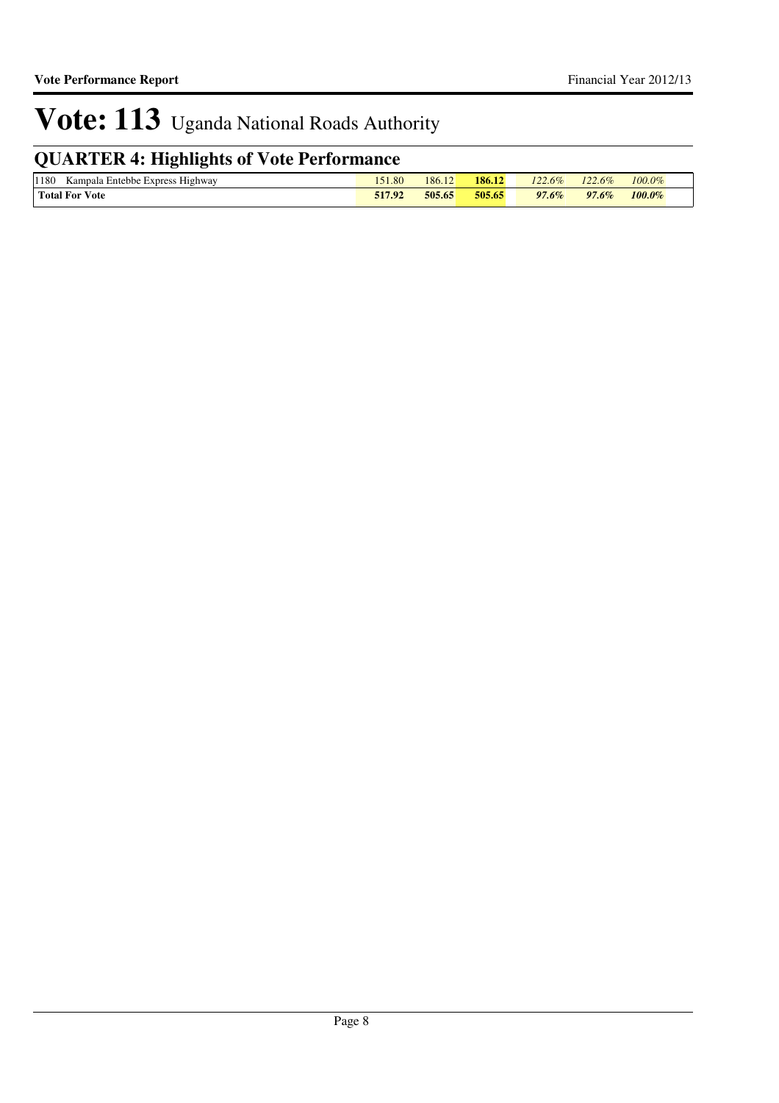## **QUARTER 4: Highlights of Vote Performance**

| 1180<br>Highway.<br>. Entebbe Express<br>Kampala | 1.80   | 186.12 | 186.12 | 122<br>$-2.6\%$ | $122.6\%$ | 100.0% |  |
|--------------------------------------------------|--------|--------|--------|-----------------|-----------|--------|--|
| <b>Total For Vote</b>                            | 517.92 | 505.65 | 505.65 | $97.6\%$        | $97.6\%$  | 100.0% |  |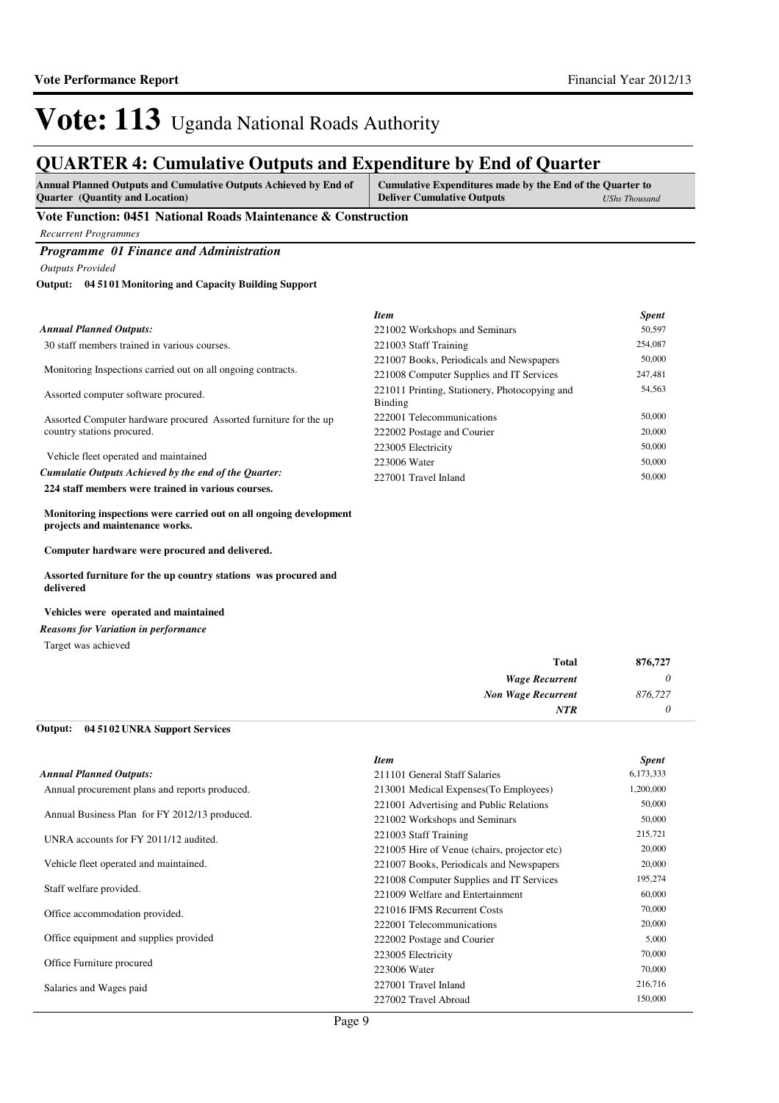### **QUARTER 4: Cumulative Outputs and Expenditure by End of Quarter**

| <b>Annual Planned Outputs and Cumulative Outputs Achieved by End of</b> | Cumulative Expenditures made by the End of the Quarter to |               |
|-------------------------------------------------------------------------|-----------------------------------------------------------|---------------|
| <b>Ouarter</b> (Quantity and Location)                                  | <b>Deliver Cumulative Outputs</b>                         | UShs Thousand |

### **Vote Function: 0451 National Roads Maintenance & Construction**

*Recurrent Programmes*

*Programme 01 Finance and Administration*

*Outputs Provided*

#### **04 5101 Monitoring and Capacity Building Support Output:**

|                                                                   | <b>Item</b>                                              | <b>Spent</b> |
|-------------------------------------------------------------------|----------------------------------------------------------|--------------|
| Annual Planned Outputs:                                           | 221002 Workshops and Seminars                            | 50,597       |
| 30 staff members trained in various courses.                      | 221003 Staff Training                                    | 254,087      |
|                                                                   | 221007 Books, Periodicals and Newspapers                 | 50,000       |
| Monitoring Inspections carried out on all ongoing contracts.      | 221008 Computer Supplies and IT Services                 | 247,481      |
| Assorted computer software procured.                              | 221011 Printing, Stationery, Photocopying and<br>Binding | 54,563       |
| Assorted Computer hardware procured Assorted furniture for the up | 222001 Telecommunications                                | 50,000       |
| country stations procured.                                        | 222002 Postage and Courier                               | 20,000       |
|                                                                   | 223005 Electricity                                       | 50,000       |
| Vehicle fleet operated and maintained                             | 223006 Water                                             | 50,000       |
| Cumulatie Outputs Achieved by the end of the Ouarter:             | 227001 Travel Inland                                     | 50,000       |
| 224 staff members were trained in various courses.                |                                                          |              |
|                                                                   |                                                          |              |

**Monitoring inspections were carried out on all ongoing development projects and maintenance works.** 

**Computer hardware were procured and delivered.**

**Assorted furniture for the up country stations was procured and delivered**

#### **Vehicles were operated and maintained**

*Reasons for Variation in performance*

Target was achieved

| 876,727 | <b>Total</b>              |
|---------|---------------------------|
| 0       | <b>Wage Recurrent</b>     |
| 876,727 | <b>Non Wage Recurrent</b> |
|         | <b>NTR</b>                |

#### **04 5102 UNRA Support Services Output:**

| <b>Item</b>                                  | <b>Spent</b> |
|----------------------------------------------|--------------|
| 211101 General Staff Salaries                | 6,173,333    |
| 213001 Medical Expenses (To Employees)       | 1,200,000    |
| 221001 Advertising and Public Relations      | 50,000       |
| 221002 Workshops and Seminars                | 50,000       |
| 221003 Staff Training                        | 215,721      |
| 221005 Hire of Venue (chairs, projector etc) | 20,000       |
| 221007 Books, Periodicals and Newspapers     | 20,000       |
| 221008 Computer Supplies and IT Services     | 195,274      |
| 221009 Welfare and Entertainment             | 60,000       |
| 221016 IFMS Recurrent Costs                  | 70,000       |
| 222001 Telecommunications                    | 20,000       |
| 222002 Postage and Courier                   | 5,000        |
| 223005 Electricity                           | 70,000       |
| 223006 Water                                 | 70,000       |
| 227001 Travel Inland                         | 216,716      |
| 227002 Travel Abroad                         | 150,000      |
|                                              |              |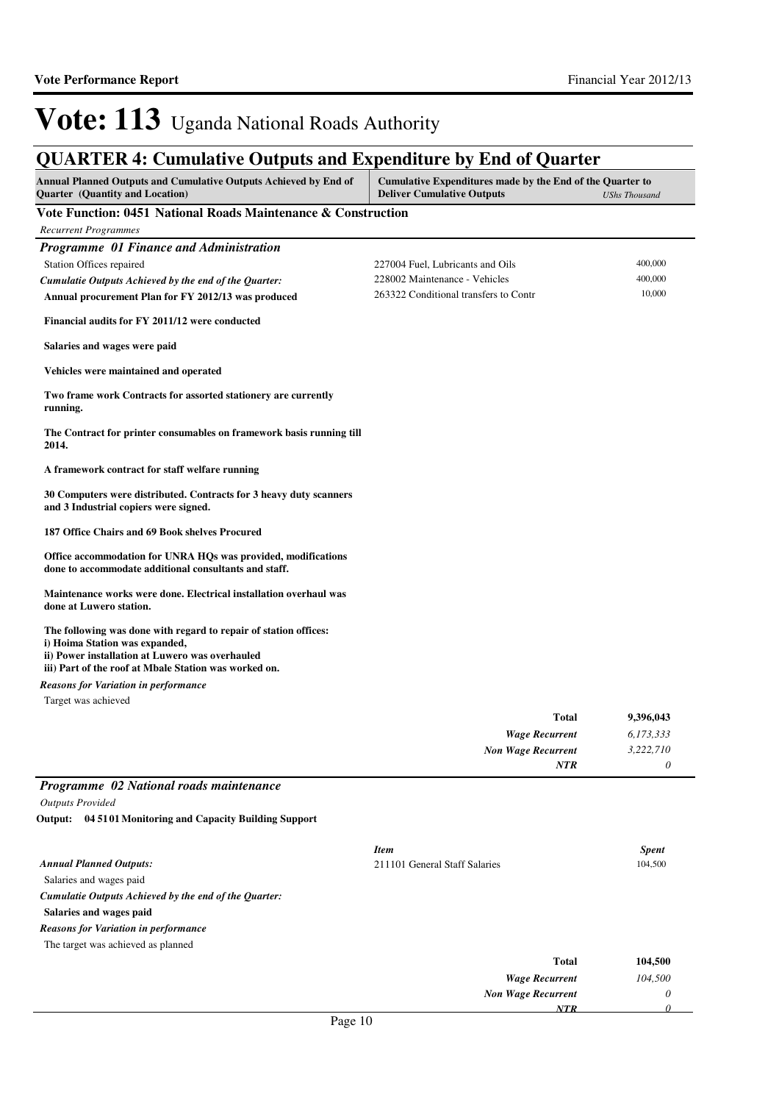*0*

*NTR*

## Vote: 113 Uganda National Roads Authority

| <b>Annual Planned Outputs and Cumulative Outputs Achieved by End of</b><br><b>Quarter</b> (Quantity and Location)                                                                                              | Cumulative Expenditures made by the End of the Quarter to<br><b>Deliver Cumulative Outputs</b>             | <b>UShs Thousand</b>         |  |
|----------------------------------------------------------------------------------------------------------------------------------------------------------------------------------------------------------------|------------------------------------------------------------------------------------------------------------|------------------------------|--|
| Vote Function: 0451 National Roads Maintenance & Construction                                                                                                                                                  |                                                                                                            |                              |  |
| <b>Recurrent Programmes</b>                                                                                                                                                                                    |                                                                                                            |                              |  |
| Programme 01 Finance and Administration<br>Station Offices repaired<br>Cumulatie Outputs Achieved by the end of the Quarter:<br>Annual procurement Plan for FY 2012/13 was produced                            | 227004 Fuel, Lubricants and Oils<br>228002 Maintenance - Vehicles<br>263322 Conditional transfers to Contr | 400,000<br>400,000<br>10,000 |  |
| Financial audits for FY 2011/12 were conducted                                                                                                                                                                 |                                                                                                            |                              |  |
| Salaries and wages were paid                                                                                                                                                                                   |                                                                                                            |                              |  |
| Vehicles were maintained and operated                                                                                                                                                                          |                                                                                                            |                              |  |
| Two frame work Contracts for assorted stationery are currently<br>running.                                                                                                                                     |                                                                                                            |                              |  |
| The Contract for printer consumables on framework basis running till<br>2014.                                                                                                                                  |                                                                                                            |                              |  |
| A framework contract for staff welfare running                                                                                                                                                                 |                                                                                                            |                              |  |
| 30 Computers were distributed. Contracts for 3 heavy duty scanners<br>and 3 Industrial copiers were signed.                                                                                                    |                                                                                                            |                              |  |
| 187 Office Chairs and 69 Book shelves Procured                                                                                                                                                                 |                                                                                                            |                              |  |
| Office accommodation for UNRA HQs was provided, modifications<br>done to accommodate additional consultants and staff.                                                                                         |                                                                                                            |                              |  |
| Maintenance works were done. Electrical installation overhaul was<br>done at Luwero station.                                                                                                                   |                                                                                                            |                              |  |
| The following was done with regard to repair of station offices:<br>i) Hoima Station was expanded,<br>ii) Power installation at Luwero was overhauled<br>iii) Part of the roof at Mbale Station was worked on. |                                                                                                            |                              |  |
| <b>Reasons for Variation in performance</b>                                                                                                                                                                    |                                                                                                            |                              |  |
| Target was achieved                                                                                                                                                                                            |                                                                                                            |                              |  |
|                                                                                                                                                                                                                | Total                                                                                                      | 9,396,043                    |  |
|                                                                                                                                                                                                                | <b>Wage Recurrent</b>                                                                                      | 6,173,333                    |  |
|                                                                                                                                                                                                                | <b>Non Wage Recurrent</b>                                                                                  | 3,222,710<br>0               |  |
|                                                                                                                                                                                                                | NTR                                                                                                        |                              |  |
| Programme 02 National roads maintenance                                                                                                                                                                        |                                                                                                            |                              |  |
| <b>Outputs Provided</b>                                                                                                                                                                                        |                                                                                                            |                              |  |
| Output: 04 5101 Monitoring and Capacity Building Support                                                                                                                                                       |                                                                                                            |                              |  |
| <b>Annual Planned Outputs:</b>                                                                                                                                                                                 | <b>Item</b><br>211101 General Staff Salaries                                                               | <b>Spent</b><br>104,500      |  |
| Salaries and wages paid<br>Cumulatie Outputs Achieved by the end of the Quarter:                                                                                                                               |                                                                                                            |                              |  |
| Salaries and wages paid                                                                                                                                                                                        |                                                                                                            |                              |  |
| <b>Reasons for Variation in performance</b>                                                                                                                                                                    |                                                                                                            |                              |  |
| The target was achieved as planned                                                                                                                                                                             |                                                                                                            |                              |  |
|                                                                                                                                                                                                                | Total                                                                                                      | 104,500                      |  |
|                                                                                                                                                                                                                | <b>Wage Recurrent</b>                                                                                      | 104,500                      |  |
|                                                                                                                                                                                                                | <b>Non Wage Recurrent</b>                                                                                  | 0                            |  |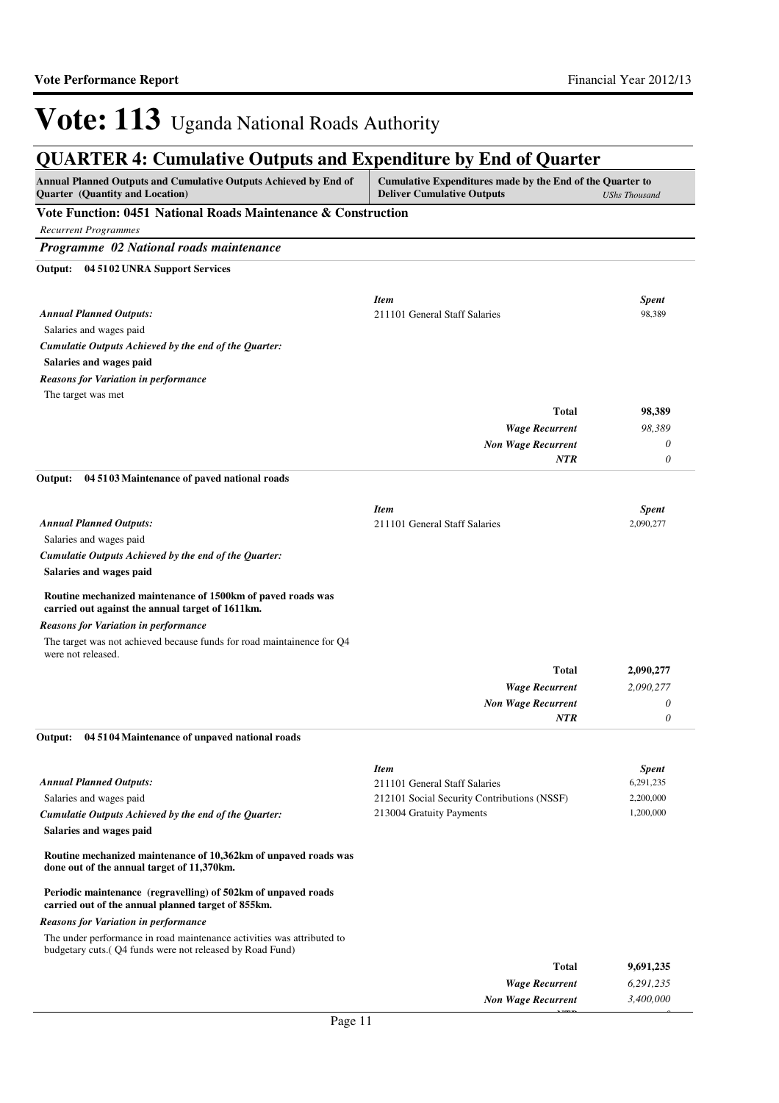*0*

*NTR*

# Vote: 113 Uganda National Roads Authority

| Annual Planned Outputs and Cumulative Outputs Achieved by End of<br><b>Quarter</b> (Quantity and Location)                         | Cumulative Expenditures made by the End of the Quarter to<br><b>Deliver Cumulative Outputs</b><br><b>UShs Thousand</b> |                        |  |
|------------------------------------------------------------------------------------------------------------------------------------|------------------------------------------------------------------------------------------------------------------------|------------------------|--|
| Vote Function: 0451 National Roads Maintenance & Construction                                                                      |                                                                                                                        |                        |  |
| <b>Recurrent Programmes</b>                                                                                                        |                                                                                                                        |                        |  |
| Programme 02 National roads maintenance                                                                                            |                                                                                                                        |                        |  |
| Output: 04 51 02 UNRA Support Services                                                                                             |                                                                                                                        |                        |  |
|                                                                                                                                    |                                                                                                                        |                        |  |
| <b>Annual Planned Outputs:</b>                                                                                                     | <b>Item</b><br>211101 General Staff Salaries                                                                           | <b>Spent</b><br>98,389 |  |
| Salaries and wages paid                                                                                                            |                                                                                                                        |                        |  |
| Cumulatie Outputs Achieved by the end of the Quarter:                                                                              |                                                                                                                        |                        |  |
| Salaries and wages paid                                                                                                            |                                                                                                                        |                        |  |
| <b>Reasons for Variation in performance</b>                                                                                        |                                                                                                                        |                        |  |
| The target was met                                                                                                                 |                                                                                                                        |                        |  |
|                                                                                                                                    | <b>Total</b>                                                                                                           | 98,389                 |  |
|                                                                                                                                    | <b>Wage Recurrent</b>                                                                                                  | 98,389                 |  |
|                                                                                                                                    | <b>Non Wage Recurrent</b>                                                                                              | 0                      |  |
|                                                                                                                                    | NTR                                                                                                                    | $\theta$               |  |
| 04 51 03 Maintenance of paved national roads<br>Output:                                                                            |                                                                                                                        |                        |  |
|                                                                                                                                    | <b>Item</b>                                                                                                            | <b>Spent</b>           |  |
| <b>Annual Planned Outputs:</b>                                                                                                     | 211101 General Staff Salaries                                                                                          | 2,090,277              |  |
| Salaries and wages paid                                                                                                            |                                                                                                                        |                        |  |
| Cumulatie Outputs Achieved by the end of the Quarter:                                                                              |                                                                                                                        |                        |  |
| Salaries and wages paid                                                                                                            |                                                                                                                        |                        |  |
| Routine mechanized maintenance of 1500km of paved roads was<br>carried out against the annual target of 1611km.                    |                                                                                                                        |                        |  |
| <b>Reasons for Variation in performance</b>                                                                                        |                                                                                                                        |                        |  |
| The target was not achieved because funds for road maintainence for Q4<br>were not released.                                       |                                                                                                                        |                        |  |
|                                                                                                                                    | <b>Total</b>                                                                                                           | 2,090,277              |  |
|                                                                                                                                    | <b>Wage Recurrent</b>                                                                                                  | 2,090,277              |  |
|                                                                                                                                    | <b>Non Wage Recurrent</b><br>NTR                                                                                       | 0<br>0                 |  |
| Output: 04 51 04 Maintenance of unpaved national roads                                                                             |                                                                                                                        |                        |  |
|                                                                                                                                    | <b>Item</b>                                                                                                            | <b>Spent</b>           |  |
| <b>Annual Planned Outputs:</b>                                                                                                     | 211101 General Staff Salaries                                                                                          | 6,291,235              |  |
| Salaries and wages paid                                                                                                            | 212101 Social Security Contributions (NSSF)                                                                            | 2,200,000              |  |
| Cumulatie Outputs Achieved by the end of the Quarter:                                                                              | 213004 Gratuity Payments                                                                                               | 1,200,000              |  |
| Salaries and wages paid                                                                                                            |                                                                                                                        |                        |  |
| Routine mechanized maintenance of 10,362km of unpaved roads was<br>done out of the annual target of 11,370km.                      |                                                                                                                        |                        |  |
| Periodic maintenance (regravelling) of 502km of unpaved roads<br>carried out of the annual planned target of 855km.                |                                                                                                                        |                        |  |
| <b>Reasons for Variation in performance</b>                                                                                        |                                                                                                                        |                        |  |
| The under performance in road maintenance activities was attributed to<br>budgetary cuts.(Q4 funds were not released by Road Fund) |                                                                                                                        |                        |  |
|                                                                                                                                    | <b>Total</b>                                                                                                           | 9,691,235              |  |
|                                                                                                                                    | <b>Wage Recurrent</b>                                                                                                  | 6,291,235              |  |
|                                                                                                                                    | <b>Non Wage Recurrent</b>                                                                                              | 3,400,000              |  |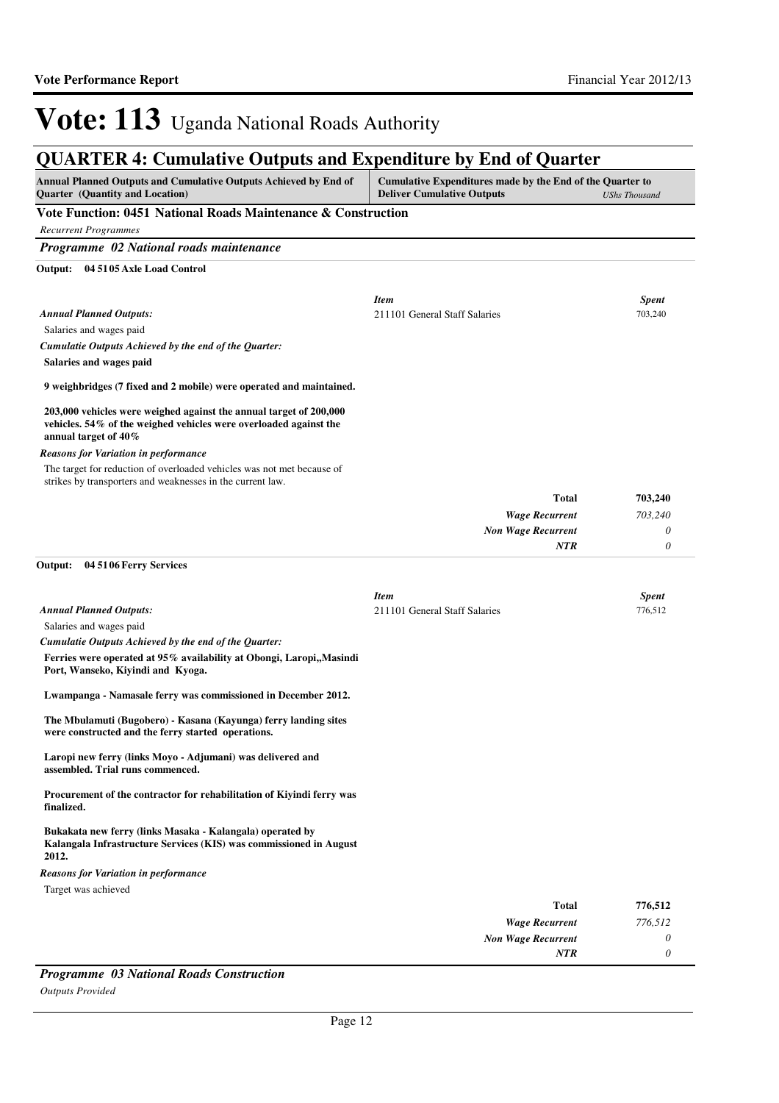## **QUARTER 4: Cumulative Outputs and Expenditure by End of Quarter**

| <b>Annual Planned Outputs and Cumulative Outputs Achieved by End of</b><br>Quarter (Quantity and Location)                                                      | Cumulative Expenditures made by the End of the Quarter to<br><b>Deliver Cumulative Outputs</b> | <b>UShs Thousand</b> |
|-----------------------------------------------------------------------------------------------------------------------------------------------------------------|------------------------------------------------------------------------------------------------|----------------------|
| Vote Function: 0451 National Roads Maintenance & Construction                                                                                                   |                                                                                                |                      |
| <b>Recurrent Programmes</b>                                                                                                                                     |                                                                                                |                      |
| Programme 02 National roads maintenance                                                                                                                         |                                                                                                |                      |
| Output: 04 51 05 Axle Load Control                                                                                                                              |                                                                                                |                      |
|                                                                                                                                                                 | <b>Item</b>                                                                                    | <b>Spent</b>         |
| <b>Annual Planned Outputs:</b>                                                                                                                                  | 211101 General Staff Salaries                                                                  | 703,240              |
| Salaries and wages paid                                                                                                                                         |                                                                                                |                      |
| Cumulatie Outputs Achieved by the end of the Quarter:                                                                                                           |                                                                                                |                      |
| Salaries and wages paid                                                                                                                                         |                                                                                                |                      |
| 9 weighbridges (7 fixed and 2 mobile) were operated and maintained.                                                                                             |                                                                                                |                      |
| 203,000 vehicles were weighed against the annual target of 200,000<br>vehicles. 54% of the weighed vehicles were overloaded against the<br>annual target of 40% |                                                                                                |                      |
| <b>Reasons for Variation in performance</b>                                                                                                                     |                                                                                                |                      |
| The target for reduction of overloaded vehicles was not met because of<br>strikes by transporters and weaknesses in the current law.                            |                                                                                                |                      |
|                                                                                                                                                                 | <b>Total</b>                                                                                   | 703,240              |
|                                                                                                                                                                 | <b>Wage Recurrent</b>                                                                          | 703,240              |
|                                                                                                                                                                 | <b>Non Wage Recurrent</b>                                                                      | 0                    |
|                                                                                                                                                                 | NTR                                                                                            | 0                    |
| Output: 04 51 06 Ferry Services                                                                                                                                 |                                                                                                |                      |
|                                                                                                                                                                 | <b>Item</b>                                                                                    | <b>Spent</b>         |
| <b>Annual Planned Outputs:</b>                                                                                                                                  | 211101 General Staff Salaries                                                                  | 776,512              |
| Salaries and wages paid                                                                                                                                         |                                                                                                |                      |
| Cumulatie Outputs Achieved by the end of the Quarter:                                                                                                           |                                                                                                |                      |
| Ferries were operated at 95% availability at Obongi, Laropi, Masindi<br>Port, Wanseko, Kiyindi and Kyoga.                                                       |                                                                                                |                      |
| Lwampanga - Namasale ferry was commissioned in December 2012.                                                                                                   |                                                                                                |                      |
| The Mbulamuti (Bugobero) - Kasana (Kayunga) ferry landing sites<br>were constructed and the ferry started operations.                                           |                                                                                                |                      |
| Laropi new ferry (links Moyo - Adjumani) was delivered and<br>assembled. Trial runs commenced.                                                                  |                                                                                                |                      |
| Procurement of the contractor for rehabilitation of Kiyindi ferry was<br>finalized.                                                                             |                                                                                                |                      |
| Bukakata new ferry (links Masaka - Kalangala) operated by<br>Kalangala Infrastructure Services (KIS) was commissioned in August<br>2012.                        |                                                                                                |                      |
| <b>Reasons for Variation in performance</b>                                                                                                                     |                                                                                                |                      |
| Target was achieved                                                                                                                                             |                                                                                                |                      |
|                                                                                                                                                                 | <b>Total</b>                                                                                   | 776,512              |
|                                                                                                                                                                 | <b>Wage Recurrent</b>                                                                          | 776,512              |
|                                                                                                                                                                 | <b>Non Wage Recurrent</b>                                                                      | 0                    |
|                                                                                                                                                                 | NTR                                                                                            | $\theta$             |

*Programme 03 National Roads Construction Outputs Provided*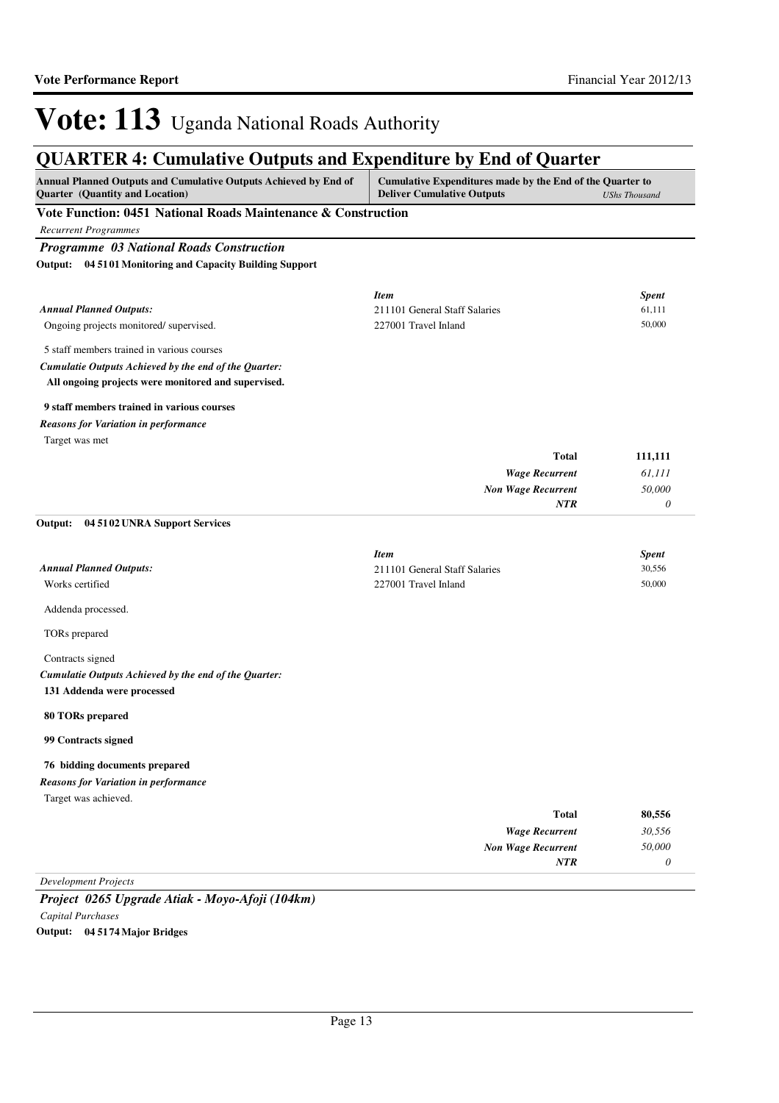## **QUARTER 4: Cumulative Outputs and Expenditure by End of Quarter**

| germaan 'n camaanve outputs and aspenditure by and of guarter<br>Annual Planned Outputs and Cumulative Outputs Achieved by End of<br>Quarter (Quantity and Location) | Cumulative Expenditures made by the End of the Quarter to<br><b>Deliver Cumulative Outputs</b><br><b>UShs Thousand</b> |                  |  |
|----------------------------------------------------------------------------------------------------------------------------------------------------------------------|------------------------------------------------------------------------------------------------------------------------|------------------|--|
| Vote Function: 0451 National Roads Maintenance & Construction                                                                                                        |                                                                                                                        |                  |  |
| <b>Recurrent Programmes</b>                                                                                                                                          |                                                                                                                        |                  |  |
| <b>Programme 03 National Roads Construction</b>                                                                                                                      |                                                                                                                        |                  |  |
| Output: 04 51 01 Monitoring and Capacity Building Support                                                                                                            |                                                                                                                        |                  |  |
|                                                                                                                                                                      |                                                                                                                        |                  |  |
|                                                                                                                                                                      | <b>Item</b>                                                                                                            | <b>Spent</b>     |  |
| <b>Annual Planned Outputs:</b>                                                                                                                                       | 211101 General Staff Salaries                                                                                          | 61,111           |  |
| Ongoing projects monitored/supervised.                                                                                                                               | 227001 Travel Inland                                                                                                   | 50,000           |  |
| 5 staff members trained in various courses                                                                                                                           |                                                                                                                        |                  |  |
| Cumulatie Outputs Achieved by the end of the Quarter:                                                                                                                |                                                                                                                        |                  |  |
| All ongoing projects were monitored and supervised.                                                                                                                  |                                                                                                                        |                  |  |
| 9 staff members trained in various courses                                                                                                                           |                                                                                                                        |                  |  |
| <b>Reasons for Variation in performance</b>                                                                                                                          |                                                                                                                        |                  |  |
| Target was met                                                                                                                                                       |                                                                                                                        |                  |  |
|                                                                                                                                                                      | Total                                                                                                                  | 111,111          |  |
|                                                                                                                                                                      | <b>Wage Recurrent</b>                                                                                                  | 61,111           |  |
|                                                                                                                                                                      | <b>Non Wage Recurrent</b>                                                                                              | 50,000           |  |
|                                                                                                                                                                      | <b>NTR</b>                                                                                                             | 0                |  |
| Output: 04 51 02 UNRA Support Services                                                                                                                               |                                                                                                                        |                  |  |
|                                                                                                                                                                      |                                                                                                                        |                  |  |
|                                                                                                                                                                      | <b>Item</b>                                                                                                            | <b>Spent</b>     |  |
| <b>Annual Planned Outputs:</b><br>Works certified                                                                                                                    | 211101 General Staff Salaries<br>227001 Travel Inland                                                                  | 30,556<br>50,000 |  |
|                                                                                                                                                                      |                                                                                                                        |                  |  |
| Addenda processed.                                                                                                                                                   |                                                                                                                        |                  |  |
| TORs prepared                                                                                                                                                        |                                                                                                                        |                  |  |
| Contracts signed                                                                                                                                                     |                                                                                                                        |                  |  |
| Cumulatie Outputs Achieved by the end of the Quarter:                                                                                                                |                                                                                                                        |                  |  |
| 131 Addenda were processed                                                                                                                                           |                                                                                                                        |                  |  |
| 80 TORs prepared                                                                                                                                                     |                                                                                                                        |                  |  |
| 99 Contracts signed                                                                                                                                                  |                                                                                                                        |                  |  |
| 76 bidding documents prepared                                                                                                                                        |                                                                                                                        |                  |  |
| <b>Reasons for Variation in performance</b>                                                                                                                          |                                                                                                                        |                  |  |
| Target was achieved.                                                                                                                                                 |                                                                                                                        |                  |  |
|                                                                                                                                                                      | <b>Total</b>                                                                                                           | 80,556           |  |
|                                                                                                                                                                      | <b>Wage Recurrent</b>                                                                                                  | 30,556           |  |
|                                                                                                                                                                      | <b>Non Wage Recurrent</b>                                                                                              | 50,000           |  |
|                                                                                                                                                                      | NTR                                                                                                                    | 0                |  |
| <b>Development Projects</b>                                                                                                                                          |                                                                                                                        |                  |  |

*Project 0265 Upgrade Atiak - Moyo-Afoji (104km) Capital Purchases* **Output: 04 5174 Major Bridges**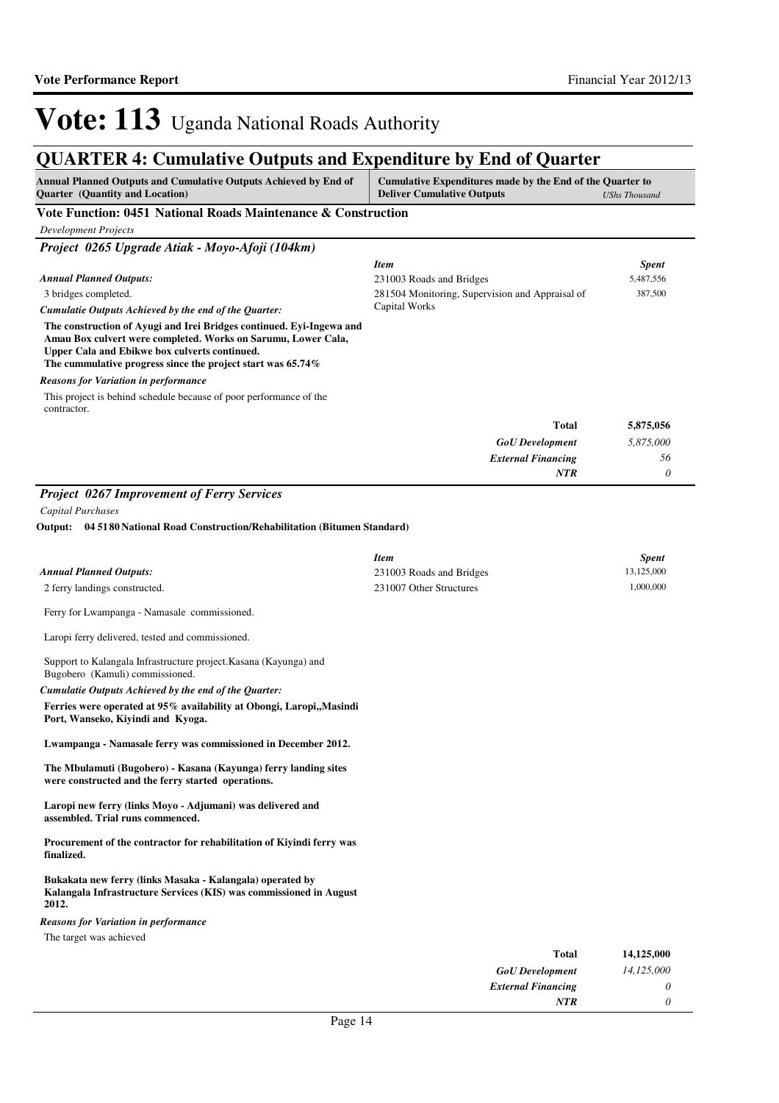## **QUARTER 4: Cumulative Outputs and Expenditure by End of Quarter**

| <b>Annual Planned Outputs and Cumulative Outputs Achieved by End of</b><br>Quarter (Quantity and Location)                                                                                                                                            | QUANTEN 4. Cumulative Outputs and Expenditure by End of Quarter<br>Cumulative Expenditures made by the End of the Quarter to<br><b>Deliver Cumulative Outputs</b><br><b>UShs Thousand</b> |                           |  |
|-------------------------------------------------------------------------------------------------------------------------------------------------------------------------------------------------------------------------------------------------------|-------------------------------------------------------------------------------------------------------------------------------------------------------------------------------------------|---------------------------|--|
| Vote Function: 0451 National Roads Maintenance & Construction                                                                                                                                                                                         |                                                                                                                                                                                           |                           |  |
| <b>Development Projects</b>                                                                                                                                                                                                                           |                                                                                                                                                                                           |                           |  |
| Project 0265 Upgrade Atiak - Moyo-Afoji (104km)                                                                                                                                                                                                       |                                                                                                                                                                                           |                           |  |
| <b>Annual Planned Outputs:</b>                                                                                                                                                                                                                        | <b>Item</b><br>231003 Roads and Bridges                                                                                                                                                   | <b>Spent</b><br>5,487,556 |  |
| 3 bridges completed.                                                                                                                                                                                                                                  | 281504 Monitoring, Supervision and Appraisal of                                                                                                                                           | 387,500                   |  |
| Cumulatie Outputs Achieved by the end of the Quarter:                                                                                                                                                                                                 | Capital Works                                                                                                                                                                             |                           |  |
| The construction of Ayugi and Irei Bridges continued. Eyi-Ingewa and<br>Amau Box culvert were completed. Works on Sarumu, Lower Cala,<br>Upper Cala and Ebikwe box culverts continued.<br>The cummulative progress since the project start was 65.74% |                                                                                                                                                                                           |                           |  |
| <b>Reasons for Variation in performance</b>                                                                                                                                                                                                           |                                                                                                                                                                                           |                           |  |
| This project is behind schedule because of poor performance of the                                                                                                                                                                                    |                                                                                                                                                                                           |                           |  |
| contractor.                                                                                                                                                                                                                                           |                                                                                                                                                                                           |                           |  |
|                                                                                                                                                                                                                                                       | <b>Total</b>                                                                                                                                                                              | 5,875,056                 |  |
|                                                                                                                                                                                                                                                       | <b>GoU</b> Development                                                                                                                                                                    | 5,875,000                 |  |
|                                                                                                                                                                                                                                                       | <b>External Financing</b><br><b>NTR</b>                                                                                                                                                   | 56<br>0                   |  |
|                                                                                                                                                                                                                                                       |                                                                                                                                                                                           |                           |  |
| <b>Project 0267 Improvement of Ferry Services</b>                                                                                                                                                                                                     |                                                                                                                                                                                           |                           |  |
| <b>Capital Purchases</b>                                                                                                                                                                                                                              |                                                                                                                                                                                           |                           |  |
| 04 51 80 National Road Construction/Rehabilitation (Bitumen Standard)<br>Output:                                                                                                                                                                      |                                                                                                                                                                                           |                           |  |
|                                                                                                                                                                                                                                                       | <b>Item</b>                                                                                                                                                                               | Spent                     |  |
| <b>Annual Planned Outputs:</b>                                                                                                                                                                                                                        | 231003 Roads and Bridges                                                                                                                                                                  | 13,125,000                |  |
| 2 ferry landings constructed.                                                                                                                                                                                                                         | 231007 Other Structures                                                                                                                                                                   | 1,000,000                 |  |
| Ferry for Lwampanga - Namasale commissioned.                                                                                                                                                                                                          |                                                                                                                                                                                           |                           |  |
| Laropi ferry delivered, tested and commissioned.                                                                                                                                                                                                      |                                                                                                                                                                                           |                           |  |
| Support to Kalangala Infrastructure project. Kasana (Kayunga) and<br>Bugobero (Kamuli) commissioned.                                                                                                                                                  |                                                                                                                                                                                           |                           |  |
| Cumulatie Outputs Achieved by the end of the Quarter:                                                                                                                                                                                                 |                                                                                                                                                                                           |                           |  |
| Ferries were operated at 95% availability at Obongi, Laropi,, Masindi<br>Port, Wanseko, Kiyindi and Kyoga.                                                                                                                                            |                                                                                                                                                                                           |                           |  |
| Lwampanga - Namasale ferry was commissioned in December 2012.                                                                                                                                                                                         |                                                                                                                                                                                           |                           |  |
| The Mbulamuti (Bugobero) - Kasana (Kayunga) ferry landing sites<br>were constructed and the ferry started operations.                                                                                                                                 |                                                                                                                                                                                           |                           |  |
| Laropi new ferry (links Moyo - Adjumani) was delivered and<br>assembled. Trial runs commenced.                                                                                                                                                        |                                                                                                                                                                                           |                           |  |
| Procurement of the contractor for rehabilitation of Kiyindi ferry was<br>finalized.                                                                                                                                                                   |                                                                                                                                                                                           |                           |  |
| Bukakata new ferry (links Masaka - Kalangala) operated by<br>Kalangala Infrastructure Services (KIS) was commissioned in August<br>2012.                                                                                                              |                                                                                                                                                                                           |                           |  |
| <b>Reasons for Variation in performance</b>                                                                                                                                                                                                           |                                                                                                                                                                                           |                           |  |
| The target was achieved                                                                                                                                                                                                                               |                                                                                                                                                                                           |                           |  |
|                                                                                                                                                                                                                                                       | <b>Total</b>                                                                                                                                                                              | 14,125,000                |  |

*GoU Development External Financing*

*NTR*

*14,125,000*

*0 0*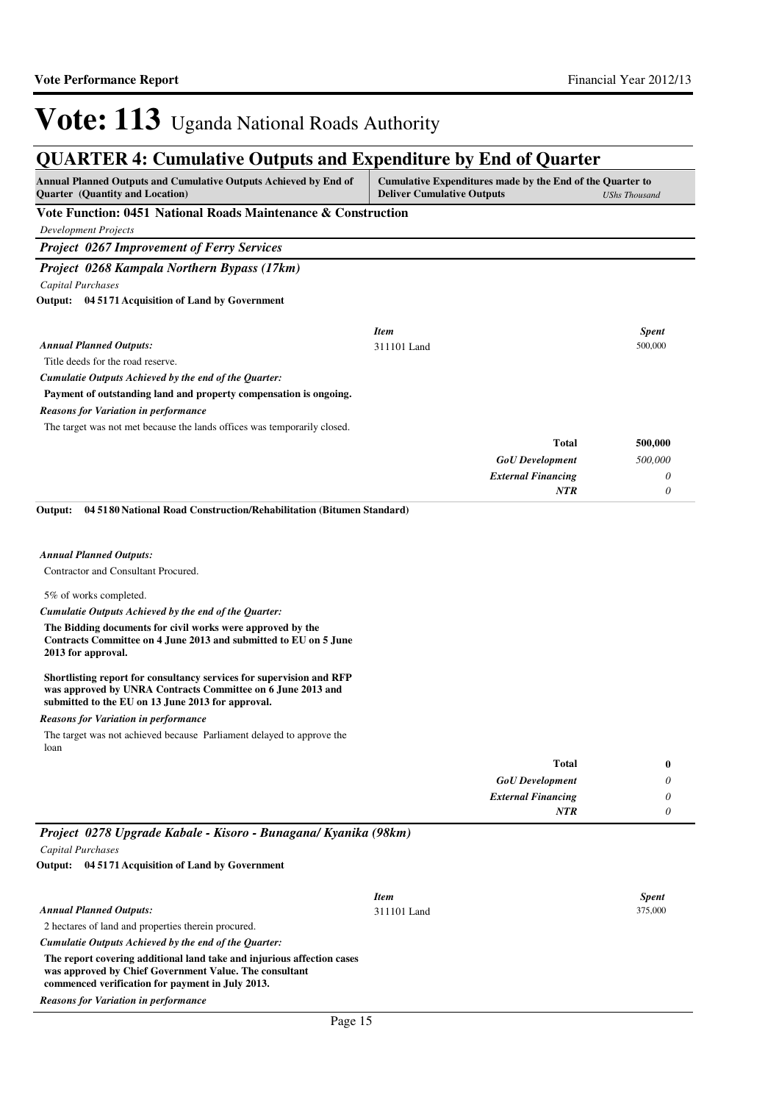| <b>Annual Planned Outputs and Cumulative Outputs Achieved by End of</b><br><b>Quarter</b> (Quantity and Location)                                                                        | Cumulative Expenditures made by the End of the Quarter to<br><b>Deliver Cumulative Outputs</b> | <b>UShs Thousand</b>    |
|------------------------------------------------------------------------------------------------------------------------------------------------------------------------------------------|------------------------------------------------------------------------------------------------|-------------------------|
| Vote Function: 0451 National Roads Maintenance & Construction                                                                                                                            |                                                                                                |                         |
| <b>Development Projects</b>                                                                                                                                                              |                                                                                                |                         |
| <b>Project 0267 Improvement of Ferry Services</b>                                                                                                                                        |                                                                                                |                         |
| Project 0268 Kampala Northern Bypass (17km)                                                                                                                                              |                                                                                                |                         |
| Capital Purchases                                                                                                                                                                        |                                                                                                |                         |
| Output: 04 5171 Acquisition of Land by Government                                                                                                                                        |                                                                                                |                         |
|                                                                                                                                                                                          |                                                                                                |                         |
| <b>Annual Planned Outputs:</b>                                                                                                                                                           | <b>Item</b><br>311101 Land                                                                     | <b>Spent</b><br>500,000 |
| Title deeds for the road reserve.                                                                                                                                                        |                                                                                                |                         |
| Cumulatie Outputs Achieved by the end of the Quarter:                                                                                                                                    |                                                                                                |                         |
| Payment of outstanding land and property compensation is ongoing.                                                                                                                        |                                                                                                |                         |
| <b>Reasons for Variation in performance</b>                                                                                                                                              |                                                                                                |                         |
| The target was not met because the lands offices was temporarily closed.                                                                                                                 |                                                                                                |                         |
|                                                                                                                                                                                          | Total                                                                                          | 500,000                 |
|                                                                                                                                                                                          | <b>GoU</b> Development                                                                         | 500,000                 |
|                                                                                                                                                                                          | <b>External Financing</b>                                                                      | 0                       |
|                                                                                                                                                                                          | <b>NTR</b>                                                                                     | 0                       |
| 04 51 80 National Road Construction/Rehabilitation (Bitumen Standard)<br>Output:                                                                                                         |                                                                                                |                         |
|                                                                                                                                                                                          |                                                                                                |                         |
|                                                                                                                                                                                          |                                                                                                |                         |
| <b>Annual Planned Outputs:</b>                                                                                                                                                           |                                                                                                |                         |
| Contractor and Consultant Procured.                                                                                                                                                      |                                                                                                |                         |
| 5% of works completed.                                                                                                                                                                   |                                                                                                |                         |
| Cumulatie Outputs Achieved by the end of the Quarter:                                                                                                                                    |                                                                                                |                         |
| The Bidding documents for civil works were approved by the<br>Contracts Committee on 4 June 2013 and submitted to EU on 5 June<br>2013 for approval.                                     |                                                                                                |                         |
| Shortlisting report for consultancy services for supervision and RFP<br>was approved by UNRA Contracts Committee on 6 June 2013 and<br>submitted to the EU on 13 June 2013 for approval. |                                                                                                |                         |
| <b>Reasons for Variation in performance</b>                                                                                                                                              |                                                                                                |                         |
| The target was not achieved because Parliament delayed to approve the                                                                                                                    |                                                                                                |                         |
| loan                                                                                                                                                                                     |                                                                                                |                         |
|                                                                                                                                                                                          | Total                                                                                          | $\bf{0}$                |
|                                                                                                                                                                                          | <b>GoU</b> Development                                                                         | 0                       |
|                                                                                                                                                                                          | <b>External Financing</b>                                                                      | 0                       |
|                                                                                                                                                                                          | <b>NTR</b>                                                                                     | 0                       |
| Project 0278 Upgrade Kabale - Kisoro - Bunagana/ Kyanika (98km)                                                                                                                          |                                                                                                |                         |
| Capital Purchases                                                                                                                                                                        |                                                                                                |                         |
| Output: 04 5171 Acquisition of Land by Government                                                                                                                                        |                                                                                                |                         |
|                                                                                                                                                                                          | <b>Item</b>                                                                                    | <b>Spent</b>            |
| <b>Annual Planned Outputs:</b>                                                                                                                                                           | 311101 Land                                                                                    | 375,000                 |
| 2 hectares of land and properties therein procured.                                                                                                                                      |                                                                                                |                         |
| Cumulatie Outputs Achieved by the end of the Quarter:                                                                                                                                    |                                                                                                |                         |
| The report covering additional land take and injurious affection cases<br>was approved by Chief Government Value. The consultant<br>commenced verification for payment in July 2013.     |                                                                                                |                         |
| <b>Reasons for Variation in performance</b>                                                                                                                                              |                                                                                                |                         |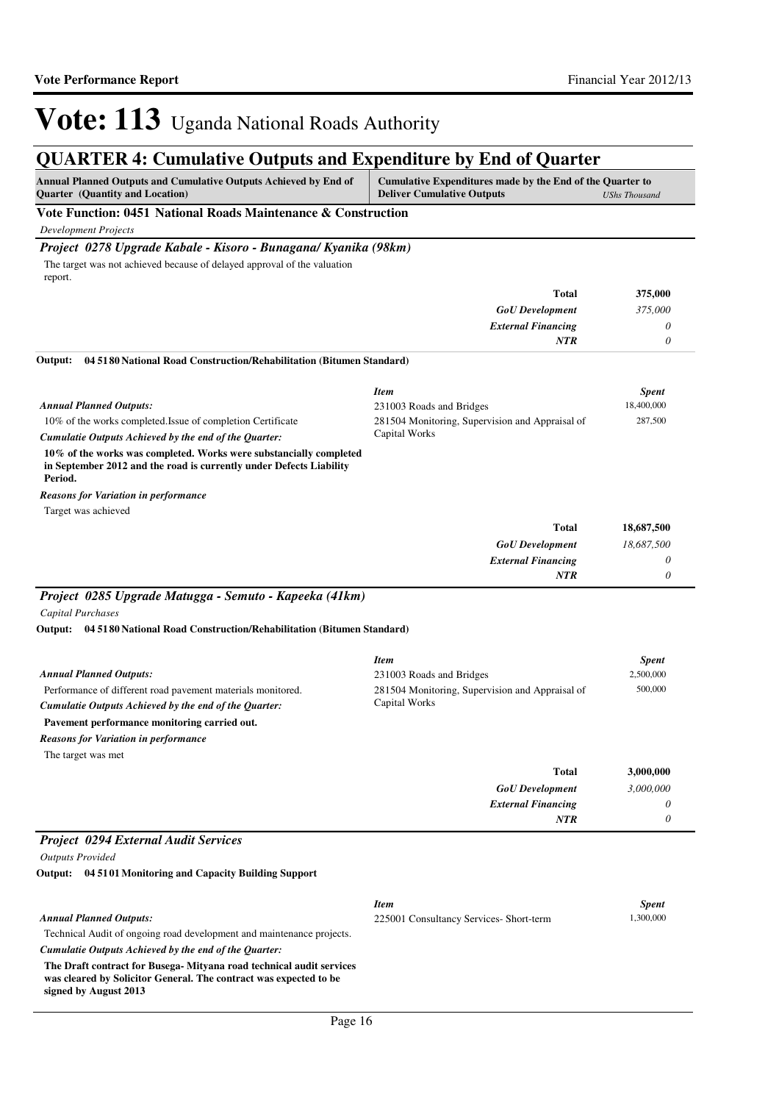## **QUARTER 4: Cumulative Outputs and Expenditure by End of Quarter**

| <b>Annual Planned Outputs and Cumulative Outputs Achieved by End of</b><br><b>Ouarter</b> (Quantity and Location) | Cumulative Expenditures made by the End of the Quarter to<br><b>Deliver Cumulative Outputs</b><br>UShs Thousand |  |  |
|-------------------------------------------------------------------------------------------------------------------|-----------------------------------------------------------------------------------------------------------------|--|--|
| Vote Function: 0451 National Roads Maintenance & Construction                                                     |                                                                                                                 |  |  |

*Development Projects*

### *Project 0278 Upgrade Kabale - Kisoro - Bunagana/ Kyanika (98km)*

The target was not achieved because of delayed approval of the valuation report.

| Total                     | 375,000 |
|---------------------------|---------|
| <b>GoU</b> Development    | 375,000 |
| <b>External Financing</b> | 0       |
| NTR                       |         |

#### **04 5180 National Road Construction/Rehabilitation (Bitumen Standard) Output:**

|                                                                                                                                                      | <b>Item</b>                                     | <b>Spent</b> |
|------------------------------------------------------------------------------------------------------------------------------------------------------|-------------------------------------------------|--------------|
| <b>Annual Planned Outputs:</b>                                                                                                                       | 231003 Roads and Bridges                        | 18,400,000   |
| 10% of the works completed. Issue of completion Certificate                                                                                          | 281504 Monitoring, Supervision and Appraisal of | 287,500      |
| Cumulatie Outputs Achieved by the end of the Ouarter:                                                                                                | Capital Works                                   |              |
| 10% of the works was completed. Works were substancially completed<br>in September 2012 and the road is currently under Defects Liability<br>Period. |                                                 |              |
| <b>Reasons for Variation in performance</b>                                                                                                          |                                                 |              |
| Target was achieved                                                                                                                                  |                                                 |              |
|                                                                                                                                                      | T <sub>et</sub>                                 | 10 607 500   |

| 18,687,500 | <b>Total</b>              |
|------------|---------------------------|
| 18,687,500 | <b>GoU</b> Development    |
|            | <b>External Financing</b> |
| <b>NTR</b> |                           |

### *Project 0285 Upgrade Matugga - Semuto - Kapeeka (41km)*

*Capital Purchases*

**04 5180 National Road Construction/Rehabilitation (Bitumen Standard) Output:**

|                                                                                                                                                                                                                     | <b>Item</b>                                                      | <b>Spent</b> |
|---------------------------------------------------------------------------------------------------------------------------------------------------------------------------------------------------------------------|------------------------------------------------------------------|--------------|
| <b>Annual Planned Outputs:</b>                                                                                                                                                                                      | 231003 Roads and Bridges                                         | 2,500,000    |
| Performance of different road pavement materials monitored.<br>Cumulatie Outputs Achieved by the end of the Ouarter:<br>Pavement performance monitoring carried out.<br><b>Reasons for Variation in performance</b> | 281504 Monitoring, Supervision and Appraisal of<br>Capital Works | 500,000      |
| The target was met                                                                                                                                                                                                  |                                                                  |              |
|                                                                                                                                                                                                                     | <b>Total</b>                                                     | 3,000,000    |
|                                                                                                                                                                                                                     | <b>GoU</b> Development                                           | 3.000,000    |
|                                                                                                                                                                                                                     | <b>External Financing</b>                                        | 0            |
|                                                                                                                                                                                                                     | <b>NTR</b>                                                       | $\theta$     |
| <b>Project 0294 External Audit Services</b>                                                                                                                                                                         |                                                                  |              |

### *Outputs Provided*

**04 5101 Monitoring and Capacity Building Support Output:**

|                                                                                                                                                                    | <b>Item</b>                            | <b>Spent</b> |
|--------------------------------------------------------------------------------------------------------------------------------------------------------------------|----------------------------------------|--------------|
| <b>Annual Planned Outputs:</b>                                                                                                                                     | 225001 Consultancy Services-Short-term | 1,300,000    |
| Technical Audit of ongoing road development and maintenance projects.                                                                                              |                                        |              |
| Cumulatie Outputs Achieved by the end of the Ouarter:                                                                                                              |                                        |              |
| The Draft contract for Busega- Mityana road technical audit services<br>was cleared by Solicitor General. The contract was expected to be<br>signed by August 2013 |                                        |              |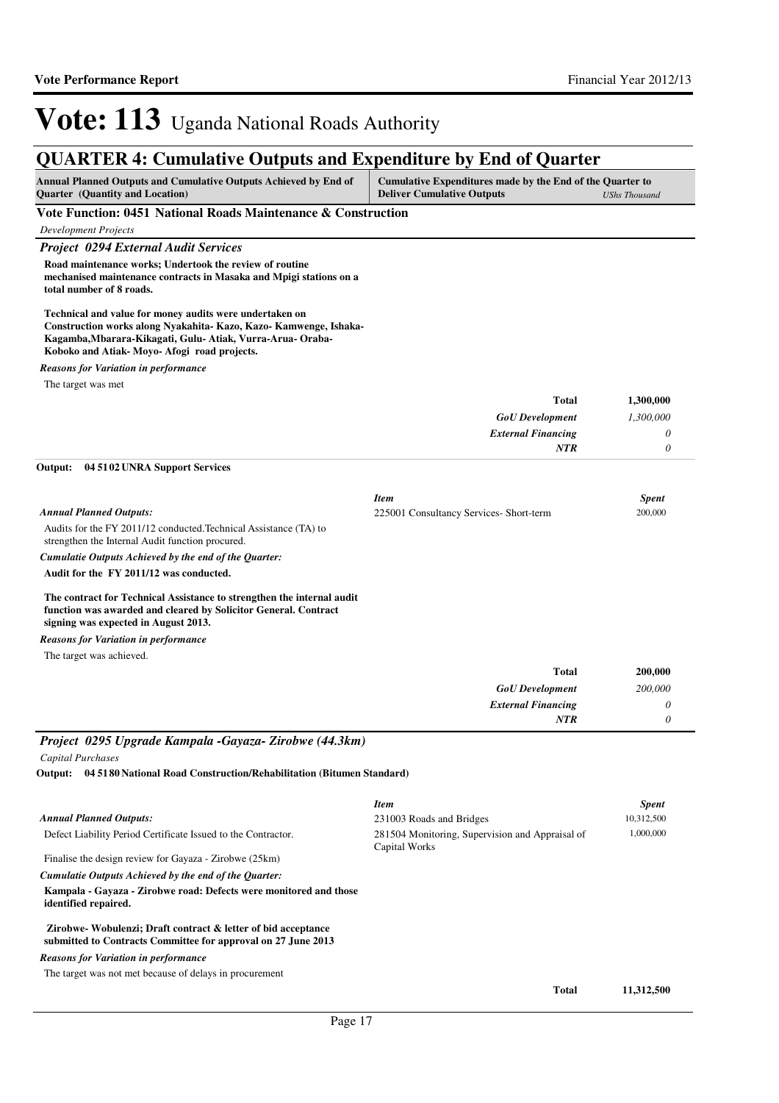| <b>QUARTER 4: Cumulative Outputs and Expenditure by End of Quarter</b>                                                                                                                                                                 |                                                                                                                        |              |
|----------------------------------------------------------------------------------------------------------------------------------------------------------------------------------------------------------------------------------------|------------------------------------------------------------------------------------------------------------------------|--------------|
| Annual Planned Outputs and Cumulative Outputs Achieved by End of<br><b>Quarter</b> (Quantity and Location)                                                                                                                             | Cumulative Expenditures made by the End of the Quarter to<br><b>Deliver Cumulative Outputs</b><br><b>UShs Thousand</b> |              |
| Vote Function: 0451 National Roads Maintenance & Construction                                                                                                                                                                          |                                                                                                                        |              |
| <b>Development Projects</b>                                                                                                                                                                                                            |                                                                                                                        |              |
| <b>Project 0294 External Audit Services</b>                                                                                                                                                                                            |                                                                                                                        |              |
| Road maintenance works; Undertook the review of routine<br>mechanised maintenance contracts in Masaka and Mpigi stations on a<br>total number of 8 roads.                                                                              |                                                                                                                        |              |
| Technical and value for money audits were undertaken on<br>Construction works along Nyakahita- Kazo, Kazo- Kamwenge, Ishaka-<br>Kagamba, Mbarara-Kikagati, Gulu-Atiak, Vurra-Arua-Oraba-<br>Koboko and Atiak-Movo-Afogi road projects. |                                                                                                                        |              |
| <b>Reasons for Variation in performance</b>                                                                                                                                                                                            |                                                                                                                        |              |
| The target was met                                                                                                                                                                                                                     |                                                                                                                        |              |
|                                                                                                                                                                                                                                        | <b>Total</b>                                                                                                           | 1,300,000    |
|                                                                                                                                                                                                                                        | <b>GoU</b> Development                                                                                                 | 1,300,000    |
|                                                                                                                                                                                                                                        | <b>External Financing</b>                                                                                              | 0            |
|                                                                                                                                                                                                                                        | <b>NTR</b>                                                                                                             | $\theta$     |
| 04 51 02 UNRA Support Services<br>Output:                                                                                                                                                                                              |                                                                                                                        |              |
|                                                                                                                                                                                                                                        | <b>Item</b>                                                                                                            | <b>Spent</b> |
| <b>Annual Planned Outputs:</b>                                                                                                                                                                                                         | 225001 Consultancy Services- Short-term                                                                                | 200,000      |
| Audits for the FY 2011/12 conducted. Technical Assistance (TA) to<br>strengthen the Internal Audit function procured.                                                                                                                  |                                                                                                                        |              |
| Cumulatie Outputs Achieved by the end of the Ouarter:                                                                                                                                                                                  |                                                                                                                        |              |
| Audit for the FY 2011/12 was conducted.                                                                                                                                                                                                |                                                                                                                        |              |
|                                                                                                                                                                                                                                        |                                                                                                                        |              |

**The contract for Technical Assistance to strengthen the internal audit function was awarded and cleared by Solicitor General. Contract signing was expected in August 2013.**

*Reasons for Variation in performance*

The target was achieved.

| <b>Total</b>              | 200,000 |
|---------------------------|---------|
| <b>GoU</b> Development    | 200,000 |
| <b>External Financing</b> | 0       |
| <b>NTR</b>                |         |

*Project 0295 Upgrade Kampala -Gayaza- Zirobwe (44.3km)*

*Capital Purchases*

**04 5180 National Road Construction/Rehabilitation (Bitumen Standard) Output:**

|                                                                                                                               | <b>Item</b>                                                      | <b>Spent</b> |
|-------------------------------------------------------------------------------------------------------------------------------|------------------------------------------------------------------|--------------|
| <b>Annual Planned Outputs:</b>                                                                                                | 231003 Roads and Bridges                                         | 10,312,500   |
| Defect Liability Period Certificate Issued to the Contractor.                                                                 | 281504 Monitoring, Supervision and Appraisal of<br>Capital Works | 1,000,000    |
| Finalise the design review for Gayaza - Zirobwe (25km)                                                                        |                                                                  |              |
| Cumulatie Outputs Achieved by the end of the Ouarter:                                                                         |                                                                  |              |
| Kampala - Gavaza - Zirobwe road: Defects were monitored and those<br>identified repaired.                                     |                                                                  |              |
| Zirobwe-Wobulenzi; Draft contract & letter of bid acceptance<br>submitted to Contracts Committee for approval on 27 June 2013 |                                                                  |              |
| <b>Reasons for Variation in performance</b>                                                                                   |                                                                  |              |
| The target was not met because of delays in procurement                                                                       |                                                                  |              |
|                                                                                                                               | <b>Total</b>                                                     | 11,312,500   |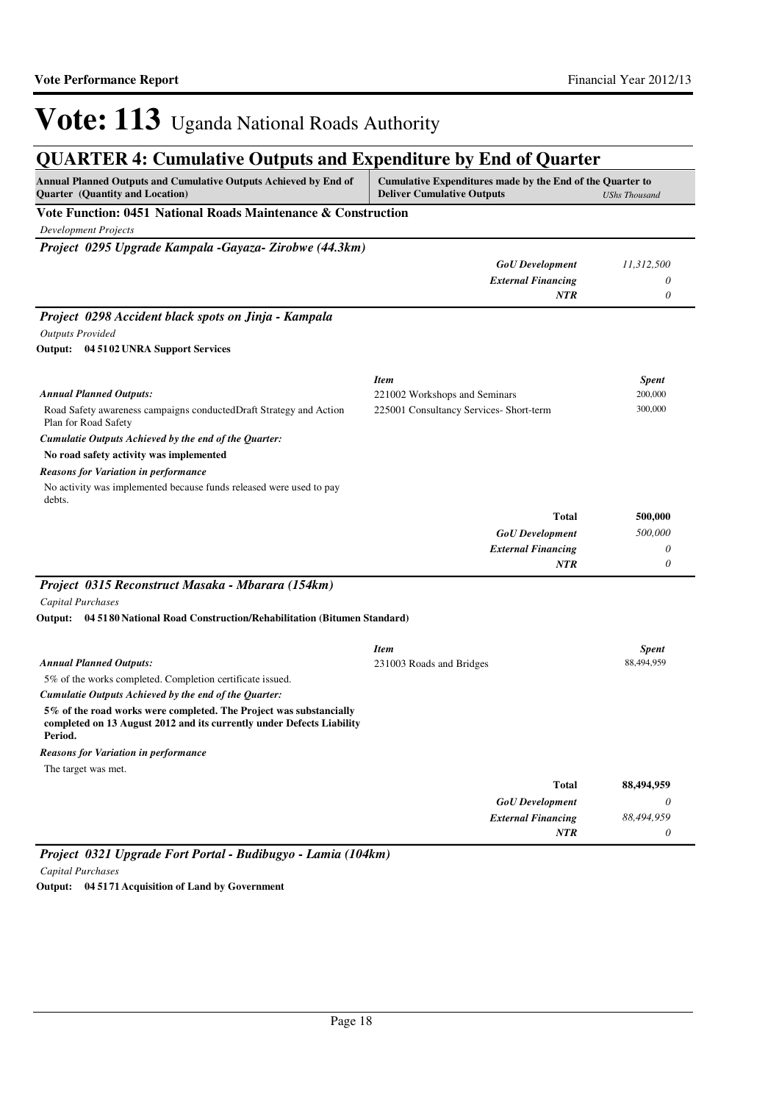## **QUARTER 4: Cumulative Outputs and Expenditure by End of Quarter**

| QUANTER 7. Camalative Outputs and Expenditure by Eine of Quarter<br><b>Annual Planned Outputs and Cumulative Outputs Achieved by End of</b><br>Quarter (Quantity and Location) | Cumulative Expenditures made by the End of the Quarter to<br><b>Deliver Cumulative Outputs</b> | <b>UShs Thousand</b> |
|--------------------------------------------------------------------------------------------------------------------------------------------------------------------------------|------------------------------------------------------------------------------------------------|----------------------|
| Vote Function: 0451 National Roads Maintenance & Construction                                                                                                                  |                                                                                                |                      |
| <b>Development Projects</b>                                                                                                                                                    |                                                                                                |                      |
| Project 0295 Upgrade Kampala -Gayaza- Zirobwe (44.3km)                                                                                                                         |                                                                                                |                      |
|                                                                                                                                                                                | <b>GoU</b> Development                                                                         | 11,312,500           |
|                                                                                                                                                                                | <b>External Financing</b>                                                                      | 0                    |
|                                                                                                                                                                                | <b>NTR</b>                                                                                     | 0                    |
| Project 0298 Accident black spots on Jinja - Kampala                                                                                                                           |                                                                                                |                      |
| <b>Outputs Provided</b>                                                                                                                                                        |                                                                                                |                      |
| Output: 04 51 02 UNRA Support Services                                                                                                                                         |                                                                                                |                      |
|                                                                                                                                                                                | <b>Item</b>                                                                                    | <b>Spent</b>         |
| <b>Annual Planned Outputs:</b>                                                                                                                                                 | 221002 Workshops and Seminars                                                                  | 200,000              |
| Road Safety awareness campaigns conducted Draft Strategy and Action<br>Plan for Road Safety                                                                                    | 225001 Consultancy Services- Short-term                                                        | 300,000              |
| Cumulatie Outputs Achieved by the end of the Quarter:                                                                                                                          |                                                                                                |                      |
| No road safety activity was implemented                                                                                                                                        |                                                                                                |                      |
| <b>Reasons for Variation in performance</b>                                                                                                                                    |                                                                                                |                      |
| No activity was implemented because funds released were used to pay<br>debts.                                                                                                  |                                                                                                |                      |
|                                                                                                                                                                                | <b>Total</b>                                                                                   | 500,000              |
|                                                                                                                                                                                | <b>GoU</b> Development                                                                         | 500,000              |
|                                                                                                                                                                                | <b>External Financing</b><br><b>NTR</b>                                                        | 0<br>0               |
| Project 0315 Reconstruct Masaka - Mbarara (154km)                                                                                                                              |                                                                                                |                      |
| Capital Purchases                                                                                                                                                              |                                                                                                |                      |
| Output: 04 51 80 National Road Construction/Rehabilitation (Bitumen Standard)                                                                                                  |                                                                                                |                      |
|                                                                                                                                                                                | <b>Item</b>                                                                                    | <b>Spent</b>         |
| <b>Annual Planned Outputs:</b>                                                                                                                                                 | 231003 Roads and Bridges                                                                       | 88,494,959           |
| 5% of the works completed. Completion certificate issued.                                                                                                                      |                                                                                                |                      |
| Cumulatie Outputs Achieved by the end of the Quarter:                                                                                                                          |                                                                                                |                      |
| 5% of the road works were completed. The Project was substancially<br>completed on 13 August 2012 and its currently under Defects Liability<br>Period.                         |                                                                                                |                      |
| <b>Reasons for Variation in performance</b>                                                                                                                                    |                                                                                                |                      |
| The target was met.                                                                                                                                                            |                                                                                                |                      |
|                                                                                                                                                                                | <b>Total</b>                                                                                   | 88,494,959           |
|                                                                                                                                                                                | <b>GoU</b> Development                                                                         | 0                    |
|                                                                                                                                                                                | <b>External Financing</b>                                                                      | 88,494,959           |
|                                                                                                                                                                                | NTR                                                                                            | 0                    |

*Project 0321 Upgrade Fort Portal - Budibugyo - Lamia (104km) Capital Purchases*

**Output: 04 5171 Acquisition of Land by Government**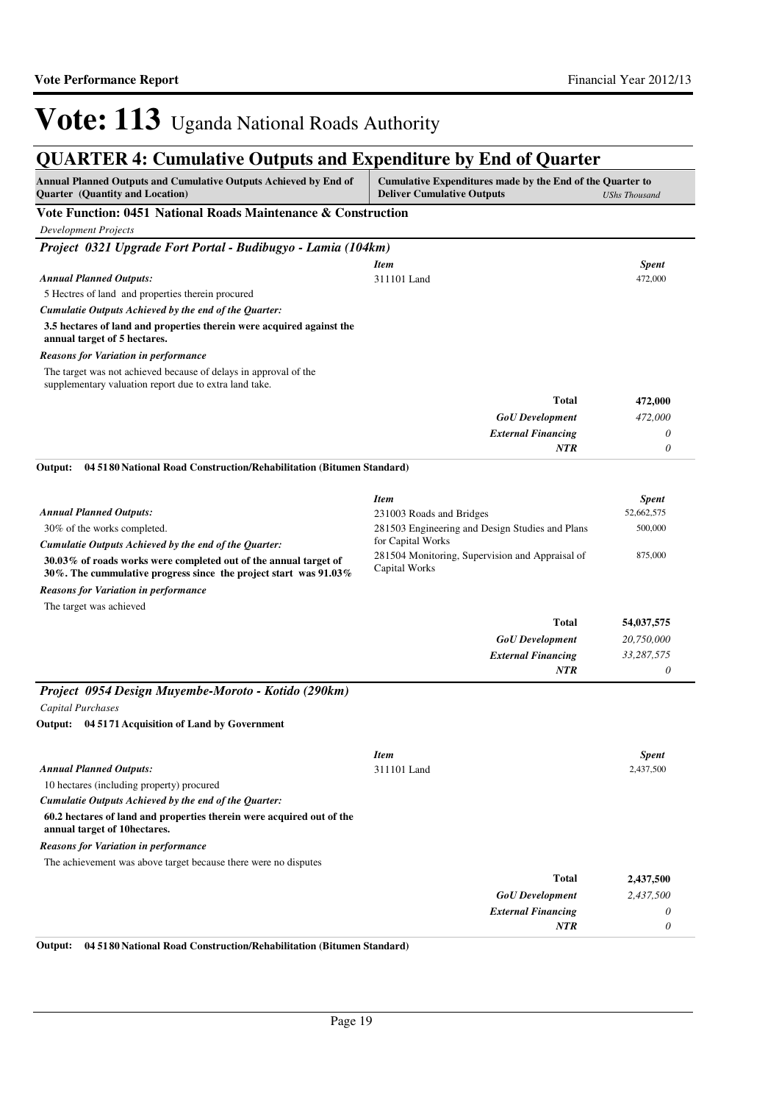## **QUARTER 4: Cumulative Outputs and Expenditure by End of Quarter**

| <b>Annual Planned Outputs and Cumulative Outputs Achieved by End of</b><br>Quarter (Quantity and Location)                              | Cumulative Expenditures made by the End of the Quarter to<br><b>Deliver Cumulative Outputs</b> | <b>UShs Thousand</b> |
|-----------------------------------------------------------------------------------------------------------------------------------------|------------------------------------------------------------------------------------------------|----------------------|
| Vote Function: 0451 National Roads Maintenance & Construction                                                                           |                                                                                                |                      |
| <b>Development Projects</b>                                                                                                             |                                                                                                |                      |
| Project 0321 Upgrade Fort Portal - Budibugyo - Lamia (104km)                                                                            |                                                                                                |                      |
|                                                                                                                                         | <b>Item</b>                                                                                    | <b>Spent</b>         |
| <b>Annual Planned Outputs:</b>                                                                                                          | 311101 Land                                                                                    | 472,000              |
| 5 Hectres of land and properties therein procured                                                                                       |                                                                                                |                      |
| Cumulatie Outputs Achieved by the end of the Quarter:                                                                                   |                                                                                                |                      |
| 3.5 hectares of land and properties therein were acquired against the<br>annual target of 5 hectares.                                   |                                                                                                |                      |
| <b>Reasons for Variation in performance</b>                                                                                             |                                                                                                |                      |
| The target was not achieved because of delays in approval of the<br>supplementary valuation report due to extra land take.              |                                                                                                |                      |
|                                                                                                                                         | Total                                                                                          | 472,000              |
|                                                                                                                                         | <b>GoU</b> Development                                                                         | 472,000              |
|                                                                                                                                         | <b>External Financing</b>                                                                      | 0                    |
|                                                                                                                                         | NTR                                                                                            | $\theta$             |
| 04 51 80 National Road Construction/Rehabilitation (Bitumen Standard)<br>Output:                                                        |                                                                                                |                      |
|                                                                                                                                         |                                                                                                |                      |
|                                                                                                                                         | <b>Item</b>                                                                                    | <b>Spent</b>         |
| <b>Annual Planned Outputs:</b>                                                                                                          | 231003 Roads and Bridges                                                                       | 52,662,575           |
| 30% of the works completed.                                                                                                             | 281503 Engineering and Design Studies and Plans                                                | 500,000              |
| Cumulatie Outputs Achieved by the end of the Quarter:                                                                                   | for Capital Works                                                                              |                      |
| 30.03% of roads works were completed out of the annual target of<br>30%. The cummulative progress since the project start was $91.03\%$ | 281504 Monitoring, Supervision and Appraisal of<br>Capital Works                               | 875,000              |
| <b>Reasons for Variation in performance</b><br>The target was achieved                                                                  |                                                                                                |                      |
|                                                                                                                                         | Total                                                                                          | 54,037,575           |
|                                                                                                                                         | <b>GoU</b> Development                                                                         | 20,750,000           |
|                                                                                                                                         | <b>External Financing</b>                                                                      | 33,287,575           |
|                                                                                                                                         | <b>NTR</b>                                                                                     | 0                    |
| Project 0954 Design Muyembe-Moroto - Kotido (290km)                                                                                     |                                                                                                |                      |
| Capital Purchases                                                                                                                       |                                                                                                |                      |
| 04 5171 Acquisition of Land by Government<br>Output:                                                                                    |                                                                                                |                      |
|                                                                                                                                         |                                                                                                |                      |
|                                                                                                                                         | <b>Item</b>                                                                                    | <b>Spent</b>         |
| <b>Annual Planned Outputs:</b>                                                                                                          | 311101 Land                                                                                    | 2,437,500            |
| 10 hectares (including property) procured                                                                                               |                                                                                                |                      |
| Cumulatie Outputs Achieved by the end of the Quarter:                                                                                   |                                                                                                |                      |
| 60.2 hectares of land and properties therein were acquired out of the<br>annual target of 10hectares.                                   |                                                                                                |                      |
| <b>Reasons for Variation in performance</b>                                                                                             |                                                                                                |                      |
| The achievement was above target because there were no disputes                                                                         |                                                                                                |                      |
|                                                                                                                                         | Total                                                                                          | 2,437,500            |
|                                                                                                                                         | <b>GoU</b> Development                                                                         | 2,437,500            |
|                                                                                                                                         | <b>External Financing</b>                                                                      | 0                    |
|                                                                                                                                         | NTR                                                                                            | 0                    |

**Output: 04 5180 National Road Construction/Rehabilitation (Bitumen Standard)**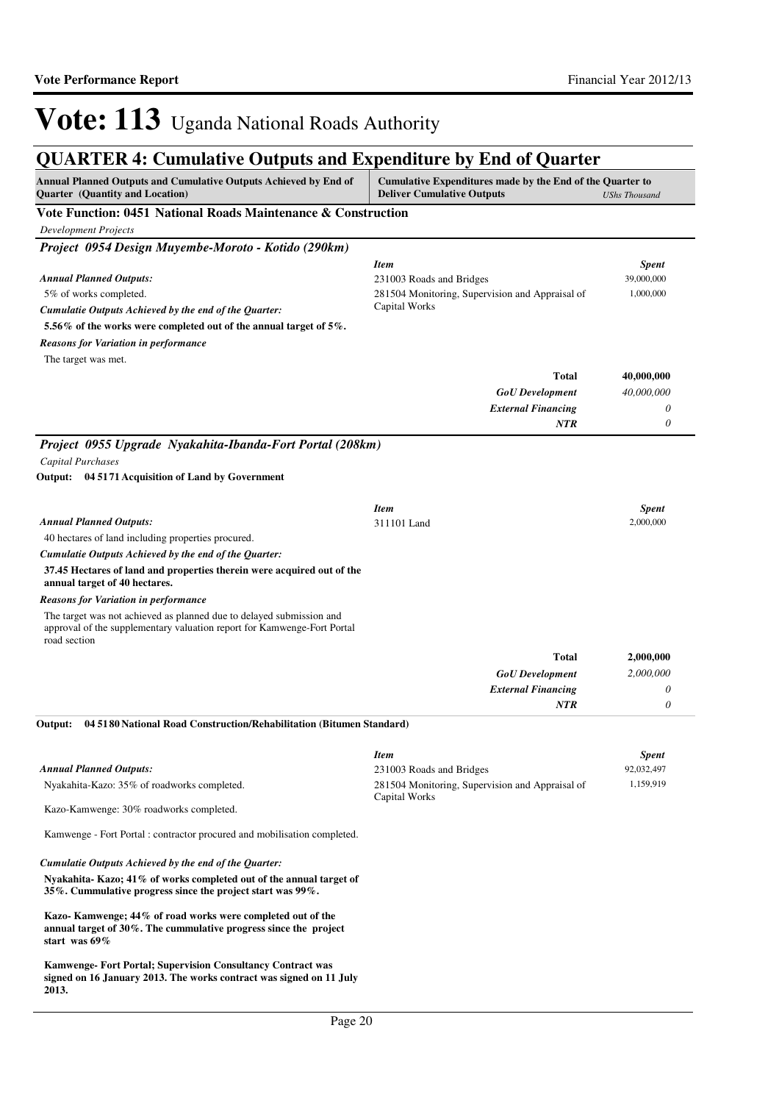| COMMER II Camamary Carpais and Expenditure by End of                                                                                                            |                                                                                                |                      |
|-----------------------------------------------------------------------------------------------------------------------------------------------------------------|------------------------------------------------------------------------------------------------|----------------------|
| <b>Annual Planned Outputs and Cumulative Outputs Achieved by End of</b><br>Quarter (Quantity and Location)                                                      | Cumulative Expenditures made by the End of the Quarter to<br><b>Deliver Cumulative Outputs</b> | <b>UShs Thousand</b> |
| Vote Function: 0451 National Roads Maintenance & Construction                                                                                                   |                                                                                                |                      |
| <b>Development Projects</b>                                                                                                                                     |                                                                                                |                      |
| Project 0954 Design Muyembe-Moroto - Kotido (290km)                                                                                                             |                                                                                                |                      |
|                                                                                                                                                                 | <b>Item</b>                                                                                    | <b>Spent</b>         |
| <b>Annual Planned Outputs:</b>                                                                                                                                  | 231003 Roads and Bridges                                                                       | 39,000,000           |
| 5% of works completed.                                                                                                                                          | 281504 Monitoring, Supervision and Appraisal of<br>Capital Works                               | 1,000,000            |
| Cumulatie Outputs Achieved by the end of the Quarter:                                                                                                           |                                                                                                |                      |
| 5.56% of the works were completed out of the annual target of 5%.                                                                                               |                                                                                                |                      |
| <b>Reasons for Variation in performance</b><br>The target was met.                                                                                              |                                                                                                |                      |
|                                                                                                                                                                 | <b>Total</b>                                                                                   | 40,000,000           |
|                                                                                                                                                                 | <b>GoU</b> Development                                                                         | 40,000,000           |
|                                                                                                                                                                 | <b>External Financing</b>                                                                      | 0                    |
|                                                                                                                                                                 | <b>NTR</b>                                                                                     | 0                    |
| Project 0955 Upgrade Nyakahita-Ibanda-Fort Portal (208km)                                                                                                       |                                                                                                |                      |
| Capital Purchases                                                                                                                                               |                                                                                                |                      |
| Output: 04 5171 Acquisition of Land by Government                                                                                                               |                                                                                                |                      |
|                                                                                                                                                                 |                                                                                                |                      |
|                                                                                                                                                                 | <b>Item</b>                                                                                    | <b>Spent</b>         |
| <b>Annual Planned Outputs:</b>                                                                                                                                  | 311101 Land                                                                                    | 2,000,000            |
| 40 hectares of land including properties procured.                                                                                                              |                                                                                                |                      |
| Cumulatie Outputs Achieved by the end of the Quarter:                                                                                                           |                                                                                                |                      |
| 37.45 Hectares of land and properties therein were acquired out of the<br>annual target of 40 hectares.                                                         |                                                                                                |                      |
| <b>Reasons for Variation in performance</b>                                                                                                                     |                                                                                                |                      |
| The target was not achieved as planned due to delayed submission and<br>approval of the supplementary valuation report for Kamwenge-Fort Portal<br>road section |                                                                                                |                      |
|                                                                                                                                                                 | <b>Total</b>                                                                                   | 2,000,000            |
|                                                                                                                                                                 | $GoU$ Development                                                                              | 2,000,000            |
|                                                                                                                                                                 | <b>External Financing</b>                                                                      | 0                    |
|                                                                                                                                                                 | <b>NTR</b>                                                                                     | 0                    |
| 04 5180 National Road Construction/Rehabilitation (Bitumen Standard)<br>Output:                                                                                 |                                                                                                |                      |
|                                                                                                                                                                 | <b>Item</b>                                                                                    | <b>Spent</b>         |
| <b>Annual Planned Outputs:</b>                                                                                                                                  | 231003 Roads and Bridges                                                                       | 92,032,497           |
| Nyakahita-Kazo: 35% of roadworks completed.                                                                                                                     | 281504 Monitoring, Supervision and Appraisal of                                                | 1,159,919            |
| Kazo-Kamwenge: 30% roadworks completed.                                                                                                                         | Capital Works                                                                                  |                      |
| Kamwenge - Fort Portal : contractor procured and mobilisation completed.                                                                                        |                                                                                                |                      |
| Cumulatie Outputs Achieved by the end of the Quarter:                                                                                                           |                                                                                                |                      |
| Nyakahita-Kazo; 41% of works completed out of the annual target of<br>35%. Cummulative progress since the project start was 99%.                                |                                                                                                |                      |
| Kazo-Kamwenge; 44% of road works were completed out of the<br>annual target of 30%. The cummulative progress since the project<br>start was $69\%$              |                                                                                                |                      |
| Kamwenge-Fort Portal; Supervision Consultancy Contract was<br>signed on 16 January 2013. The works contract was signed on 11 July<br>2013.                      |                                                                                                |                      |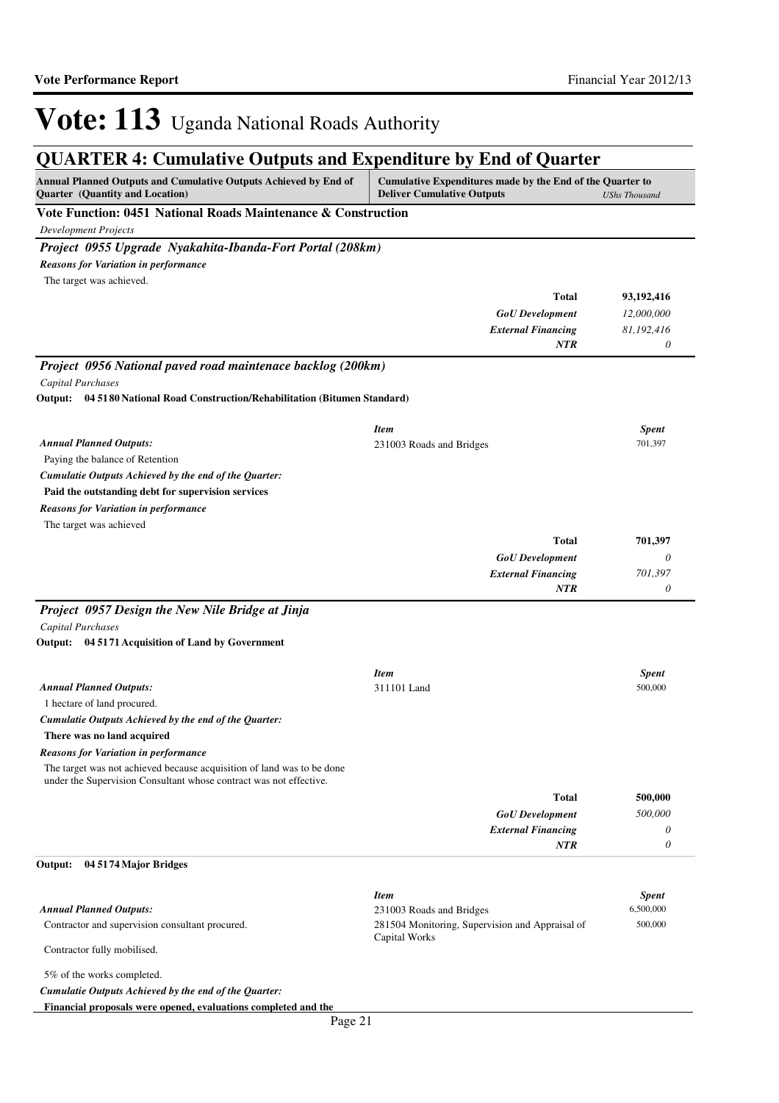| Annual Planned Outputs and Cumulative Outputs Achieved by End of<br>Quarter (Quantity and Location)                                          | Cumulative Expenditures made by the End of the Quarter to<br><b>Deliver Cumulative Outputs</b> | <b>UShs Thousand</b> |
|----------------------------------------------------------------------------------------------------------------------------------------------|------------------------------------------------------------------------------------------------|----------------------|
| Vote Function: 0451 National Roads Maintenance & Construction<br><b>Development Projects</b>                                                 |                                                                                                |                      |
| Project 0955 Upgrade Nyakahita-Ibanda-Fort Portal (208km)                                                                                    |                                                                                                |                      |
| <b>Reasons for Variation in performance</b>                                                                                                  |                                                                                                |                      |
| The target was achieved.                                                                                                                     |                                                                                                |                      |
|                                                                                                                                              | Total                                                                                          | 93, 192, 416         |
|                                                                                                                                              | <b>GoU</b> Development                                                                         | 12,000,000           |
|                                                                                                                                              | <b>External Financing</b>                                                                      | 81,192,416           |
|                                                                                                                                              | <b>NTR</b>                                                                                     | 0                    |
| Project 0956 National paved road maintenace backlog (200km)                                                                                  |                                                                                                |                      |
| <b>Capital Purchases</b>                                                                                                                     |                                                                                                |                      |
| Output: 04 51 80 National Road Construction/Rehabilitation (Bitumen Standard)                                                                |                                                                                                |                      |
|                                                                                                                                              |                                                                                                |                      |
|                                                                                                                                              | <b>Item</b>                                                                                    | <b>Spent</b>         |
| <b>Annual Planned Outputs:</b>                                                                                                               | 231003 Roads and Bridges                                                                       | 701,397              |
| Paying the balance of Retention                                                                                                              |                                                                                                |                      |
| Cumulatie Outputs Achieved by the end of the Quarter:                                                                                        |                                                                                                |                      |
| Paid the outstanding debt for supervision services                                                                                           |                                                                                                |                      |
| <b>Reasons for Variation in performance</b><br>The target was achieved                                                                       |                                                                                                |                      |
|                                                                                                                                              | Total                                                                                          | 701,397              |
|                                                                                                                                              | <b>GoU</b> Development                                                                         | 0                    |
|                                                                                                                                              | <b>External Financing</b>                                                                      | 701,397              |
|                                                                                                                                              | <b>NTR</b>                                                                                     | 0                    |
| Project 0957 Design the New Nile Bridge at Jinja                                                                                             |                                                                                                |                      |
| <b>Capital Purchases</b>                                                                                                                     |                                                                                                |                      |
| Output: 04 5171 Acquisition of Land by Government                                                                                            |                                                                                                |                      |
|                                                                                                                                              |                                                                                                |                      |
|                                                                                                                                              | <b>Item</b>                                                                                    | <b>Spent</b>         |
| <b>Annual Planned Outputs:</b>                                                                                                               | 311101 Land                                                                                    | 500,000              |
| 1 hectare of land procured.                                                                                                                  |                                                                                                |                      |
| Cumulatie Outputs Achieved by the end of the Quarter:                                                                                        |                                                                                                |                      |
| There was no land acquired                                                                                                                   |                                                                                                |                      |
| <b>Reasons for Variation in performance</b>                                                                                                  |                                                                                                |                      |
| The target was not achieved because acquisition of land was to be done<br>under the Supervision Consultant whose contract was not effective. |                                                                                                |                      |
|                                                                                                                                              | Total                                                                                          | 500,000              |
|                                                                                                                                              | <b>GoU</b> Development                                                                         | 500,000              |
|                                                                                                                                              | <b>External Financing</b>                                                                      | 0                    |
|                                                                                                                                              | NTR                                                                                            | 0                    |
| Output:<br>04 5174 Major Bridges                                                                                                             |                                                                                                |                      |
|                                                                                                                                              |                                                                                                |                      |
|                                                                                                                                              | <b>Item</b>                                                                                    | <b>Spent</b>         |
| <b>Annual Planned Outputs:</b>                                                                                                               | 231003 Roads and Bridges                                                                       | 6,500,000            |
| Contractor and supervision consultant procured.                                                                                              | 281504 Monitoring, Supervision and Appraisal of                                                | 500,000              |
| Contractor fully mobilised.                                                                                                                  | Capital Works                                                                                  |                      |
| 5% of the works completed.                                                                                                                   |                                                                                                |                      |
| Cumulatie Outputs Achieved by the end of the Quarter:                                                                                        |                                                                                                |                      |
| Financial proposals were opened, evaluations completed and the                                                                               |                                                                                                |                      |
| Page 21                                                                                                                                      |                                                                                                |                      |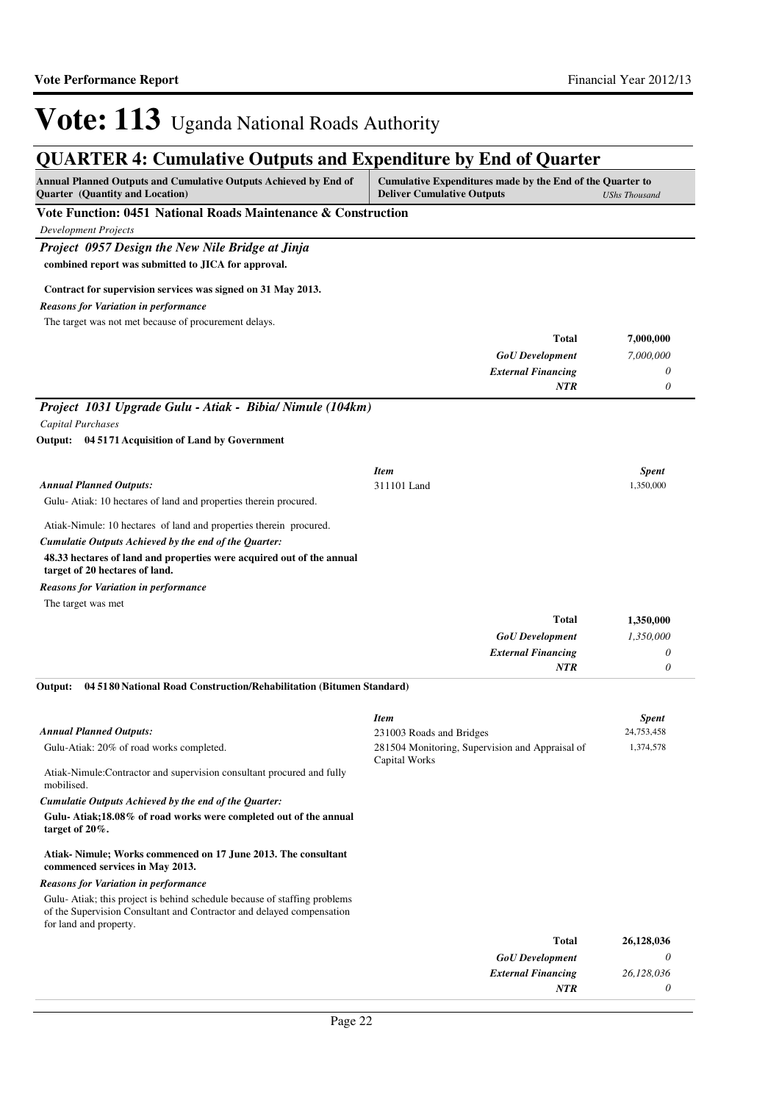| CHATLER II CUMUMUTV OUVPUD MIN ERPORTUNG OF EMA OF<br>Annual Planned Outputs and Cumulative Outputs Achieved by End of                                                      | Cumulative Expenditures made by the End of the Quarter to        |                      |
|-----------------------------------------------------------------------------------------------------------------------------------------------------------------------------|------------------------------------------------------------------|----------------------|
| Quarter (Quantity and Location)<br>Vote Function: 0451 National Roads Maintenance & Construction                                                                            | <b>Deliver Cumulative Outputs</b>                                | <b>UShs Thousand</b> |
| <b>Development Projects</b>                                                                                                                                                 |                                                                  |                      |
| Project 0957 Design the New Nile Bridge at Jinja                                                                                                                            |                                                                  |                      |
| combined report was submitted to JICA for approval.                                                                                                                         |                                                                  |                      |
| Contract for supervision services was signed on 31 May 2013.                                                                                                                |                                                                  |                      |
| <b>Reasons for Variation in performance</b>                                                                                                                                 |                                                                  |                      |
| The target was not met because of procurement delays.                                                                                                                       |                                                                  |                      |
|                                                                                                                                                                             | <b>Total</b>                                                     | 7,000,000            |
|                                                                                                                                                                             | <b>GoU</b> Development                                           | 7,000,000            |
|                                                                                                                                                                             | <b>External Financing</b><br><b>NTR</b>                          | 0<br>$\theta$        |
| Project 1031 Upgrade Gulu - Atiak - Bibia/ Nimule (104km)                                                                                                                   |                                                                  |                      |
| Capital Purchases                                                                                                                                                           |                                                                  |                      |
| Output: 04 5171 Acquisition of Land by Government                                                                                                                           |                                                                  |                      |
|                                                                                                                                                                             | <b>Item</b>                                                      | <b>Spent</b>         |
| <b>Annual Planned Outputs:</b>                                                                                                                                              | 311101 Land                                                      | 1,350,000            |
| Gulu-Atiak: 10 hectares of land and properties therein procured.                                                                                                            |                                                                  |                      |
| Atiak-Nimule: 10 hectares of land and properties therein procured.                                                                                                          |                                                                  |                      |
| Cumulatie Outputs Achieved by the end of the Quarter:                                                                                                                       |                                                                  |                      |
| 48.33 hectares of land and properties were acquired out of the annual<br>target of 20 hectares of land.                                                                     |                                                                  |                      |
| <b>Reasons for Variation in performance</b>                                                                                                                                 |                                                                  |                      |
| The target was met                                                                                                                                                          |                                                                  |                      |
|                                                                                                                                                                             | <b>Total</b>                                                     | 1,350,000            |
|                                                                                                                                                                             | <b>GoU</b> Development                                           | 1,350,000            |
|                                                                                                                                                                             | <b>External Financing</b><br>NTR                                 | 0<br>$\theta$        |
| 04 5180 National Road Construction/Rehabilitation (Bitumen Standard)<br>Output:                                                                                             |                                                                  |                      |
|                                                                                                                                                                             | <b>Item</b>                                                      | <b>Spent</b>         |
| <b>Annual Planned Outputs:</b>                                                                                                                                              | 231003 Roads and Bridges                                         | 24,753,458           |
| Gulu-Atiak: 20% of road works completed.                                                                                                                                    | 281504 Monitoring, Supervision and Appraisal of<br>Capital Works | 1,374,578            |
| Atiak-Nimule:Contractor and supervision consultant procured and fully<br>mobilised.                                                                                         |                                                                  |                      |
| Cumulatie Outputs Achieved by the end of the Quarter:                                                                                                                       |                                                                  |                      |
| Gulu-Atiak;18.08% of road works were completed out of the annual<br>target of $20\%$ .                                                                                      |                                                                  |                      |
| Atiak-Nimule; Works commenced on 17 June 2013. The consultant<br>commenced services in May 2013.                                                                            |                                                                  |                      |
| <b>Reasons for Variation in performance</b>                                                                                                                                 |                                                                  |                      |
| Gulu-Atiak; this project is behind schedule because of staffing problems<br>of the Supervision Consultant and Contractor and delayed compensation<br>for land and property. |                                                                  |                      |
|                                                                                                                                                                             | <b>Total</b>                                                     | 26,128,036           |
|                                                                                                                                                                             | <b>GoU</b> Development                                           | 0                    |
|                                                                                                                                                                             | <b>External Financing</b>                                        | 26,128,036           |
|                                                                                                                                                                             | NTR                                                              | 0                    |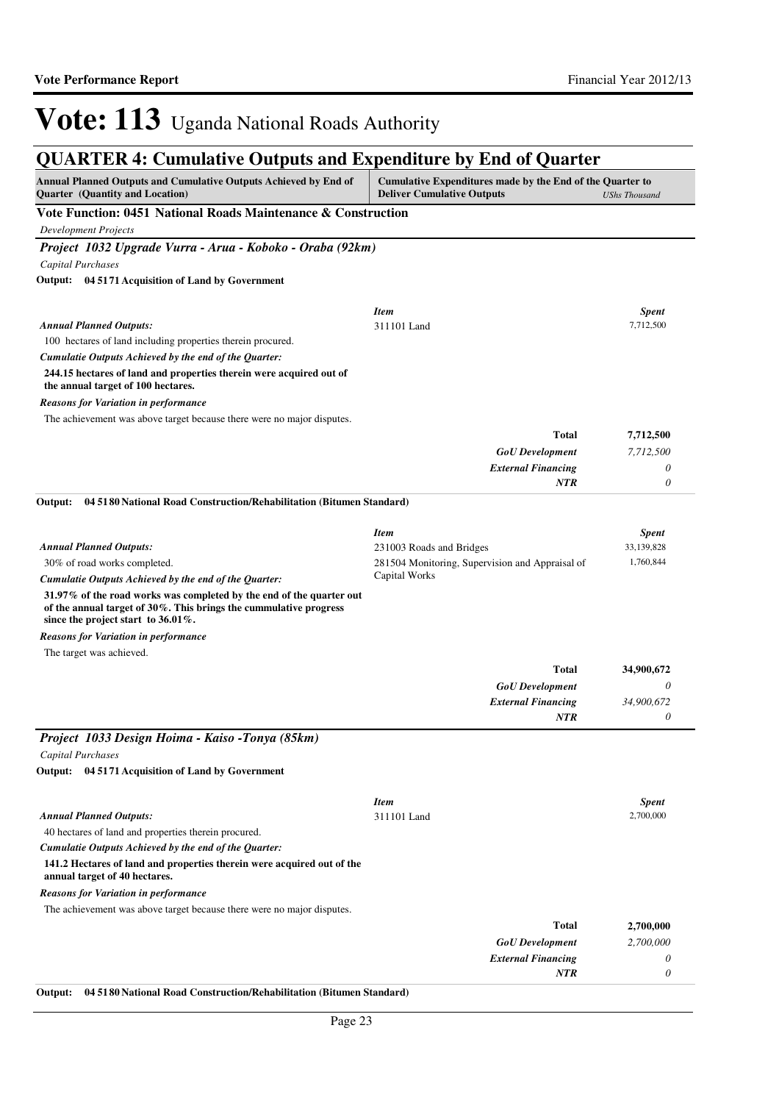## **QUARTER 4: Cumulative Outputs and Expenditure by End of Quarter**

| <b>Annual Planned Outputs and Cumulative Outputs Achieved by End of</b><br><b>Quarter</b> (Quantity and Location)                                                                   | Cumulative Expenditures made by the End of the Quarter to<br><b>Deliver Cumulative Outputs</b><br><b>UShs Thousand</b> |              |
|-------------------------------------------------------------------------------------------------------------------------------------------------------------------------------------|------------------------------------------------------------------------------------------------------------------------|--------------|
| Vote Function: 0451 National Roads Maintenance & Construction                                                                                                                       |                                                                                                                        |              |
| <b>Development Projects</b>                                                                                                                                                         |                                                                                                                        |              |
| Project 1032 Upgrade Vurra - Arua - Koboko - Oraba (92km)                                                                                                                           |                                                                                                                        |              |
| <b>Capital Purchases</b>                                                                                                                                                            |                                                                                                                        |              |
| Output: 04 5171 Acquisition of Land by Government                                                                                                                                   |                                                                                                                        |              |
|                                                                                                                                                                                     |                                                                                                                        |              |
|                                                                                                                                                                                     | <b>Item</b>                                                                                                            | <b>Spent</b> |
| <b>Annual Planned Outputs:</b>                                                                                                                                                      | 311101 Land                                                                                                            | 7,712,500    |
| 100 hectares of land including properties therein procured.                                                                                                                         |                                                                                                                        |              |
| Cumulatie Outputs Achieved by the end of the Quarter:                                                                                                                               |                                                                                                                        |              |
| 244.15 hectares of land and properties therein were acquired out of<br>the annual target of 100 hectares.                                                                           |                                                                                                                        |              |
| <b>Reasons for Variation in performance</b>                                                                                                                                         |                                                                                                                        |              |
| The achievement was above target because there were no major disputes.                                                                                                              |                                                                                                                        |              |
|                                                                                                                                                                                     | <b>Total</b>                                                                                                           | 7,712,500    |
|                                                                                                                                                                                     | <b>GoU</b> Development                                                                                                 | 7,712,500    |
|                                                                                                                                                                                     | <b>External Financing</b>                                                                                              | 0            |
|                                                                                                                                                                                     | NTR                                                                                                                    | $\theta$     |
| Output:<br>04 51 80 National Road Construction/Rehabilitation (Bitumen Standard)                                                                                                    |                                                                                                                        |              |
|                                                                                                                                                                                     | <b>Item</b>                                                                                                            | <b>Spent</b> |
| <b>Annual Planned Outputs:</b>                                                                                                                                                      | 231003 Roads and Bridges                                                                                               | 33,139,828   |
| 30% of road works completed.                                                                                                                                                        | 281504 Monitoring, Supervision and Appraisal of                                                                        | 1,760,844    |
| Cumulatie Outputs Achieved by the end of the Quarter:                                                                                                                               | Capital Works                                                                                                          |              |
| 31.97% of the road works was completed by the end of the quarter out<br>of the annual target of 30%. This brings the cummulative progress<br>since the project start to $36.01\%$ . |                                                                                                                        |              |
| <b>Reasons for Variation in performance</b>                                                                                                                                         |                                                                                                                        |              |
| The target was achieved.                                                                                                                                                            |                                                                                                                        |              |
|                                                                                                                                                                                     | <b>Total</b>                                                                                                           | 34,900,672   |
|                                                                                                                                                                                     | <b>GoU</b> Development                                                                                                 | 0            |
|                                                                                                                                                                                     | <b>External Financing</b>                                                                                              | 34,900,672   |
|                                                                                                                                                                                     | <b>NTR</b>                                                                                                             | 0            |
| Project 1033 Design Hoima - Kaiso -Tonya (85km)                                                                                                                                     |                                                                                                                        |              |
| Capital Purchases                                                                                                                                                                   |                                                                                                                        |              |
| Output: 04 5171 Acquisition of Land by Government                                                                                                                                   |                                                                                                                        |              |
|                                                                                                                                                                                     | <b>Item</b>                                                                                                            | <b>Spent</b> |
| <b>Annual Planned Outputs:</b>                                                                                                                                                      | 311101 Land                                                                                                            | 2,700,000    |
| 40 hectares of land and properties therein procured.                                                                                                                                |                                                                                                                        |              |
| Cumulatie Outputs Achieved by the end of the Quarter:                                                                                                                               |                                                                                                                        |              |
| 141.2 Hectares of land and properties therein were acquired out of the<br>annual target of 40 hectares.                                                                             |                                                                                                                        |              |
| <b>Reasons for Variation in performance</b>                                                                                                                                         |                                                                                                                        |              |
| The achievement was above target because there were no major disputes.                                                                                                              |                                                                                                                        |              |
|                                                                                                                                                                                     | <b>Total</b>                                                                                                           | 2,700,000    |
|                                                                                                                                                                                     | <b>GoU</b> Development                                                                                                 | 2,700,000    |
|                                                                                                                                                                                     | <b>External Financing</b>                                                                                              | 0            |
|                                                                                                                                                                                     | NTR                                                                                                                    | $\theta$     |

**Output: 04 5180 National Road Construction/Rehabilitation (Bitumen Standard)**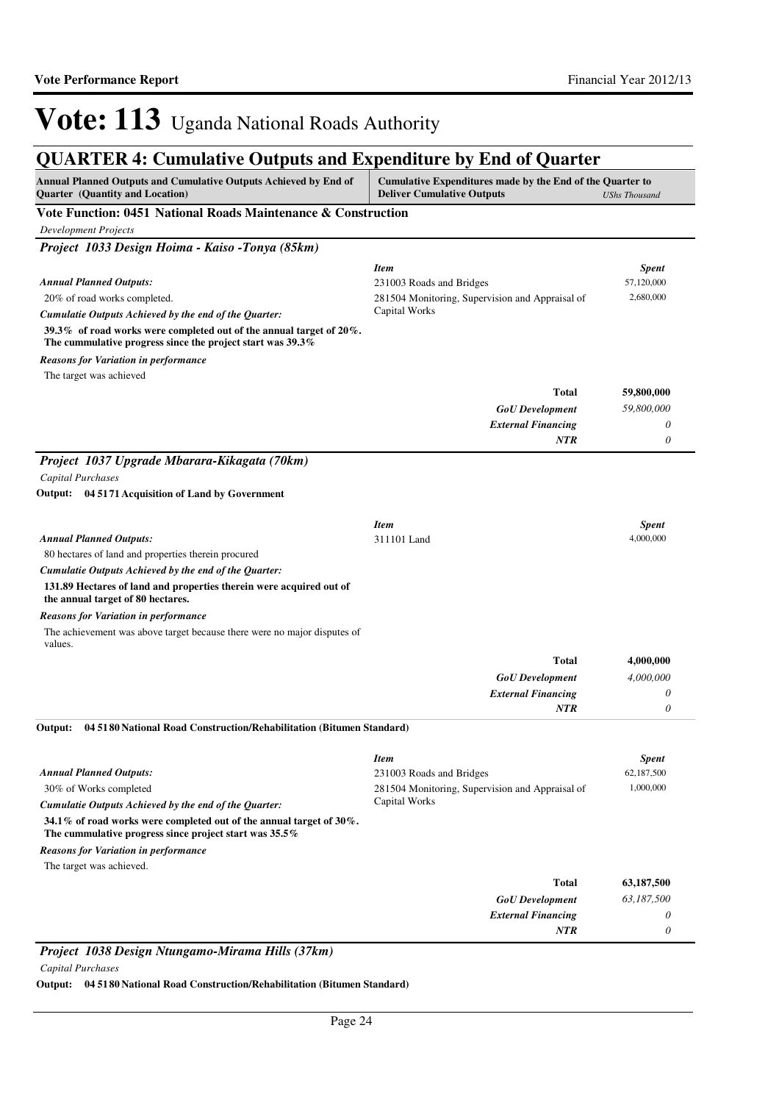## **QUARTER 4: Cumulative Outputs and Expenditure by End of Quarter**

| Annual Planned Outputs and Cumulative Outputs Achieved by End of<br>Quarter (Quantity and Location)                                   | Cumulative Expenditures made by the End of the Quarter to<br><b>Deliver Cumulative Outputs</b> | <b>UShs Thousand</b> |
|---------------------------------------------------------------------------------------------------------------------------------------|------------------------------------------------------------------------------------------------|----------------------|
| Vote Function: 0451 National Roads Maintenance & Construction                                                                         |                                                                                                |                      |
| <b>Development Projects</b>                                                                                                           |                                                                                                |                      |
| Project 1033 Design Hoima - Kaiso -Tonya (85km)                                                                                       |                                                                                                |                      |
|                                                                                                                                       | <b>Item</b>                                                                                    | <b>Spent</b>         |
| <b>Annual Planned Outputs:</b>                                                                                                        | 231003 Roads and Bridges                                                                       | 57,120,000           |
| 20% of road works completed.                                                                                                          | 281504 Monitoring, Supervision and Appraisal of                                                | 2,680,000            |
| Cumulatie Outputs Achieved by the end of the Quarter:                                                                                 | Capital Works                                                                                  |                      |
| 39.3% of road works were completed out of the annual target of $20\%$ .<br>The cummulative progress since the project start was 39.3% |                                                                                                |                      |
| <b>Reasons for Variation in performance</b>                                                                                           |                                                                                                |                      |
| The target was achieved                                                                                                               |                                                                                                |                      |
|                                                                                                                                       | Total                                                                                          | 59,800,000           |
|                                                                                                                                       | <b>GoU</b> Development                                                                         | 59,800,000           |
|                                                                                                                                       | <b>External Financing</b>                                                                      | 0                    |
|                                                                                                                                       | <b>NTR</b>                                                                                     | 0                    |
| Project 1037 Upgrade Mbarara-Kikagata (70km)                                                                                          |                                                                                                |                      |
| <b>Capital Purchases</b>                                                                                                              |                                                                                                |                      |
| Output: 04 5171 Acquisition of Land by Government                                                                                     |                                                                                                |                      |
|                                                                                                                                       |                                                                                                |                      |
|                                                                                                                                       | <b>Item</b>                                                                                    | <b>Spent</b>         |
| <b>Annual Planned Outputs:</b>                                                                                                        | 311101 Land                                                                                    | 4,000,000            |
| 80 hectares of land and properties therein procured                                                                                   |                                                                                                |                      |
| Cumulatie Outputs Achieved by the end of the Quarter:                                                                                 |                                                                                                |                      |
| 131.89 Hectares of land and properties therein were acquired out of<br>the annual target of 80 hectares.                              |                                                                                                |                      |
| <b>Reasons for Variation in performance</b>                                                                                           |                                                                                                |                      |
| The achievement was above target because there were no major disputes of<br>values.                                                   |                                                                                                |                      |
|                                                                                                                                       | Total                                                                                          | 4,000,000            |
|                                                                                                                                       | <b>GoU</b> Development                                                                         | 4,000,000            |
|                                                                                                                                       | <b>External Financing</b><br><b>NTR</b>                                                        | 0<br>0               |
|                                                                                                                                       |                                                                                                |                      |
| 04 5180 National Road Construction/Rehabilitation (Bitumen Standard)<br>Output:                                                       |                                                                                                |                      |
|                                                                                                                                       | <b>Item</b>                                                                                    | <b>Spent</b>         |
| <b>Annual Planned Outputs:</b>                                                                                                        | 231003 Roads and Bridges                                                                       | 62,187,500           |
| 30% of Works completed                                                                                                                | 281504 Monitoring, Supervision and Appraisal of                                                | 1,000,000            |
| Cumulatie Outputs Achieved by the end of the Quarter:                                                                                 | Capital Works                                                                                  |                      |
| 34.1% of road works were completed out of the annual target of $30\%$ .<br>The cummulative progress since project start was $35.5\%$  |                                                                                                |                      |
| <b>Reasons for Variation in performance</b>                                                                                           |                                                                                                |                      |
| The target was achieved.                                                                                                              |                                                                                                |                      |
|                                                                                                                                       | Total                                                                                          | 63,187,500           |
|                                                                                                                                       | <b>GoU</b> Development                                                                         | 63,187,500           |
|                                                                                                                                       | <b>External Financing</b>                                                                      | 0                    |
|                                                                                                                                       | <b>NTR</b>                                                                                     | 0                    |

*Project 1038 Design Ntungamo-Mirama Hills (37km) Capital Purchases*

**Output: 04 5180 National Road Construction/Rehabilitation (Bitumen Standard)**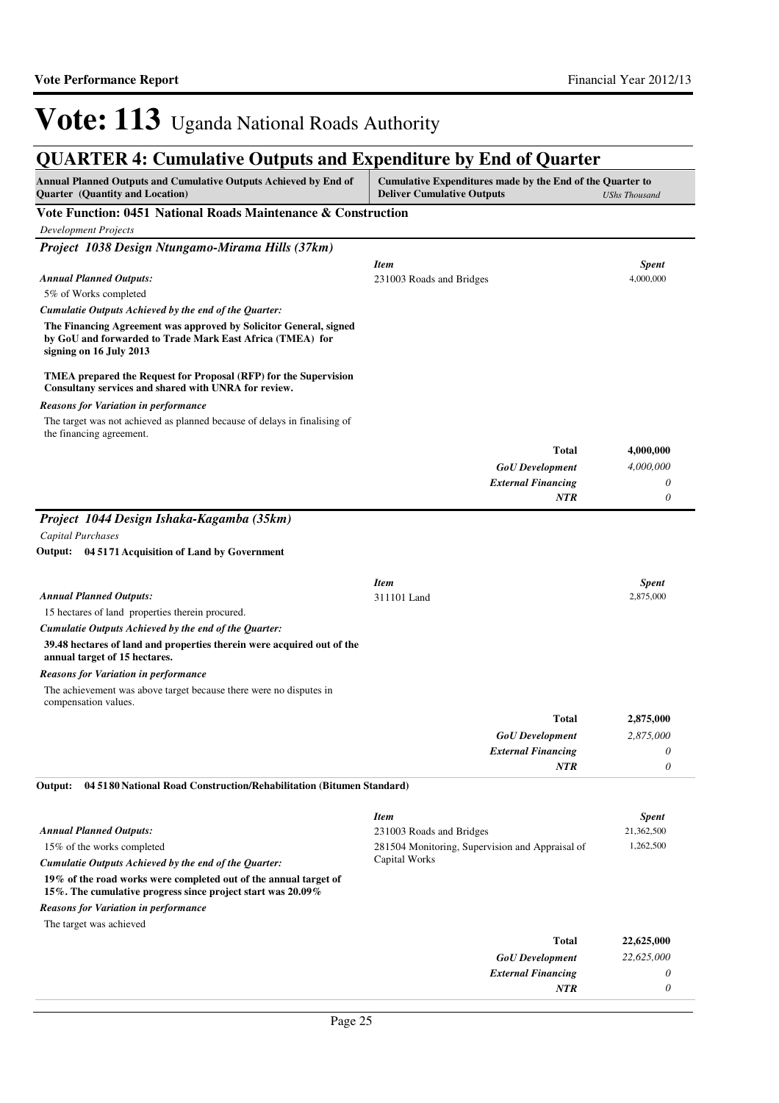| goriaanin a camaanaa o aqqaw ana napenanare of ma or gaarter<br>Annual Planned Outputs and Cumulative Outputs Achieved by End of<br>Quarter (Quantity and Location) | Cumulative Expenditures made by the End of the Quarter to<br><b>Deliver Cumulative Outputs</b> | <b>UShs Thousand</b>       |
|---------------------------------------------------------------------------------------------------------------------------------------------------------------------|------------------------------------------------------------------------------------------------|----------------------------|
| Vote Function: 0451 National Roads Maintenance & Construction                                                                                                       |                                                                                                |                            |
| <b>Development Projects</b>                                                                                                                                         |                                                                                                |                            |
| Project 1038 Design Ntungamo-Mirama Hills (37km)                                                                                                                    |                                                                                                |                            |
|                                                                                                                                                                     | <b>Item</b>                                                                                    | <b>Spent</b>               |
| <b>Annual Planned Outputs:</b>                                                                                                                                      | 231003 Roads and Bridges                                                                       | 4,000,000                  |
| 5% of Works completed                                                                                                                                               |                                                                                                |                            |
| Cumulatie Outputs Achieved by the end of the Quarter:                                                                                                               |                                                                                                |                            |
| The Financing Agreement was approved by Solicitor General, signed<br>by GoU and forwarded to Trade Mark East Africa (TMEA) for<br>signing on 16 July 2013           |                                                                                                |                            |
| TMEA prepared the Request for Proposal (RFP) for the Supervision<br>Consultany services and shared with UNRA for review.                                            |                                                                                                |                            |
| Reasons for Variation in performance                                                                                                                                |                                                                                                |                            |
| The target was not achieved as planned because of delays in finalising of<br>the financing agreement.                                                               |                                                                                                |                            |
|                                                                                                                                                                     | <b>Total</b>                                                                                   | 4,000,000                  |
|                                                                                                                                                                     | <b>GoU</b> Development                                                                         | 4,000,000                  |
|                                                                                                                                                                     | <b>External Financing</b>                                                                      | 0                          |
|                                                                                                                                                                     | NTR                                                                                            | 0                          |
| Project 1044 Design Ishaka-Kagamba (35km)                                                                                                                           |                                                                                                |                            |
| Capital Purchases                                                                                                                                                   |                                                                                                |                            |
| Output: 04 5171 Acquisition of Land by Government                                                                                                                   |                                                                                                |                            |
|                                                                                                                                                                     |                                                                                                |                            |
|                                                                                                                                                                     | <b>Item</b>                                                                                    | <b>Spent</b>               |
| <b>Annual Planned Outputs:</b>                                                                                                                                      | 311101 Land                                                                                    | 2,875,000                  |
| 15 hectares of land properties therein procured.                                                                                                                    |                                                                                                |                            |
| Cumulatie Outputs Achieved by the end of the Quarter:<br>39.48 hectares of land and properties therein were acquired out of the<br>annual target of 15 hectares.    |                                                                                                |                            |
| Reasons for Variation in performance                                                                                                                                |                                                                                                |                            |
| The achievement was above target because there were no disputes in<br>compensation values.                                                                          |                                                                                                |                            |
|                                                                                                                                                                     | <b>Total</b>                                                                                   | 2,875,000                  |
|                                                                                                                                                                     | <b>GoU</b> Development                                                                         | 2,875,000                  |
|                                                                                                                                                                     | <b>External Financing</b>                                                                      |                            |
|                                                                                                                                                                     | NTR                                                                                            | 0                          |
| Output:<br>04 51 80 National Road Construction/Rehabilitation (Bitumen Standard)                                                                                    |                                                                                                |                            |
|                                                                                                                                                                     |                                                                                                |                            |
| <b>Annual Planned Outputs:</b>                                                                                                                                      | <b>Item</b>                                                                                    | <b>Spent</b><br>21,362,500 |
| 15% of the works completed                                                                                                                                          | 231003 Roads and Bridges<br>281504 Monitoring, Supervision and Appraisal of                    | 1,262,500                  |
| Cumulatie Outputs Achieved by the end of the Quarter:                                                                                                               | Capital Works                                                                                  |                            |
| 19% of the road works were completed out of the annual target of                                                                                                    |                                                                                                |                            |
| 15%. The cumulative progress since project start was 20.09%                                                                                                         |                                                                                                |                            |
| <b>Reasons for Variation in performance</b><br>The target was achieved                                                                                              |                                                                                                |                            |
|                                                                                                                                                                     | <b>Total</b>                                                                                   | 22,625,000                 |
|                                                                                                                                                                     | <b>GoU</b> Development                                                                         | 22,625,000                 |
|                                                                                                                                                                     | <b>External Financing</b>                                                                      | 0                          |
|                                                                                                                                                                     | NTR                                                                                            | 0                          |
|                                                                                                                                                                     |                                                                                                |                            |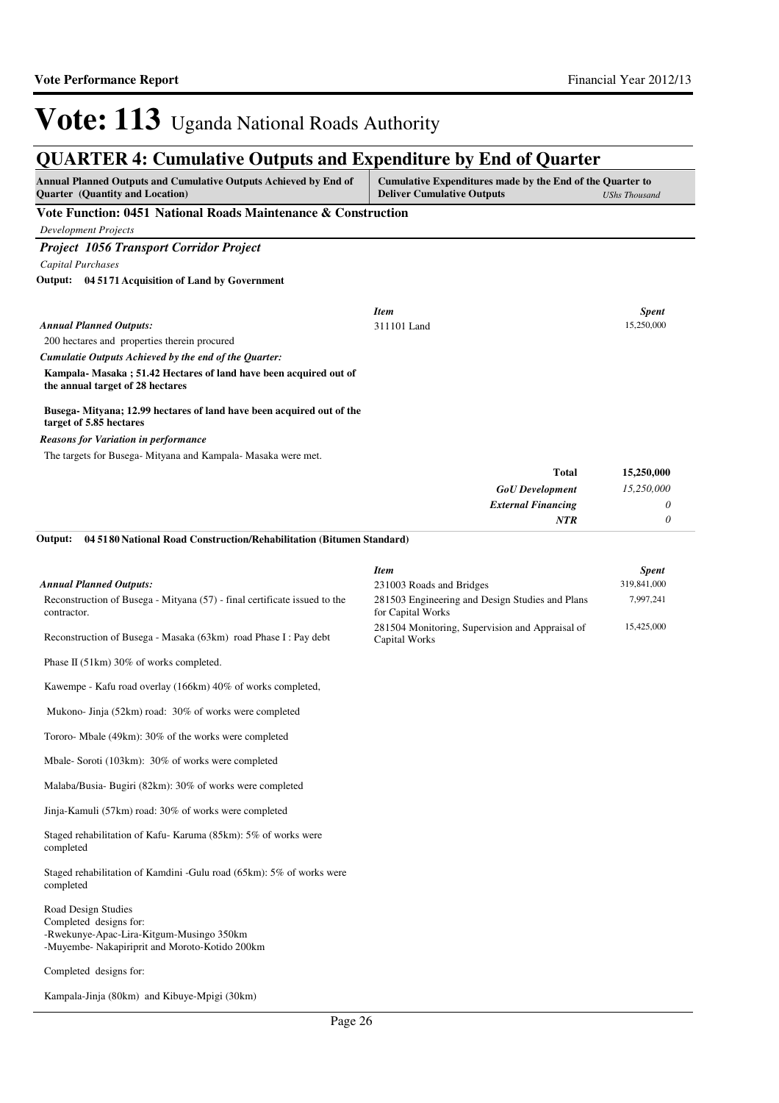### **QUARTER 4: Cumulative Outputs and Expenditure by End of Quarter**

| Annual Planned Outputs and Cumulative Outputs Achieved by End of<br><b>Ouarter</b> (Quantity and Location)                                  | Cumulative Expenditures made by the End of the Quarter to<br><b>Deliver Cumulative Outputs</b>   | <b>UShs Thousand</b>        |
|---------------------------------------------------------------------------------------------------------------------------------------------|--------------------------------------------------------------------------------------------------|-----------------------------|
| Vote Function: 0451 National Roads Maintenance & Construction                                                                               |                                                                                                  |                             |
| <b>Development Projects</b>                                                                                                                 |                                                                                                  |                             |
| <b>Project 1056 Transport Corridor Project</b>                                                                                              |                                                                                                  |                             |
| Capital Purchases                                                                                                                           |                                                                                                  |                             |
| Output: 04 5171 Acquisition of Land by Government                                                                                           |                                                                                                  |                             |
|                                                                                                                                             | <b>Item</b>                                                                                      | <b>Spent</b>                |
| <b>Annual Planned Outputs:</b>                                                                                                              | 311101 Land                                                                                      | 15,250,000                  |
| 200 hectares and properties therein procured                                                                                                |                                                                                                  |                             |
| Cumulatie Outputs Achieved by the end of the Quarter:                                                                                       |                                                                                                  |                             |
| Kampala-Masaka; 51.42 Hectares of land have been acquired out of<br>the annual target of 28 hectares                                        |                                                                                                  |                             |
| Busega-Mityana; 12.99 hectares of land have been acquired out of the<br>target of 5.85 hectares                                             |                                                                                                  |                             |
| <b>Reasons for Variation in performance</b>                                                                                                 |                                                                                                  |                             |
| The targets for Busega- Mityana and Kampala- Masaka were met.                                                                               |                                                                                                  |                             |
|                                                                                                                                             | <b>Total</b>                                                                                     | 15,250,000                  |
|                                                                                                                                             | <b>GoU</b> Development                                                                           | 15,250,000                  |
|                                                                                                                                             | <b>External Financing</b><br>NTR                                                                 | 0<br>0                      |
| 04 51 80 National Road Construction/Rehabilitation (Bitumen Standard)<br>Output:                                                            |                                                                                                  |                             |
|                                                                                                                                             |                                                                                                  |                             |
| <b>Annual Planned Outputs:</b>                                                                                                              | <b>Item</b>                                                                                      | <b>Spent</b><br>319,841,000 |
| Reconstruction of Busega - Mityana (57) - final certificate issued to the<br>contractor.                                                    | 231003 Roads and Bridges<br>281503 Engineering and Design Studies and Plans<br>for Capital Works | 7,997,241                   |
| Reconstruction of Busega - Masaka (63km) road Phase I : Pay debt                                                                            | 281504 Monitoring, Supervision and Appraisal of<br>Capital Works                                 | 15,425,000                  |
| Phase II (51km) 30% of works completed.                                                                                                     |                                                                                                  |                             |
| Kawempe - Kafu road overlay (166km) 40% of works completed,                                                                                 |                                                                                                  |                             |
| Mukono-Jinja (52km) road: 30% of works were completed                                                                                       |                                                                                                  |                             |
| Tororo- Mbale (49km): 30% of the works were completed                                                                                       |                                                                                                  |                             |
| Mbale-Soroti (103km): 30% of works were completed                                                                                           |                                                                                                  |                             |
| Malaba/Busia-Bugiri (82km): 30% of works were completed                                                                                     |                                                                                                  |                             |
| Jinja-Kamuli (57km) road: 30% of works were completed                                                                                       |                                                                                                  |                             |
| Staged rehabilitation of Kafu-Karuma (85km): 5% of works were<br>completed                                                                  |                                                                                                  |                             |
| Staged rehabilitation of Kamdini -Gulu road (65km): 5% of works were<br>completed                                                           |                                                                                                  |                             |
| Road Design Studies<br>Completed designs for:<br>-Rwekunye-Apac-Lira-Kitgum-Musingo 350km<br>-Muyembe- Nakapiriprit and Moroto-Kotido 200km |                                                                                                  |                             |
| Completed designs for:                                                                                                                      |                                                                                                  |                             |

Kampala-Jinja (80km) and Kibuye-Mpigi (30km)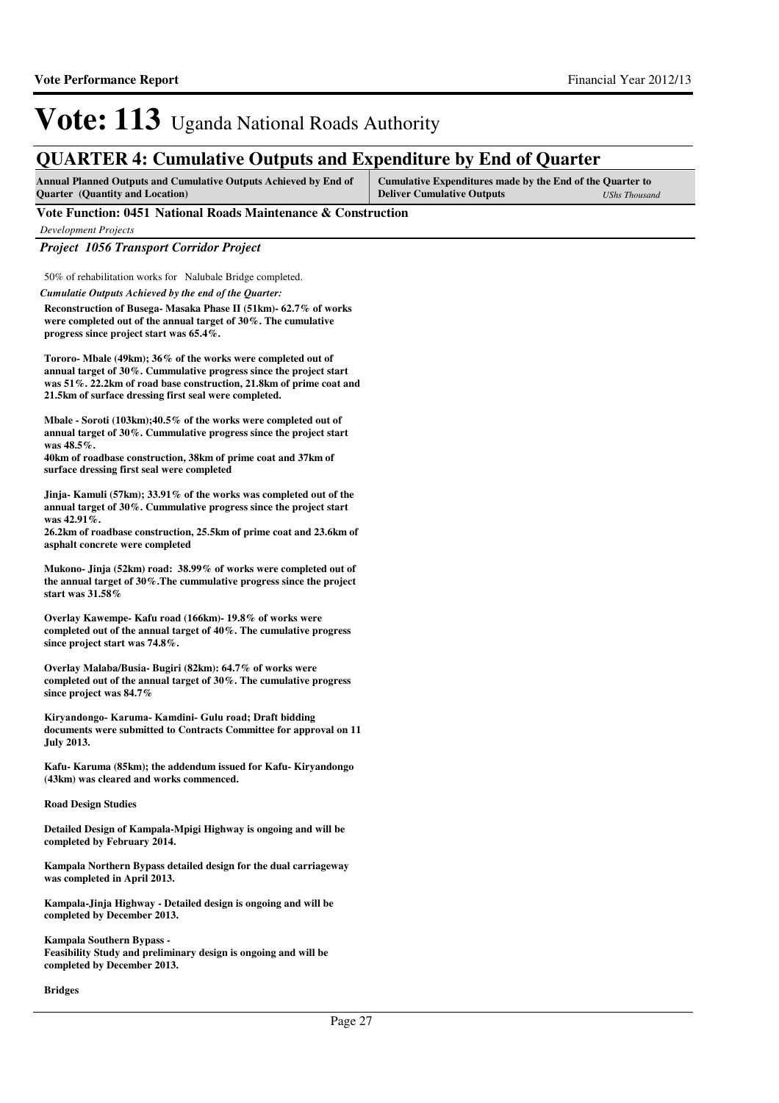### **QUARTER 4: Cumulative Outputs and Expenditure by End of Quarter**

| <b>Annual Planned Outputs and Cumulative Outputs Achieved by End of</b> | Cumulative Expenditures made by the End of the Quarter to |               |
|-------------------------------------------------------------------------|-----------------------------------------------------------|---------------|
| <b>Ouarter</b> (Quantity and Location)                                  | <b>Deliver Cumulative Outputs</b>                         | UShs Thousand |

### **Vote Function: 0451 National Roads Maintenance & Construction**

*Development Projects*

*Project 1056 Transport Corridor Project*

50% of rehabilitation works for Nalubale Bridge completed.

*Cumulatie Outputs Achieved by the end of the Quarter:*

**Reconstruction of Busega- Masaka Phase II (51km)- 62.7% of works were completed out of the annual target of 30%. The cumulative progress since project start was 65.4%.**

**Tororo- Mbale (49km); 36% of the works were completed out of annual target of 30%. Cummulative progress since the project start was 51%. 22.2km of road base construction, 21.8km of prime coat and 21.5km of surface dressing first seal were completed.**

**Mbale - Soroti (103km);40.5% of the works were completed out of annual target of 30%. Cummulative progress since the project start was 48.5%.** 

**40km of roadbase construction, 38km of prime coat and 37km of surface dressing first seal were completed**

**Jinja- Kamuli (57km); 33.91% of the works was completed out of the annual target of 30%. Cummulative progress since the project start was 42.91%.** 

**26.2km of roadbase construction, 25.5km of prime coat and 23.6km of asphalt concrete were completed**

**Mukono- Jinja (52km) road: 38.99% of works were completed out of the annual target of 30%.The cummulative progress since the project start was 31.58%**

**Overlay Kawempe- Kafu road (166km)- 19.8% of works were completed out of the annual target of 40%. The cumulative progress since project start was 74.8%.**

**Overlay Malaba/Busia- Bugiri (82km): 64.7% of works were completed out of the annual target of 30%. The cumulative progress since project was 84.7%**

Kiryandongo- Karuma- Kamdini- Gulu road; **Draft bidding documents were submitted to Contracts Committee for approval on 11 July 2013.**

**Kafu- Karuma (85km); the addendum issued for Kafu- Kiryandongo (43km) was cleared and works commenced.**

**Road Design Studies**

**Detailed Design of Kampala-Mpigi Highway is ongoing and will be completed by February 2014.**

**Kampala Northern Bypass detailed design for the dual carriageway was completed in April 2013.** 

**Kampala-Jinja Highway - Detailed design is ongoing and will be completed by December 2013.**

**Kampala Southern Bypass - Feasibility Study and preliminary design is ongoing and will be completed by December 2013.**

**Bridges**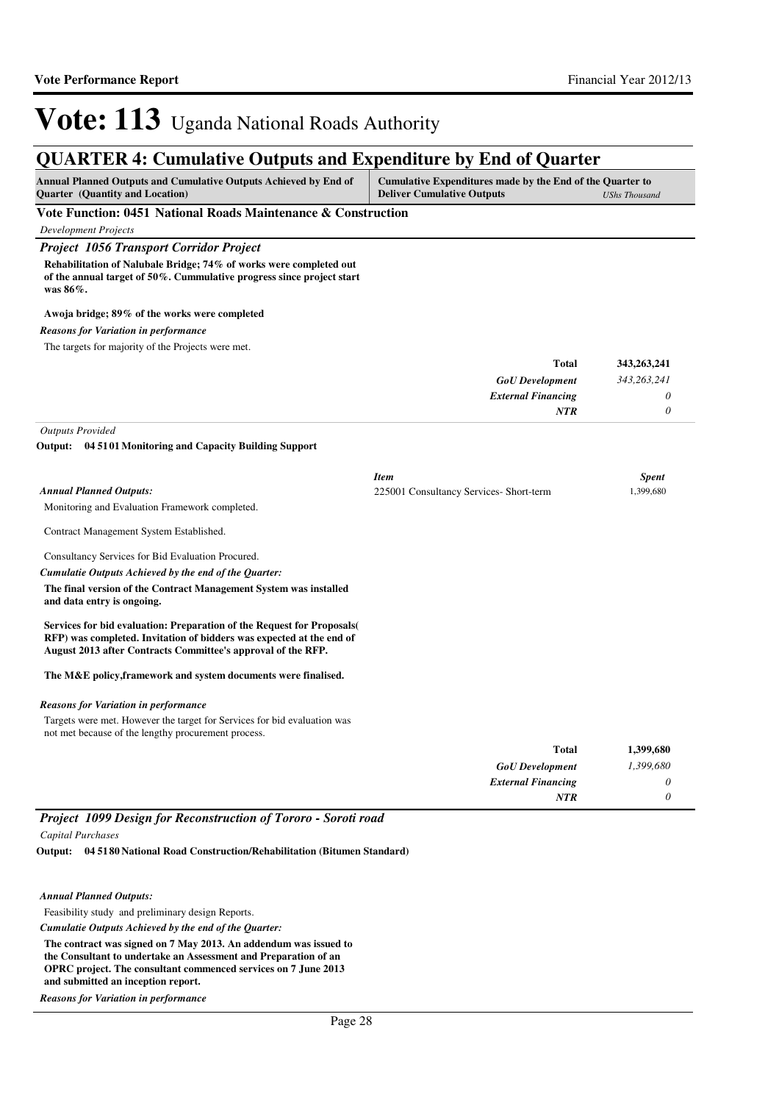## **QUARTER 4: Cumulative Outputs and Expenditure by End of Quarter**

| <b>Annual Planned Outputs and Cumulative Outputs Achieved by End of</b><br><b>Ouarter</b> (Quantity and Location) | Cumulative Expenditures made by the End of the Quarter to<br><b>Deliver Cumulative Outputs</b> | UShs Thousand |
|-------------------------------------------------------------------------------------------------------------------|------------------------------------------------------------------------------------------------|---------------|
| Vote Function: 0451 National Roads Maintenance & Construction                                                     |                                                                                                |               |

*Development Projects*

### *Project 1056 Transport Corridor Project*

**Rehabilitation of Nalubale Bridge; 74% of works were completed out of the annual target of 50%. Cummulative progress since project start was 86%.**

### **Awoja bridge; 89% of the works were completed**

### *Reasons for Variation in performance*

The targets for majority of the Projects were met.

| 343,263,241 | <b>Total</b>              |
|-------------|---------------------------|
| 343,263,241 | <b>GoU</b> Development    |
|             | <b>External Financing</b> |
|             | NTR                       |

*Outputs Provided*

**04 5101 Monitoring and Capacity Building Support Output:**

|                                                                                                                                                                                                               | <b>Item</b>                             | <b>Spent</b> |
|---------------------------------------------------------------------------------------------------------------------------------------------------------------------------------------------------------------|-----------------------------------------|--------------|
| <b>Annual Planned Outputs:</b>                                                                                                                                                                                | 225001 Consultancy Services- Short-term | 1.399.680    |
| Monitoring and Evaluation Framework completed.                                                                                                                                                                |                                         |              |
| Contract Management System Established.                                                                                                                                                                       |                                         |              |
| Consultancy Services for Bid Evaluation Procured.                                                                                                                                                             |                                         |              |
| Cumulatie Outputs Achieved by the end of the Quarter:                                                                                                                                                         |                                         |              |
| The final version of the Contract Management System was installed<br>and data entry is ongoing.                                                                                                               |                                         |              |
| Services for bid evaluation: Preparation of the Request for Proposals<br>RFP) was completed. Invitation of bidders was expected at the end of<br>August 2013 after Contracts Committee's approval of the RFP. |                                         |              |
| The M&E policy, framework and system documents were finalised.                                                                                                                                                |                                         |              |
| <b>Reasons for Variation in performance</b>                                                                                                                                                                   |                                         |              |
| Targets were met. However the target for Services for bid evaluation was<br>not met because of the lengthy procurement process.                                                                               |                                         |              |
|                                                                                                                                                                                                               | <b>Total</b>                            | 1,399,680    |
|                                                                                                                                                                                                               | <b>GoU</b> Development                  | 1,399,680    |
|                                                                                                                                                                                                               | <b>External Financing</b>               | 0            |
|                                                                                                                                                                                                               | NTR                                     | $\theta$     |

*Project 1099 Design for Reconstruction of Tororo - Soroti road Capital Purchases*

**04 5180 National Road Construction/Rehabilitation (Bitumen Standard) Output:**

### *Annual Planned Outputs:*

Feasibility study and preliminary design Reports.

*Cumulatie Outputs Achieved by the end of the Quarter:*

**The contract was signed on 7 May 2013. An addendum was issued to the Consultant to undertake an Assessment and Preparation of an OPRC project. The consultant commenced services on 7 June 2013 and submitted an inception report.**

*Reasons for Variation in performance*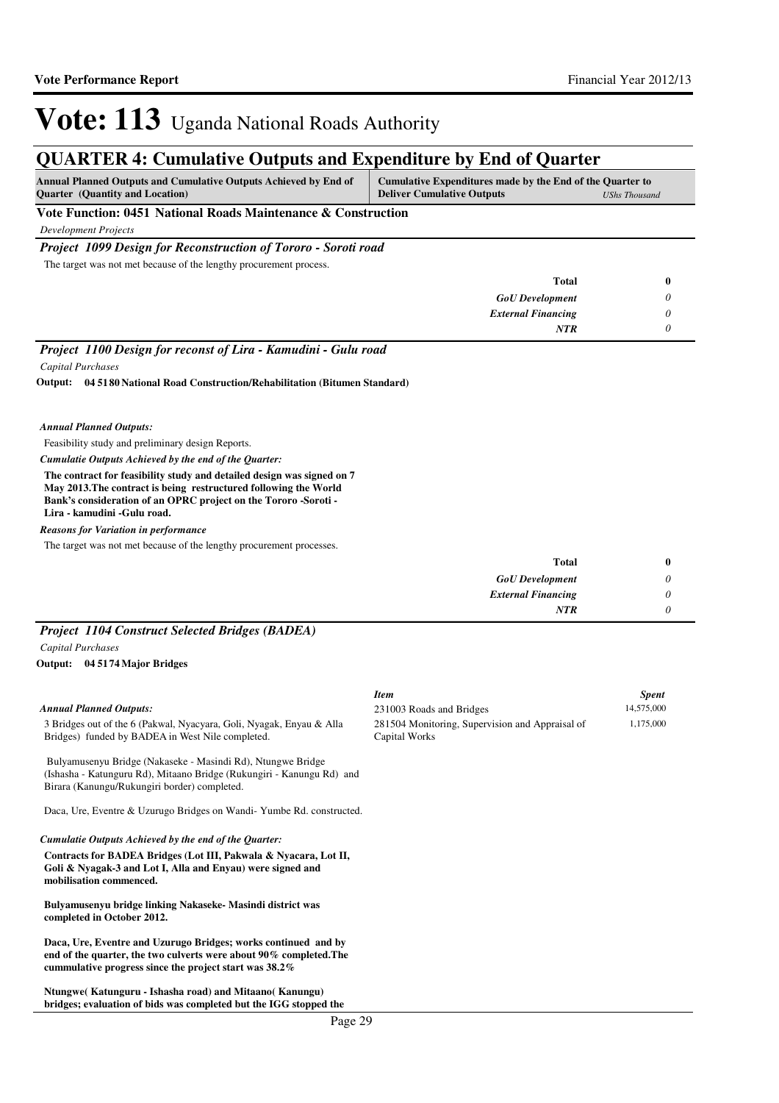### **QUARTER 4: Cumulative Outputs and Expenditure by End of Quarter**

| <b>Annual Planned Outputs and Cumulative Outputs Achieved by End of</b><br><b>Ouarter</b> (Quantity and Location) | Cumulative Expenditures made by the End of the Quarter to<br><b>Deliver Cumulative Outputs</b> | UShs Thousand |
|-------------------------------------------------------------------------------------------------------------------|------------------------------------------------------------------------------------------------|---------------|
| Vote Function: 0451 National Roads Maintenance & Construction                                                     |                                                                                                |               |

*Development Projects*

### *Project 1099 Design for Reconstruction of Tororo - Soroti road*

The target was not met because of the lengthy procurement process.

| <b>Total</b>              | 0 |
|---------------------------|---|
| <b>GoU</b> Development    | 0 |
| <b>External Financing</b> | 0 |
| <b>NTR</b>                |   |

*Project 1100 Design for reconst of Lira - Kamudini - Gulu road Capital Purchases*

**04 5180 National Road Construction/Rehabilitation (Bitumen Standard) Output:**

#### *Annual Planned Outputs:*

Feasibility study and preliminary design Reports.

*Cumulatie Outputs Achieved by the end of the Quarter:*

**The contract for feasibility study and detailed design was signed on 7 May 2013.The contract is being restructured following the World Bank's consideration of an OPRC project on the Tororo -Soroti - Lira - kamudini -Gulu road.**

*Reasons for Variation in performance*

The target was not met because of the lengthy procurement processes.

| <b>Total</b>              | 0 |
|---------------------------|---|
| <b>GoU</b> Development    | υ |
| <b>External Financing</b> |   |
| <b>NTR</b>                |   |

### *Project 1104 Construct Selected Bridges (BADEA)*

*Capital Purchases*

**04 5174 Major Bridges Output:**

### *Annual Planned Outputs:*

3 Bridges out of the 6 (Pakwal, Nyacyara, Goli, Nyagak, Enyau & Alla Bridges) funded by BADEA in West Nile completed.

 Bulyamusenyu Bridge (Nakaseke - Masindi Rd), Ntungwe Bridge (Ishasha - Katunguru Rd), Mitaano Bridge (Rukungiri - Kanungu Rd) and Birara (Kanungu/Rukungiri border) completed.

Daca, Ure, Eventre & Uzurugo Bridges on Wandi- Yumbe Rd. constructed.

*Cumulatie Outputs Achieved by the end of the Quarter:*

**Contracts for BADEA Bridges (Lot III, Pakwala & Nyacara, Lot II, Goli & Nyagak-3 and Lot I, Alla and Enyau) were signed and mobilisation commenced.**

**Bulyamusenyu bridge linking Nakaseke- Masindi district was completed in October 2012.**

**Daca, Ure, Eventre and Uzurugo Bridges; works continued and by end of the quarter, the two culverts were about 90% completed.The cummulative progress since the project start was 38.2%**

**Ntungwe( Katunguru - Ishasha road) and Mitaano( Kanungu) bridges; evaluation of bids was completed but the IGG stopped the** 

| <b>Item</b>                                     | <b>Spent</b> |
|-------------------------------------------------|--------------|
| 231003 Roads and Bridges                        | 14,575,000   |
| 281504 Monitoring, Supervision and Appraisal of | 1.175,000    |
| Capital Works                                   |              |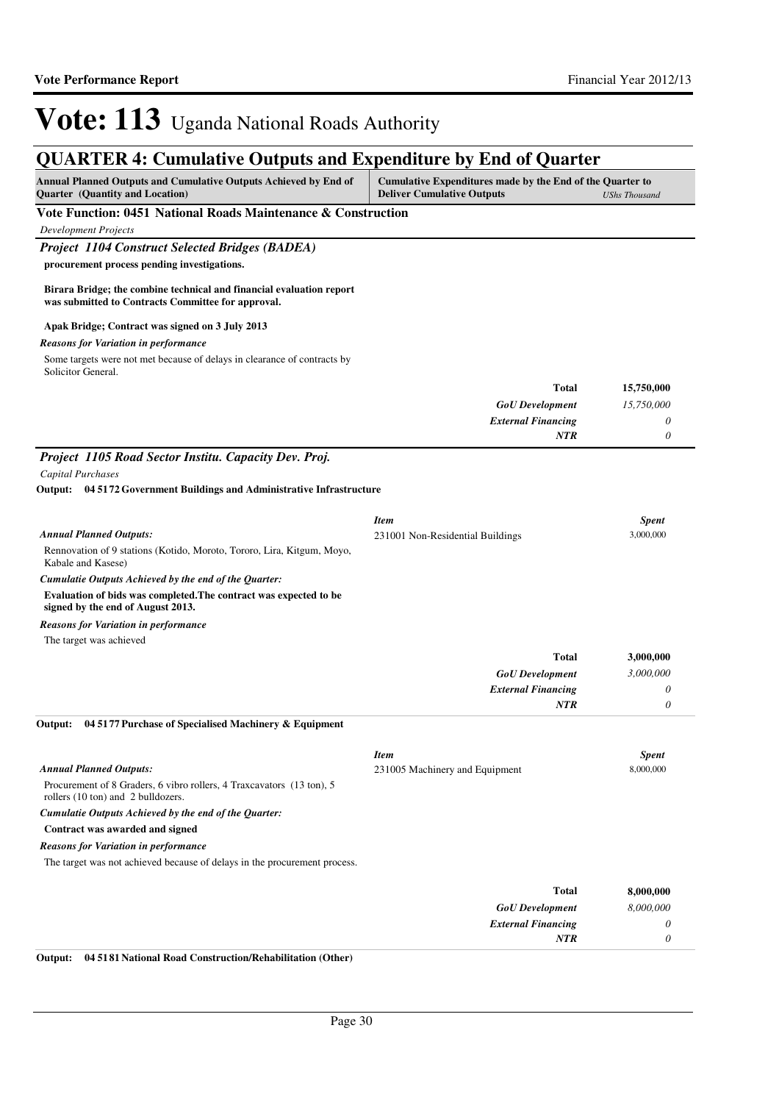| <b>QUARTER 4: Cumulative Outputs and Expenditure by End of Quarter</b>                                                     |                                                                                                |                      |
|----------------------------------------------------------------------------------------------------------------------------|------------------------------------------------------------------------------------------------|----------------------|
| Annual Planned Outputs and Cumulative Outputs Achieved by End of<br><b>Quarter</b> (Quantity and Location)                 | Cumulative Expenditures made by the End of the Quarter to<br><b>Deliver Cumulative Outputs</b> | <b>UShs Thousand</b> |
| Vote Function: 0451 National Roads Maintenance & Construction                                                              |                                                                                                |                      |
| <b>Development Projects</b>                                                                                                |                                                                                                |                      |
| <b>Project 1104 Construct Selected Bridges (BADEA)</b>                                                                     |                                                                                                |                      |
| procurement process pending investigations.                                                                                |                                                                                                |                      |
| Birara Bridge; the combine technical and financial evaluation report<br>was submitted to Contracts Committee for approval. |                                                                                                |                      |
| Apak Bridge; Contract was signed on 3 July 2013                                                                            |                                                                                                |                      |
| <b>Reasons for Variation in performance</b>                                                                                |                                                                                                |                      |
| Some targets were not met because of delays in clearance of contracts by<br>Solicitor General.                             |                                                                                                |                      |
|                                                                                                                            | <b>Total</b>                                                                                   | 15,750,000           |
|                                                                                                                            | <b>GoU</b> Development                                                                         | 15,750,000           |
|                                                                                                                            | <b>External Financing</b>                                                                      | 0                    |
|                                                                                                                            | <b>NTR</b>                                                                                     | 0                    |
| Project 1105 Road Sector Institu. Capacity Dev. Proj.                                                                      |                                                                                                |                      |
| Capital Purchases                                                                                                          |                                                                                                |                      |
| Output: 04 5172 Government Buildings and Administrative Infrastructure                                                     |                                                                                                |                      |
|                                                                                                                            | <b>Item</b>                                                                                    | <b>Spent</b>         |
| <b>Annual Planned Outputs:</b>                                                                                             | 231001 Non-Residential Buildings                                                               | 3,000,000            |
| Rennovation of 9 stations (Kotido, Moroto, Tororo, Lira, Kitgum, Moyo,<br>Kabale and Kasese)                               |                                                                                                |                      |
| Cumulatie Outputs Achieved by the end of the Quarter:                                                                      |                                                                                                |                      |
| Evaluation of bids was completed. The contract was expected to be<br>signed by the end of August 2013.                     |                                                                                                |                      |
| <b>Reasons for Variation in performance</b>                                                                                |                                                                                                |                      |
| The target was achieved                                                                                                    |                                                                                                |                      |
|                                                                                                                            | <b>Total</b>                                                                                   | 3,000,000            |
|                                                                                                                            | <b>GoU</b> Development                                                                         | 3,000,000            |
|                                                                                                                            | <b>External Financing</b>                                                                      | 0                    |
|                                                                                                                            | <b>NTR</b>                                                                                     | 0                    |
| 04 51 77 Purchase of Specialised Machinery & Equipment<br>Output:                                                          |                                                                                                |                      |
|                                                                                                                            | <b>Item</b>                                                                                    | <b>Spent</b>         |
| <b>Annual Planned Outputs:</b>                                                                                             | 231005 Machinery and Equipment                                                                 | 8,000,000            |
| Procurement of 8 Graders, 6 vibro rollers, 4 Traxcavators (13 ton), 5<br>rollers (10 ton) and 2 bulldozers.                |                                                                                                |                      |
| Cumulatie Outputs Achieved by the end of the Quarter:                                                                      |                                                                                                |                      |
| Contract was awarded and signed                                                                                            |                                                                                                |                      |
| <b>Reasons for Variation in performance</b>                                                                                |                                                                                                |                      |
| The target was not achieved because of delays in the procurement process.                                                  |                                                                                                |                      |
|                                                                                                                            | <b>Total</b>                                                                                   | 8,000,000            |
|                                                                                                                            | <b>GoU</b> Development                                                                         | 8,000,000            |
|                                                                                                                            | <b>External Financing</b>                                                                      | 0                    |
|                                                                                                                            | <b>NTR</b>                                                                                     | 0                    |

**Output: 04 5181 National Road Construction/Rehabilitation (Other)**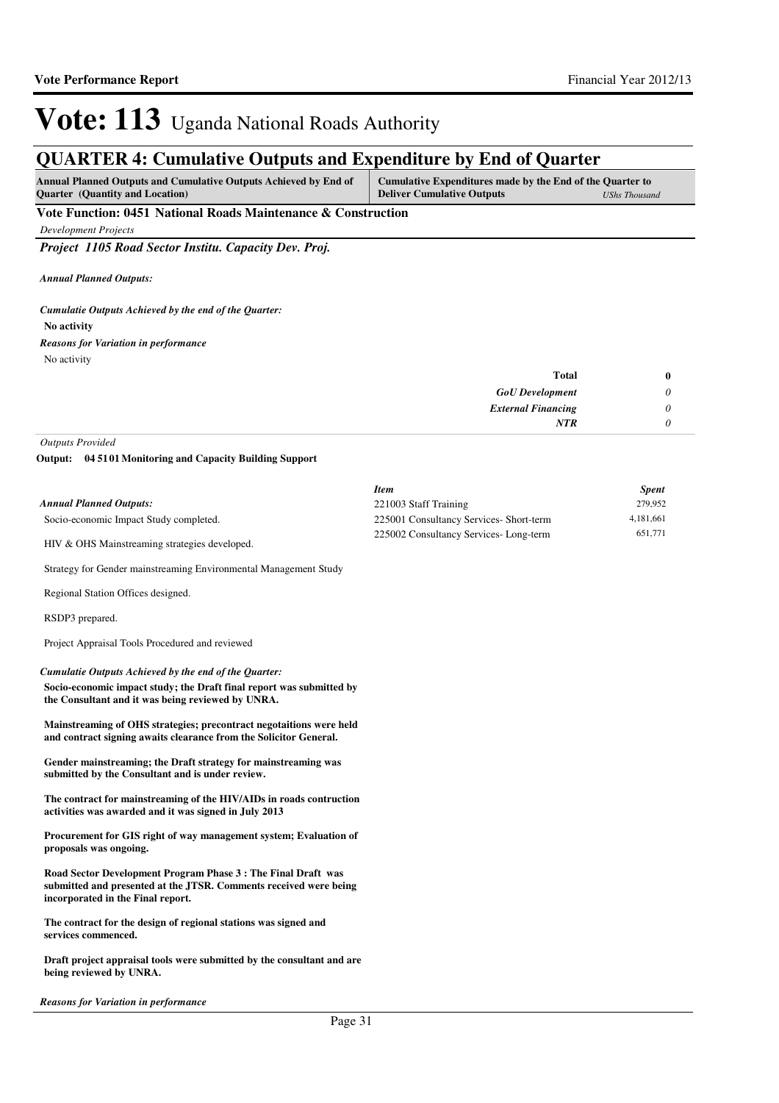## **QUARTER 4: Cumulative Outputs and Expenditure by End of Quarter**

| <b>Annual Planned Outputs and Cumulative Outputs Achieved by End of</b> | Cumulative Expenditures made by the End of the Quarter to |  |
|-------------------------------------------------------------------------|-----------------------------------------------------------|--|
| <b>Ouarter</b> (Quantity and Location)                                  | <b>Deliver Cumulative Outputs</b><br><b>UShs Thousand</b> |  |
| $\cdots$<br>-- - -<br>.                                                 |                                                           |  |

**Vote Function: 0451 National Roads Maintenance & Construction**

*Development Projects*

*Project 1105 Road Sector Institu. Capacity Dev. Proj.*

*Annual Planned Outputs:*

**No activity** *Cumulatie Outputs Achieved by the end of the Quarter:* No activity *Reasons for Variation in performance*

| <b>Total</b>              | $\bf{0}$ |
|---------------------------|----------|
| <b>GoU</b> Development    | 0        |
| <b>External Financing</b> | 0        |
| <b>NTR</b>                | 0        |

*Outputs Provided*

**04 5101 Monitoring and Capacity Building Support Output:**

|                                                                                                                                                                                    | <b>Item</b>                             | <b>Spent</b> |
|------------------------------------------------------------------------------------------------------------------------------------------------------------------------------------|-----------------------------------------|--------------|
| <b>Annual Planned Outputs:</b>                                                                                                                                                     | 221003 Staff Training                   | 279,952      |
| Socio-economic Impact Study completed.                                                                                                                                             | 225001 Consultancy Services- Short-term | 4,181,661    |
| HIV & OHS Mainstreaming strategies developed.                                                                                                                                      | 225002 Consultancy Services-Long-term   | 651,771      |
| Strategy for Gender mainstreaming Environmental Management Study                                                                                                                   |                                         |              |
| Regional Station Offices designed.                                                                                                                                                 |                                         |              |
| RSDP3 prepared.                                                                                                                                                                    |                                         |              |
| Project Appraisal Tools Procedured and reviewed                                                                                                                                    |                                         |              |
| Cumulatie Outputs Achieved by the end of the Quarter:<br>Socio-economic impact study; the Draft final report was submitted by<br>the Consultant and it was being reviewed by UNRA. |                                         |              |
| Mainstreaming of OHS strategies; precontract negotaitions were held<br>and contract signing awaits clearance from the Solicitor General.                                           |                                         |              |
| Gender mainstreaming; the Draft strategy for mainstreaming was<br>submitted by the Consultant and is under review.                                                                 |                                         |              |
| The contract for mainstreaming of the HIV/AIDs in roads contruction<br>activities was awarded and it was signed in July 2013                                                       |                                         |              |
| Procurement for GIS right of way management system; Evaluation of<br>proposals was ongoing.                                                                                        |                                         |              |
| Road Sector Development Program Phase 3 : The Final Draft was<br>submitted and presented at the JTSR. Comments received were being<br>incorporated in the Final report.            |                                         |              |

**The contract for the design of regional stations was signed and services commenced.**

**Draft project appraisal tools were submitted by the consultant and are being reviewed by UNRA.**

*Reasons for Variation in performance*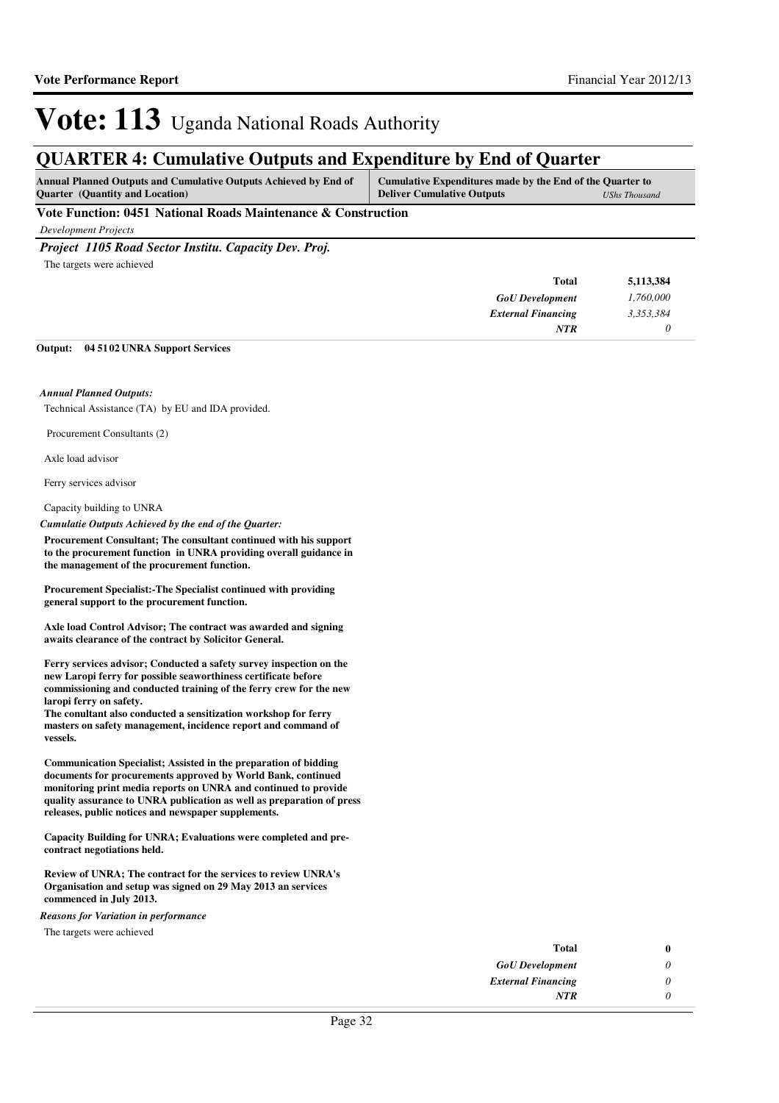### **QUARTER 4: Cumulative Outputs and Expenditure by End of Quarter**

| <b>Ouarter</b> (Quantity and Location)<br><b>Deliver Cumulative Outputs</b> | UShs Thousand |
|-----------------------------------------------------------------------------|---------------|

**Vote Function: 0451 National Roads Maintenance & Construction**

*Development Projects*

*Project 1105 Road Sector Institu. Capacity Dev. Proj.*

The targets were achieved

| <b>Total</b>              | 5,113,384 |
|---------------------------|-----------|
| <b>GoU</b> Development    | 1,760,000 |
| <b>External Financing</b> | 3,353,384 |
| <b>NTR</b>                |           |

#### **04 5102 UNRA Support Services Output:**

### *Annual Planned Outputs:*

Technical Assistance (TA) by EU and IDA provided.

Procurement Consultants (2)

Axle load advisor

Ferry services advisor

Capacity building to UNRA

*Cumulatie Outputs Achieved by the end of the Quarter:*

**Procurement Consultant; The consultant continued with his support to the procurement function in UNRA providing overall guidance in the management of the procurement function.**

**Procurement Specialist:-The Specialist continued with providing general support to the procurement function.**

**Axle load Control Advisor; The contract was awarded and signing awaits clearance of the contract by Solicitor General.**

**Ferry services advisor; Conducted a safety survey inspection on the new Laropi ferry for possible seaworthiness certificate before commissioning and conducted training of the ferry crew for the new laropi ferry on safety.**

**The conultant also conducted a sensitization workshop for ferry masters on safety management, incidence report and command of vessels.**

**Communication Specialist; Assisted in the preparation of bidding documents for procurements approved by World Bank, continued monitoring print media reports on UNRA and continued to provide quality assurance to UNRA publication as well as preparation of press releases, public notices and newspaper supplements.**

**Capacity Building for UNRA; Evaluations were completed and precontract negotiations held.**

**Review of UNRA; The contract for the services to review UNRA's Organisation and setup was signed on 29 May 2013 an services commenced in July 2013.**

*Reasons for Variation in performance*

The targets were achieved

| Total                     | 0 |
|---------------------------|---|
| <b>GoU</b> Development    | 0 |
| <b>External Financing</b> | 0 |
| NTR                       | n |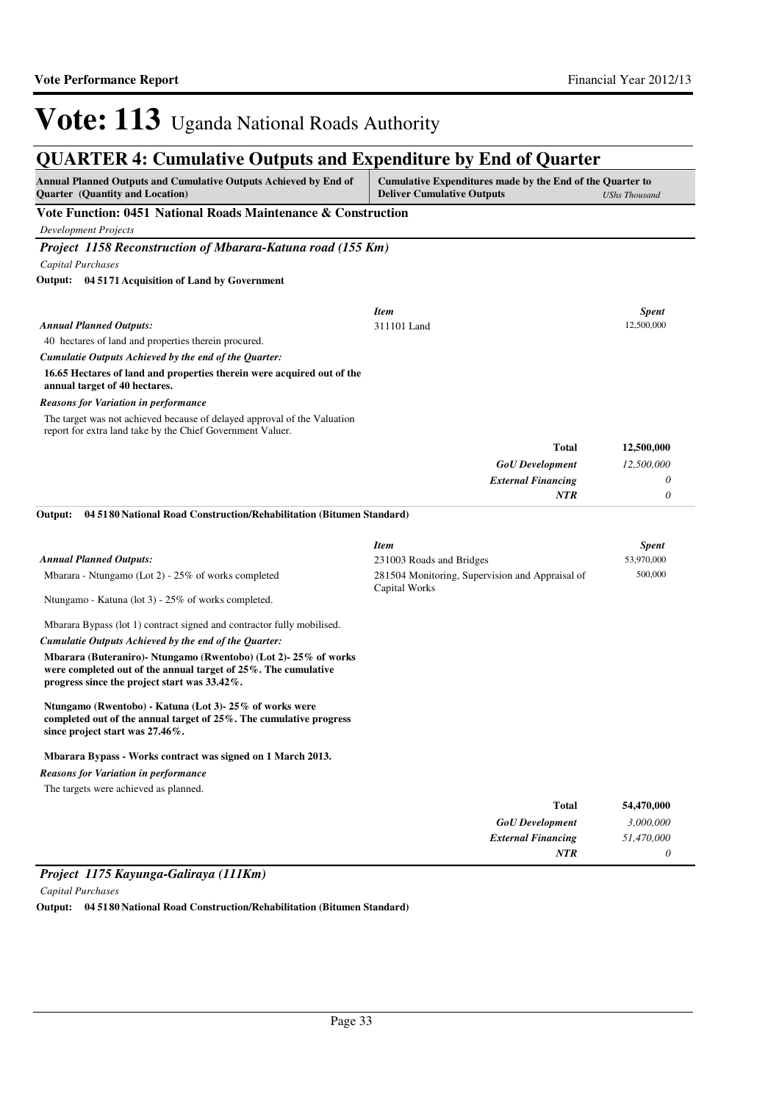### **QUARTER 4: Cumulative Outputs and Expenditure by End of Quarter**

| <b>Annual Planned Outputs and Cumulative Outputs Achieved by End of</b><br><b>Quarter</b> (Quantity and Location)                                                                | Cumulative Expenditures made by the End of the Quarter to<br><b>Deliver Cumulative Outputs</b><br><b>UShs Thousand</b> |              |
|----------------------------------------------------------------------------------------------------------------------------------------------------------------------------------|------------------------------------------------------------------------------------------------------------------------|--------------|
| Vote Function: 0451 National Roads Maintenance & Construction                                                                                                                    |                                                                                                                        |              |
| <b>Development Projects</b>                                                                                                                                                      |                                                                                                                        |              |
| Project 1158 Reconstruction of Mbarara-Katuna road (155 Km)                                                                                                                      |                                                                                                                        |              |
| <b>Capital Purchases</b>                                                                                                                                                         |                                                                                                                        |              |
| Output: 04 5171 Acquisition of Land by Government                                                                                                                                |                                                                                                                        |              |
|                                                                                                                                                                                  | <b>Item</b>                                                                                                            | <b>Spent</b> |
| <b>Annual Planned Outputs:</b>                                                                                                                                                   | 311101 Land                                                                                                            | 12,500,000   |
| 40 hectares of land and properties therein procured.                                                                                                                             |                                                                                                                        |              |
| Cumulatie Outputs Achieved by the end of the Quarter:                                                                                                                            |                                                                                                                        |              |
| 16.65 Hectares of land and properties therein were acquired out of the<br>annual target of 40 hectares.                                                                          |                                                                                                                        |              |
| Reasons for Variation in performance                                                                                                                                             |                                                                                                                        |              |
| The target was not achieved because of delayed approval of the Valuation<br>report for extra land take by the Chief Government Valuer.                                           |                                                                                                                        |              |
|                                                                                                                                                                                  | <b>Total</b>                                                                                                           | 12,500,000   |
|                                                                                                                                                                                  | <b>GoU</b> Development                                                                                                 | 12,500,000   |
|                                                                                                                                                                                  | <b>External Financing</b>                                                                                              | 0            |
|                                                                                                                                                                                  | <b>NTR</b>                                                                                                             | 0            |
| 04 51 80 National Road Construction/Rehabilitation (Bitumen Standard)<br>Output:                                                                                                 |                                                                                                                        |              |
|                                                                                                                                                                                  | <b>Item</b>                                                                                                            | Spent        |
| <b>Annual Planned Outputs:</b>                                                                                                                                                   | 231003 Roads and Bridges                                                                                               | 53,970,000   |
| Mbarara - Ntungamo (Lot 2) - 25% of works completed                                                                                                                              | 281504 Monitoring, Supervision and Appraisal of<br>Capital Works                                                       | 500,000      |
| Ntungamo - Katuna (lot 3) - 25% of works completed.                                                                                                                              |                                                                                                                        |              |
| Mbarara Bypass (lot 1) contract signed and contractor fully mobilised.                                                                                                           |                                                                                                                        |              |
| Cumulatie Outputs Achieved by the end of the Quarter:                                                                                                                            |                                                                                                                        |              |
| Mbarara (Buteraniro)- Ntungamo (Rwentobo) (Lot 2)-25% of works<br>were completed out of the annual target of 25%. The cumulative<br>progress since the project start was 33.42%. |                                                                                                                        |              |
| Ntungamo (Rwentobo) - Katuna (Lot 3)- 25% of works were<br>completed out of the annual target of 25%. The cumulative progress<br>since project start was $27.46\%$ .             |                                                                                                                        |              |
| Mbarara Bypass - Works contract was signed on 1 March 2013.                                                                                                                      |                                                                                                                        |              |
| <b>Reasons for Variation in performance</b>                                                                                                                                      |                                                                                                                        |              |
| The targets were achieved as planned.                                                                                                                                            |                                                                                                                        |              |
|                                                                                                                                                                                  | <b>Total</b>                                                                                                           | 54,470,000   |
|                                                                                                                                                                                  | <b>GoU</b> Development                                                                                                 | 3,000,000    |
|                                                                                                                                                                                  | <b>External Financing</b>                                                                                              | 51,470,000   |
|                                                                                                                                                                                  | <b>NTR</b>                                                                                                             | 0            |

### *Project 1175 Kayunga-Galiraya (111Km)*

*Capital Purchases*

**Output: 04 5180 National Road Construction/Rehabilitation (Bitumen Standard)**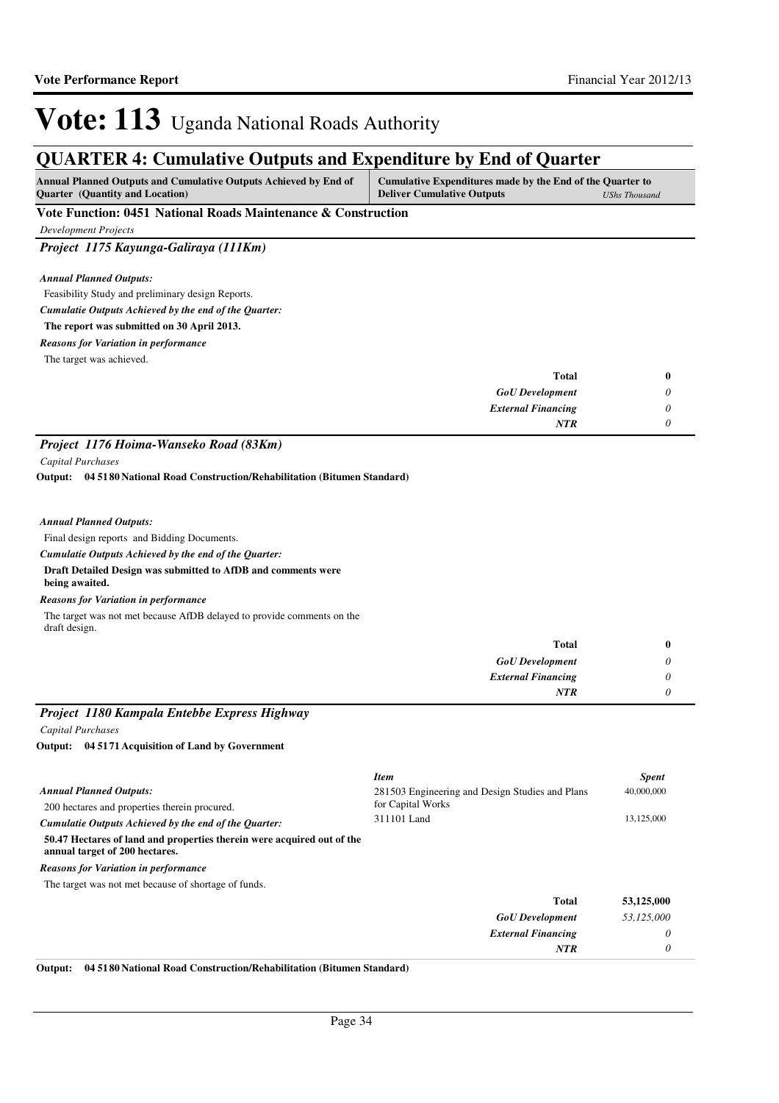### **QUARTER 4: Cumulative Outputs and Expenditure by End of Quarter**

| <b>Annual Planned Outputs and Cumulative Outputs Achieved by End of</b> | Cumulative Expenditures made by the End of the Quarter to |  |
|-------------------------------------------------------------------------|-----------------------------------------------------------|--|
| <b>Ouarter</b> (Quantity and Location)                                  | <b>Deliver Cumulative Outputs</b><br><b>UShs Thousand</b> |  |
| <b>TT . TT</b><br>.                                                     |                                                           |  |

**Vote Function: 0451 National Roads Maintenance & Construction**

*Development Projects*

*Project 1175 Kayunga-Galiraya (111Km)*

*Annual Planned Outputs:*

Feasibility Study and preliminary design Reports.

*Cumulatie Outputs Achieved by the end of the Quarter:*

**The report was submitted on 30 April 2013.**

*Reasons for Variation in performance*

The target was achieved.

| Total                     | $\bf{0}$                    |
|---------------------------|-----------------------------|
| <b>GoU</b> Development    | $\boldsymbol{\mathsf{\nu}}$ |
| <b>External Financing</b> | $\boldsymbol{\mathsf{U}}$   |
| <b>NTR</b>                |                             |

### *Project 1176 Hoima-Wanseko Road (83Km)*

*Capital Purchases*

**04 5180 National Road Construction/Rehabilitation (Bitumen Standard) Output:**

### *Annual Planned Outputs:*

Final design reports and Bidding Documents.

*Cumulatie Outputs Achieved by the end of the Quarter:*

#### **Draft Detailed Design was submitted to AfDB and comments were being awaited.**

*Reasons for Variation in performance*

The target was not met because AfDB delayed to provide comments on the draft design.

| Total                     | $\bf{0}$ |
|---------------------------|----------|
| <b>GoU</b> Development    | U        |
| <b>External Financing</b> | $\theta$ |
| <b>NTR</b>                |          |

### *Project 1180 Kampala Entebbe Express Highway*

*Capital Purchases*

**04 5171 Acquisition of Land by Government Output:**

|                                                                                                          | <b>Item</b>                                     | <b>Spent</b> |
|----------------------------------------------------------------------------------------------------------|-------------------------------------------------|--------------|
| <b>Annual Planned Outputs:</b>                                                                           | 281503 Engineering and Design Studies and Plans | 40,000,000   |
| 200 hectares and properties therein procured.                                                            | for Capital Works                               |              |
| Cumulatie Outputs Achieved by the end of the Ouarter:                                                    | 311101 Land                                     | 13,125,000   |
| 50.47 Hectares of land and properties therein were acquired out of the<br>annual target of 200 hectares. |                                                 |              |
| <b>Reasons for Variation in performance</b>                                                              |                                                 |              |
| The target was not met because of shortage of funds.                                                     |                                                 |              |
|                                                                                                          | Total                                           | 53,125,000   |
|                                                                                                          | <b>GoU</b> Development                          | 53,125,000   |
|                                                                                                          | <b>External Financing</b>                       | 0            |
|                                                                                                          | <b>NTR</b>                                      | 0            |

**Output: 04 5180 National Road Construction/Rehabilitation (Bitumen Standard)**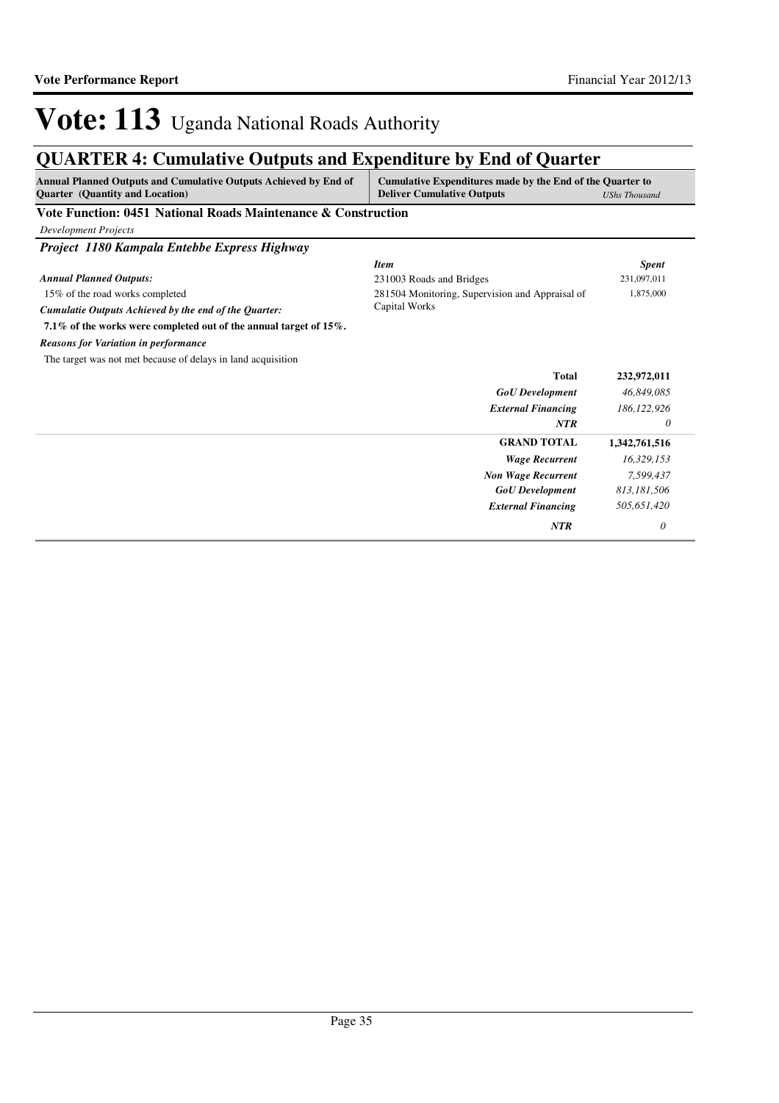| <b>Annual Planned Outputs and Cumulative Outputs Achieved by End of</b><br><b>Quarter</b> (Quantity and Location) | Cumulative Expenditures made by the End of the Quarter to<br><b>Deliver Cumulative Outputs</b> | <b>UShs Thousand</b> |
|-------------------------------------------------------------------------------------------------------------------|------------------------------------------------------------------------------------------------|----------------------|
| Vote Function: 0451 National Roads Maintenance & Construction                                                     |                                                                                                |                      |
| <b>Development Projects</b>                                                                                       |                                                                                                |                      |
| Project 1180 Kampala Entebbe Express Highway                                                                      |                                                                                                |                      |
|                                                                                                                   | <b>Item</b>                                                                                    | <b>Spent</b>         |
| <b>Annual Planned Outputs:</b>                                                                                    | 231003 Roads and Bridges                                                                       | 231,097,011          |
| 15% of the road works completed                                                                                   | 281504 Monitoring, Supervision and Appraisal of                                                | 1,875,000            |
| Cumulatie Outputs Achieved by the end of the Quarter:                                                             | Capital Works                                                                                  |                      |
| 7.1% of the works were completed out of the annual target of 15%.                                                 |                                                                                                |                      |
| <b>Reasons for Variation in performance</b>                                                                       |                                                                                                |                      |
| The target was not met because of delays in land acquisition                                                      |                                                                                                |                      |
|                                                                                                                   | <b>Total</b>                                                                                   | 232,972,011          |
|                                                                                                                   | <b>GoU</b> Development                                                                         | 46,849,085           |
|                                                                                                                   | <b>External Financing</b>                                                                      | 186, 122, 926        |
|                                                                                                                   | <b>NTR</b>                                                                                     | 0                    |
|                                                                                                                   | <b>GRAND TOTAL</b>                                                                             | 1,342,761,516        |
|                                                                                                                   | <b>Wage Recurrent</b>                                                                          | 16,329,153           |
|                                                                                                                   | <b>Non Wage Recurrent</b>                                                                      | 7,599,437            |
|                                                                                                                   | <b>GoU</b> Development                                                                         | 813,181,506          |
|                                                                                                                   | <b>External Financing</b>                                                                      | 505,651,420          |
|                                                                                                                   | <b>NTR</b>                                                                                     | 0                    |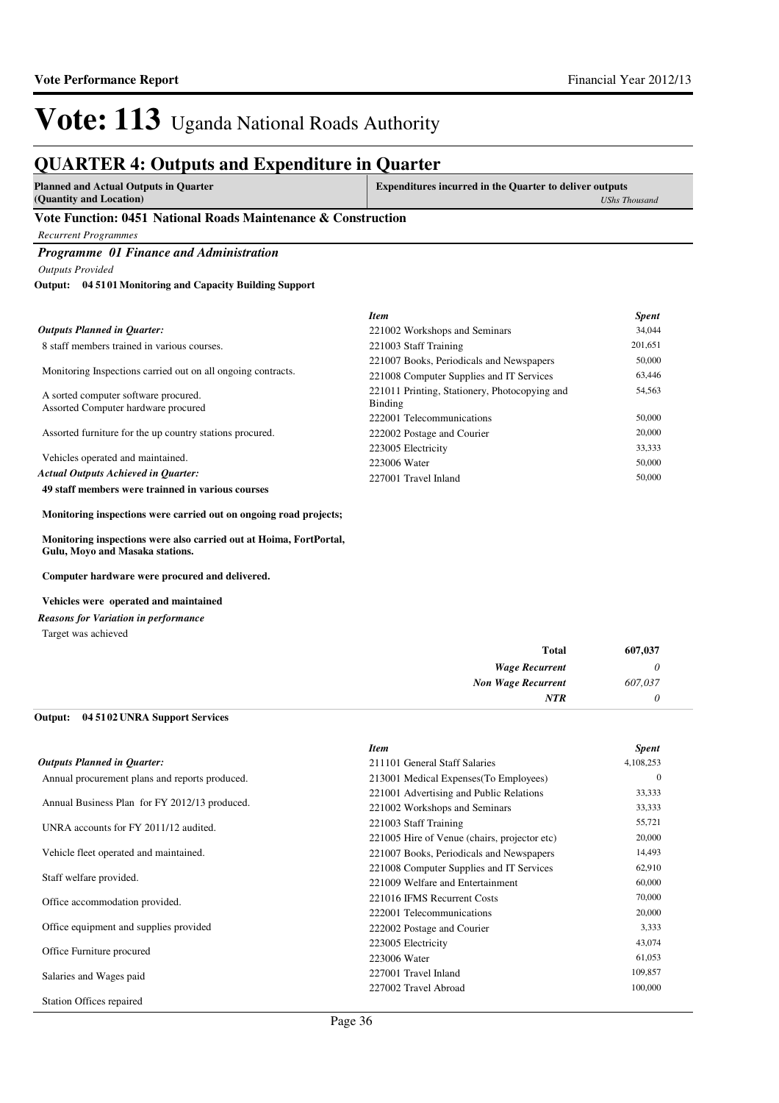### **QUARTER 4: Outputs and Expenditure in Quarter**

| <b>Planned and Actual Outputs in Quarter</b> | <b>Expenditures incurred in the Quarter to deliver outputs</b> |
|----------------------------------------------|----------------------------------------------------------------|
| (Quantity and Location)                      | <b>UShs Thousand</b>                                           |
| ---------<br>___                             |                                                                |

#### **Vote Function: 0451 National Roads Maintenance & Construction**

*Recurrent Programmes*

### *Programme 01 Finance and Administration*

*Outputs Provided*

#### **04 5101 Monitoring and Capacity Building Support Output:**

|                                                                             | <b>Item</b>                                              | <b>Spent</b> |
|-----------------------------------------------------------------------------|----------------------------------------------------------|--------------|
| <b>Outputs Planned in Quarter:</b>                                          | 221002 Workshops and Seminars                            | 34,044       |
| 8 staff members trained in various courses.                                 | 221003 Staff Training                                    | 201,651      |
|                                                                             | 221007 Books, Periodicals and Newspapers                 | 50,000       |
| Monitoring Inspections carried out on all ongoing contracts.                | 221008 Computer Supplies and IT Services                 | 63,446       |
| A sorted computer software procured.<br>Assorted Computer hardware procured | 221011 Printing, Stationery, Photocopying and<br>Binding | 54,563       |
|                                                                             | 222001 Telecommunications                                | 50,000       |
| Assorted furniture for the up country stations procured.                    | 222002 Postage and Courier                               | 20,000       |
|                                                                             | 223005 Electricity                                       | 33,333       |
| Vehicles operated and maintained.                                           | 223006 Water                                             | 50,000       |
| <b>Actual Outputs Achieved in Ouarter:</b>                                  | 227001 Travel Inland                                     | 50,000       |
| 49 staff members were trainned in various courses                           |                                                          |              |

**Monitoring inspections were carried out on ongoing road projects;**

**Monitoring inspections were also carried out at Hoima, FortPortal, Gulu, Moyo and Masaka stations.**

**Computer hardware were procured and delivered.**

#### **Vehicles were operated and maintained**

*Reasons for Variation in performance*

Target was achieved

| 607,037 | <b>Total</b>              |
|---------|---------------------------|
|         | <b>Wage Recurrent</b>     |
| 607,037 | <b>Non Wage Recurrent</b> |
|         | <b>NTR</b>                |

#### **04 5102 UNRA Support Services Output:**

|                                                | <b>Item</b>                                  | <b>Spent</b> |
|------------------------------------------------|----------------------------------------------|--------------|
| <b>Outputs Planned in Quarter:</b>             | 211101 General Staff Salaries                | 4,108,253    |
| Annual procurement plans and reports produced. | 213001 Medical Expenses (To Employees)       | $\mathbf{0}$ |
|                                                | 221001 Advertising and Public Relations      | 33,333       |
| Annual Business Plan for FY 2012/13 produced.  | 221002 Workshops and Seminars                | 33,333       |
| UNRA accounts for FY 2011/12 audited.          | 221003 Staff Training                        | 55,721       |
|                                                | 221005 Hire of Venue (chairs, projector etc) | 20,000       |
| Vehicle fleet operated and maintained.         | 221007 Books, Periodicals and Newspapers     | 14,493       |
|                                                | 221008 Computer Supplies and IT Services     | 62,910       |
| Staff welfare provided.                        | 221009 Welfare and Entertainment             | 60,000       |
| Office accommodation provided.                 | 221016 IFMS Recurrent Costs                  | 70,000       |
|                                                | 222001 Telecommunications                    | 20,000       |
| Office equipment and supplies provided         | 222002 Postage and Courier                   | 3,333        |
|                                                | 223005 Electricity                           | 43,074       |
| Office Furniture procured                      | 223006 Water                                 | 61,053       |
| Salaries and Wages paid                        | 227001 Travel Inland                         | 109,857      |
|                                                | 227002 Travel Abroad                         | 100,000      |
| <b>Station Offices repaired</b>                |                                              |              |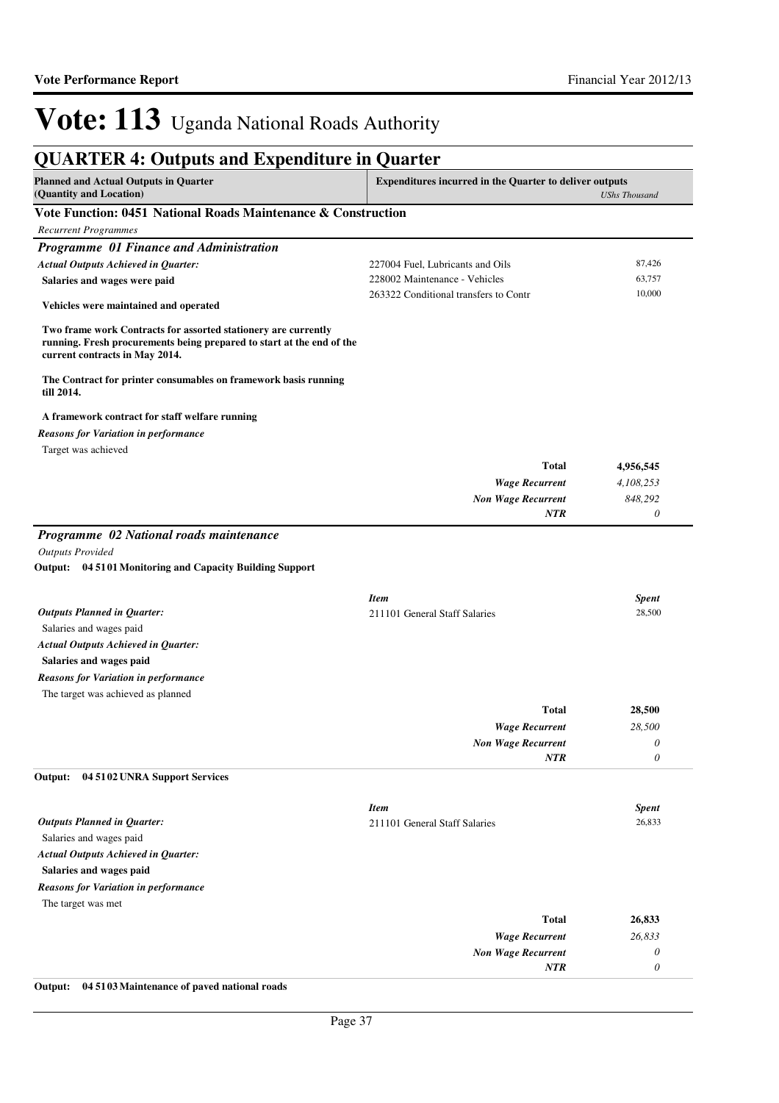## **QUARTER 4: Outputs and Expenditure in Quarter**

| <b>Planned and Actual Outputs in Quarter</b><br>(Quantity and Location)                                                                                                   | <b>Expenditures incurred in the Quarter to deliver outputs</b> | <b>UShs Thousand</b> |
|---------------------------------------------------------------------------------------------------------------------------------------------------------------------------|----------------------------------------------------------------|----------------------|
| Vote Function: 0451 National Roads Maintenance & Construction                                                                                                             |                                                                |                      |
| <b>Recurrent Programmes</b>                                                                                                                                               |                                                                |                      |
| Programme 01 Finance and Administration                                                                                                                                   |                                                                |                      |
| <b>Actual Outputs Achieved in Quarter:</b>                                                                                                                                | 227004 Fuel, Lubricants and Oils                               | 87,426               |
| Salaries and wages were paid                                                                                                                                              | 228002 Maintenance - Vehicles                                  | 63,757               |
| Vehicles were maintained and operated                                                                                                                                     | 263322 Conditional transfers to Contr                          | 10,000               |
| Two frame work Contracts for assorted stationery are currently<br>running. Fresh procurements being prepared to start at the end of the<br>current contracts in May 2014. |                                                                |                      |
| The Contract for printer consumables on framework basis running<br>till 2014.                                                                                             |                                                                |                      |
| A framework contract for staff welfare running                                                                                                                            |                                                                |                      |
| <b>Reasons for Variation in performance</b>                                                                                                                               |                                                                |                      |
| Target was achieved                                                                                                                                                       |                                                                |                      |
|                                                                                                                                                                           | <b>Total</b>                                                   | 4,956,545            |
|                                                                                                                                                                           | <b>Wage Recurrent</b>                                          | 4,108,253            |
|                                                                                                                                                                           | <b>Non Wage Recurrent</b>                                      | 848,292              |
|                                                                                                                                                                           | <b>NTR</b>                                                     | 0                    |
| Programme 02 National roads maintenance                                                                                                                                   |                                                                |                      |
| <b>Outputs Provided</b>                                                                                                                                                   |                                                                |                      |
| Output: 04 51 01 Monitoring and Capacity Building Support                                                                                                                 |                                                                |                      |
|                                                                                                                                                                           | <b>Item</b>                                                    | <b>Spent</b>         |
| <b>Outputs Planned in Quarter:</b>                                                                                                                                        | 211101 General Staff Salaries                                  | 28,500               |
| Salaries and wages paid                                                                                                                                                   |                                                                |                      |
| <b>Actual Outputs Achieved in Quarter:</b>                                                                                                                                |                                                                |                      |
| Salaries and wages paid                                                                                                                                                   |                                                                |                      |
| <b>Reasons for Variation in performance</b>                                                                                                                               |                                                                |                      |
| The target was achieved as planned                                                                                                                                        |                                                                |                      |
|                                                                                                                                                                           | Total                                                          | 28,500               |
|                                                                                                                                                                           | <b>Wage Recurrent</b>                                          | 28,500               |
|                                                                                                                                                                           | <b>Non Wage Recurrent</b>                                      | 0                    |
| Output: 04 51 02 UNRA Support Services                                                                                                                                    | NTR                                                            | 0                    |
|                                                                                                                                                                           |                                                                |                      |
|                                                                                                                                                                           | <b>Item</b>                                                    | <b>Spent</b>         |
| <b>Outputs Planned in Quarter:</b>                                                                                                                                        | 211101 General Staff Salaries                                  | 26,833               |
| Salaries and wages paid                                                                                                                                                   |                                                                |                      |
| <b>Actual Outputs Achieved in Quarter:</b>                                                                                                                                |                                                                |                      |
| Salaries and wages paid                                                                                                                                                   |                                                                |                      |
| <b>Reasons for Variation in performance</b>                                                                                                                               |                                                                |                      |
| The target was met                                                                                                                                                        |                                                                |                      |
|                                                                                                                                                                           | <b>Total</b>                                                   | 26,833               |
|                                                                                                                                                                           | <b>Wage Recurrent</b>                                          | 26,833               |
|                                                                                                                                                                           | <b>Non Wage Recurrent</b>                                      | 0                    |
|                                                                                                                                                                           | NTR                                                            | 0                    |

**Output: 04 5103 Maintenance of paved national roads**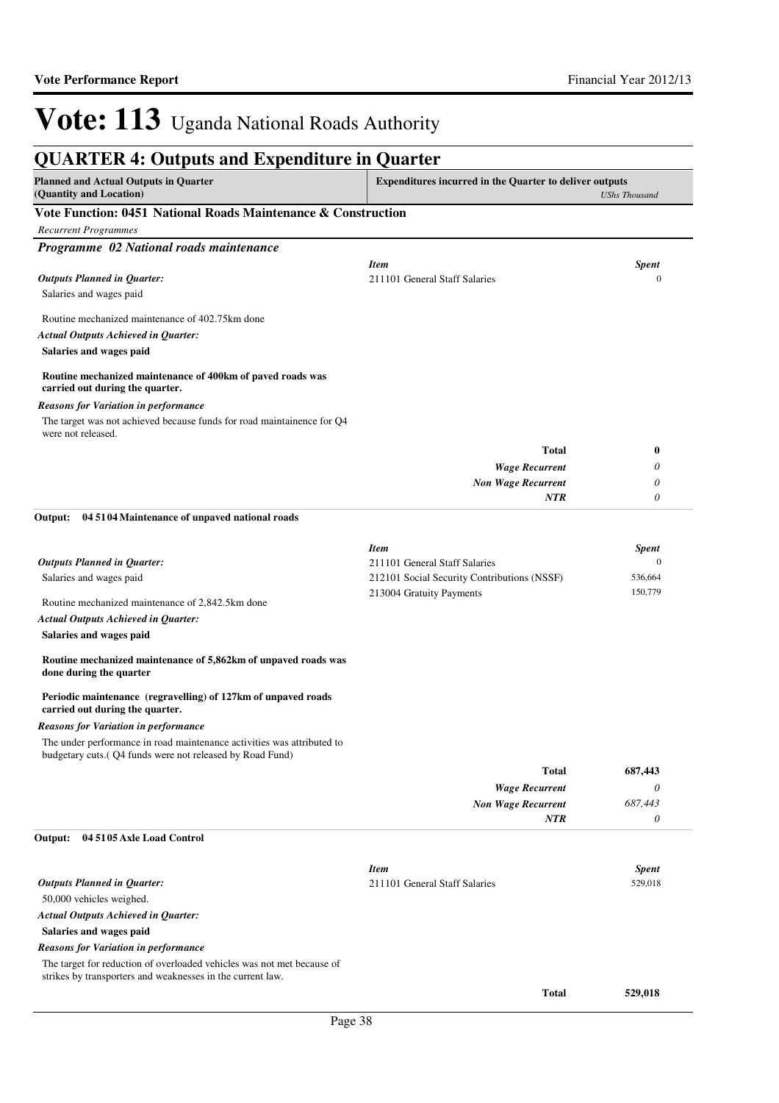| <b>Planned and Actual Outputs in Quarter</b><br>(Quantity and Location)                                                              | <b>Expenditures incurred in the Quarter to deliver outputs</b> | <b>UShs Thousand</b> |
|--------------------------------------------------------------------------------------------------------------------------------------|----------------------------------------------------------------|----------------------|
| Vote Function: 0451 National Roads Maintenance & Construction                                                                        |                                                                |                      |
| <b>Recurrent Programmes</b>                                                                                                          |                                                                |                      |
| Programme 02 National roads maintenance                                                                                              |                                                                |                      |
|                                                                                                                                      | <b>Item</b>                                                    | <b>Spent</b>         |
| <b>Outputs Planned in Quarter:</b>                                                                                                   | 211101 General Staff Salaries                                  | $\mathbf{0}$         |
| Salaries and wages paid                                                                                                              |                                                                |                      |
| Routine mechanized maintenance of 402.75km done                                                                                      |                                                                |                      |
| <b>Actual Outputs Achieved in Quarter:</b>                                                                                           |                                                                |                      |
| Salaries and wages paid                                                                                                              |                                                                |                      |
| Routine mechanized maintenance of 400km of paved roads was<br>carried out during the quarter.                                        |                                                                |                      |
|                                                                                                                                      |                                                                |                      |
| <b>Reasons for Variation in performance</b><br>The target was not achieved because funds for road maintainence for Q4                |                                                                |                      |
| were not released.                                                                                                                   |                                                                |                      |
|                                                                                                                                      | <b>Total</b>                                                   | $\bf{0}$             |
|                                                                                                                                      | <b>Wage Recurrent</b>                                          | 0                    |
|                                                                                                                                      | <b>Non Wage Recurrent</b>                                      | 0                    |
|                                                                                                                                      | <b>NTR</b>                                                     | 0                    |
| 04 5104 Maintenance of unpaved national roads<br>Output:                                                                             |                                                                |                      |
|                                                                                                                                      | <b>Item</b>                                                    | <b>Spent</b>         |
| <b>Outputs Planned in Quarter:</b>                                                                                                   | 211101 General Staff Salaries                                  | $\mathbf{0}$         |
| Salaries and wages paid                                                                                                              | 212101 Social Security Contributions (NSSF)                    | 536,664              |
| Routine mechanized maintenance of 2,842.5km done                                                                                     | 213004 Gratuity Payments                                       | 150,779              |
| <b>Actual Outputs Achieved in Quarter:</b>                                                                                           |                                                                |                      |
| Salaries and wages paid                                                                                                              |                                                                |                      |
| Routine mechanized maintenance of 5,862km of unpaved roads was<br>done during the quarter                                            |                                                                |                      |
| Periodic maintenance (regravelling) of 127km of unpaved roads<br>carried out during the quarter.                                     |                                                                |                      |
| <b>Reasons for Variation in performance</b>                                                                                          |                                                                |                      |
| The under performance in road maintenance activities was attributed to<br>budgetary cuts. (Q4 funds were not released by Road Fund)  |                                                                |                      |
|                                                                                                                                      | <b>Total</b>                                                   | 687,443              |
|                                                                                                                                      | <b>Wage Recurrent</b>                                          | 0                    |
|                                                                                                                                      | <b>Non Wage Recurrent</b>                                      | 687,443              |
|                                                                                                                                      | NTR                                                            | 0                    |
| Output:<br>04 5105 Axle Load Control                                                                                                 |                                                                |                      |
|                                                                                                                                      | <b>Item</b>                                                    | <b>Spent</b>         |
| <b>Outputs Planned in Quarter:</b>                                                                                                   | 211101 General Staff Salaries                                  | 529,018              |
| 50,000 vehicles weighed.                                                                                                             |                                                                |                      |
| <b>Actual Outputs Achieved in Quarter:</b>                                                                                           |                                                                |                      |
| Salaries and wages paid                                                                                                              |                                                                |                      |
| <b>Reasons for Variation in performance</b>                                                                                          |                                                                |                      |
| The target for reduction of overloaded vehicles was not met because of<br>strikes by transporters and weaknesses in the current law. |                                                                |                      |
|                                                                                                                                      | <b>Total</b>                                                   | 529,018              |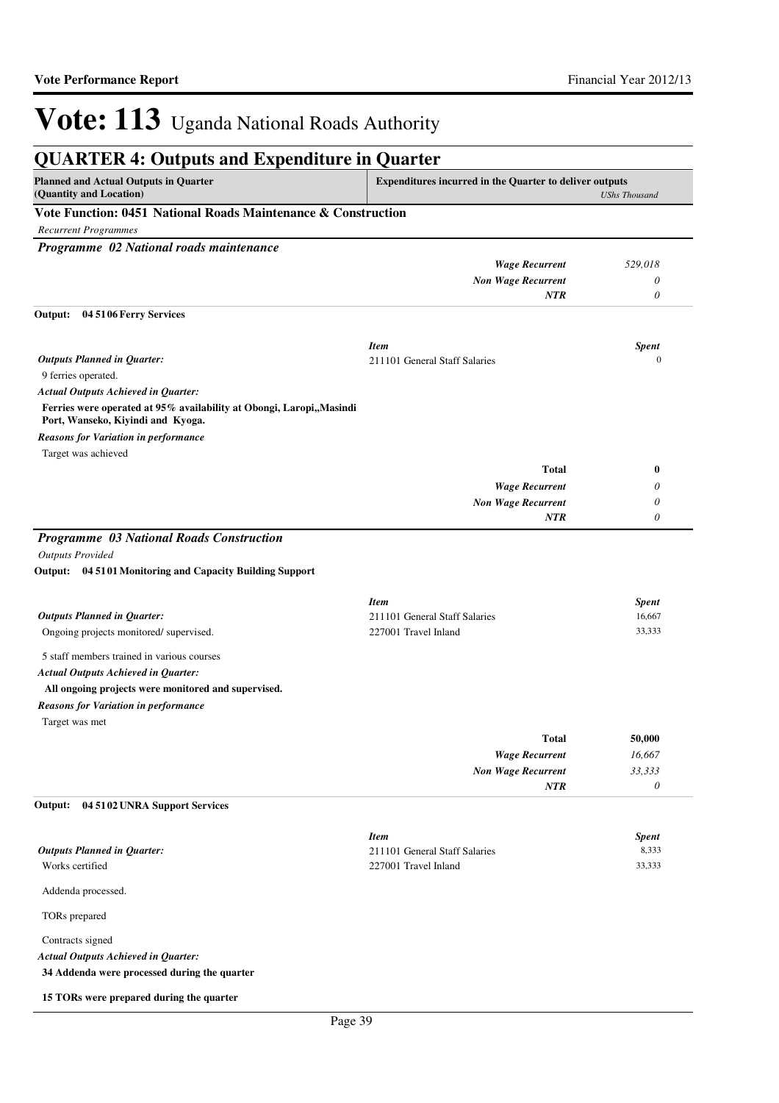| <b>QUARTER 4: Outputs and Expenditure in Quarter</b>                                                       |                                                                |                      |
|------------------------------------------------------------------------------------------------------------|----------------------------------------------------------------|----------------------|
| <b>Planned and Actual Outputs in Quarter</b><br>(Quantity and Location)                                    | <b>Expenditures incurred in the Quarter to deliver outputs</b> | <b>UShs Thousand</b> |
| Vote Function: 0451 National Roads Maintenance & Construction                                              |                                                                |                      |
| <b>Recurrent Programmes</b>                                                                                |                                                                |                      |
| Programme 02 National roads maintenance                                                                    |                                                                |                      |
|                                                                                                            | <b>Wage Recurrent</b>                                          | 529,018              |
|                                                                                                            | <b>Non Wage Recurrent</b>                                      | 0                    |
|                                                                                                            | <b>NTR</b>                                                     | $\theta$             |
| 04 5106 Ferry Services<br>Output:                                                                          |                                                                |                      |
|                                                                                                            | <b>Item</b>                                                    | <b>Spent</b>         |
| <b>Outputs Planned in Quarter:</b>                                                                         | 211101 General Staff Salaries                                  | $\mathbf{0}$         |
| 9 ferries operated.                                                                                        |                                                                |                      |
| <b>Actual Outputs Achieved in Quarter:</b>                                                                 |                                                                |                      |
| Ferries were operated at 95% availability at Obongi, Laropi,, Masindi<br>Port, Wanseko, Kiyindi and Kyoga. |                                                                |                      |
| <b>Reasons for Variation in performance</b>                                                                |                                                                |                      |
| Target was achieved                                                                                        | <b>Total</b>                                                   | $\bf{0}$             |
|                                                                                                            | <b>Wage Recurrent</b>                                          | 0                    |
|                                                                                                            |                                                                | 0                    |
|                                                                                                            | <b>Non Wage Recurrent</b><br><b>NTR</b>                        | 0                    |
|                                                                                                            |                                                                |                      |
| Programme 03 National Roads Construction                                                                   |                                                                |                      |
| <b>Outputs Provided</b>                                                                                    |                                                                |                      |
| Output: 04 5101 Monitoring and Capacity Building Support                                                   |                                                                |                      |
|                                                                                                            | <b>Item</b>                                                    | <b>Spent</b>         |
| <b>Outputs Planned in Quarter:</b>                                                                         | 211101 General Staff Salaries                                  | 16,667               |
| Ongoing projects monitored/supervised.                                                                     | 227001 Travel Inland                                           | 33,333               |
| 5 staff members trained in various courses                                                                 |                                                                |                      |
| <b>Actual Outputs Achieved in Quarter:</b>                                                                 |                                                                |                      |
|                                                                                                            |                                                                |                      |
| All ongoing projects were monitored and supervised.                                                        |                                                                |                      |
| <b>Reasons for Variation in performance</b><br>Target was met                                              |                                                                |                      |
|                                                                                                            | <b>Total</b>                                                   | 50,000               |
|                                                                                                            | <b>Wage Recurrent</b>                                          | 16,667               |
|                                                                                                            | <b>Non Wage Recurrent</b>                                      | 33,333               |
|                                                                                                            | <b>NTR</b>                                                     | 0                    |
| 04 5102 UNRA Support Services<br>Output:                                                                   |                                                                |                      |
|                                                                                                            | <b>Item</b>                                                    | <b>Spent</b>         |
| <b>Outputs Planned in Quarter:</b>                                                                         | 211101 General Staff Salaries                                  | 8,333                |
| Works certified                                                                                            | 227001 Travel Inland                                           | 33,333               |
| Addenda processed.                                                                                         |                                                                |                      |
| TORs prepared                                                                                              |                                                                |                      |
| Contracts signed                                                                                           |                                                                |                      |
| <b>Actual Outputs Achieved in Quarter:</b>                                                                 |                                                                |                      |
| 34 Addenda were processed during the quarter                                                               |                                                                |                      |
|                                                                                                            |                                                                |                      |
| 15 TORs were prepared during the quarter                                                                   |                                                                |                      |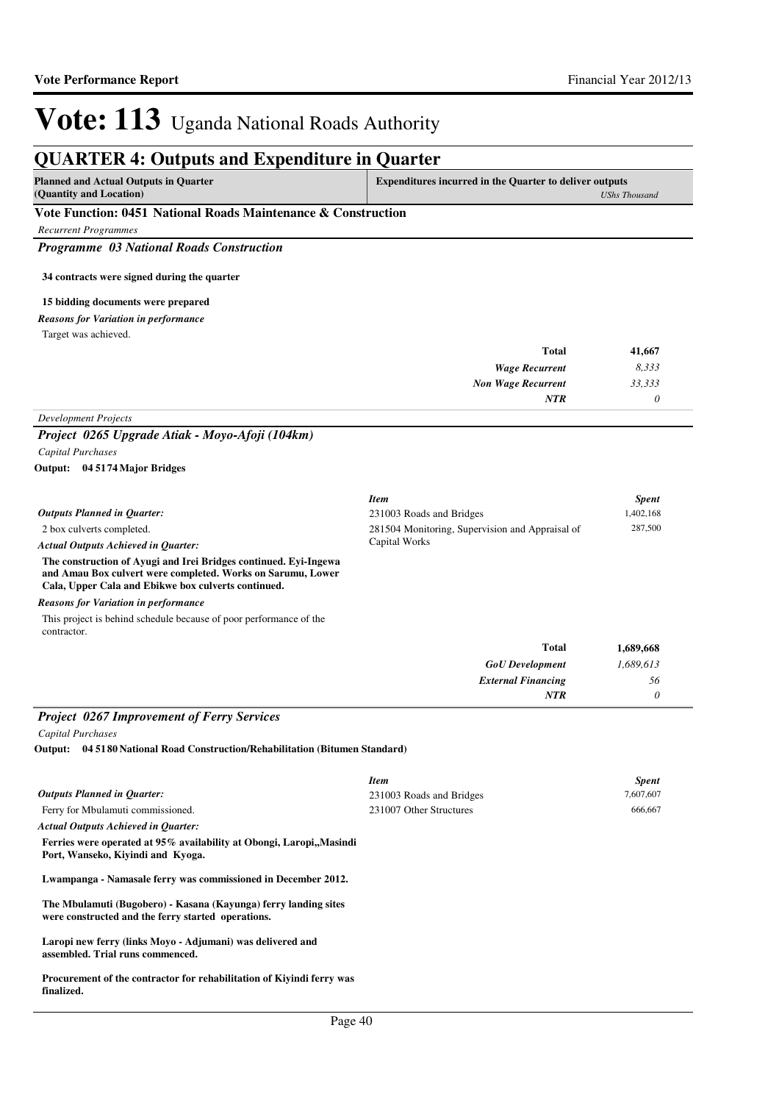#### **QUARTER 4: Outputs and Expenditure in Quarter Planned and Actual Outputs in Quarter (Quantity and Location) Expenditures incurred in the Quarter to deliver outputs**  *UShs Thousand* **Vote Function: 0451 National Roads Maintenance & Construction** *Recurrent Programmes Programme 03 National Roads Construction* **34 contracts were signed during the quarter 15 bidding documents were prepared** *Wage Recurrent Non Wage Recurrent* **Total** *8,333 33,333 0* **41,667** *NTR* Target was achieved. *Reasons for Variation in performance Development Projects Project 0265 Upgrade Atiak - Moyo-Afoji (104km) Capital Purchases* 2 box culverts completed. **The construction of Ayugi and Irei Bridges continued. Eyi-Ingewa and Amau Box culvert were completed. Works on Sarumu, Lower Cala, Upper Cala and Ebikwe box culverts continued. 04 5174 Major Bridges Output:** *GoU Development External Financing* **Total** *1,689,613 56 0* **1,689,668** *Actual Outputs Achieved in Quarter: Outputs Planned in Quarter: NTR* This project is behind schedule because of poor performance of the contractor. *Reasons for Variation in performance Item Spent* 231003 Roads and Bridges 1,402,168 281504 Monitoring, Supervision and Appraisal of Capital Works 287,500 *Project 0267 Improvement of Ferry Services*

*Capital Purchases*

**04 5180 National Road Construction/Rehabilitation (Bitumen Standard) Output:**

|                                                                                                                       | <b>Item</b>              | <b>Spent</b> |
|-----------------------------------------------------------------------------------------------------------------------|--------------------------|--------------|
| <b>Outputs Planned in Quarter:</b>                                                                                    | 231003 Roads and Bridges | 7,607,607    |
| Ferry for Mbulamuti commissioned.                                                                                     | 231007 Other Structures  | 666,667      |
| <b>Actual Outputs Achieved in Ouarter:</b>                                                                            |                          |              |
| Ferries were operated at 95% availability at Obongi, Laropi, Masindi<br>Port, Wanseko, Kiyindi and Kyoga.             |                          |              |
| Lwampanga - Namasale ferry was commissioned in December 2012.                                                         |                          |              |
| The Mbulamuti (Bugobero) - Kasana (Kayunga) ferry landing sites<br>were constructed and the ferry started operations. |                          |              |
| Laropi new ferry (links Movo - Adjumani) was delivered and<br>assembled. Trial runs commenced.                        |                          |              |
| Procurement of the contractor for rehabilitation of Kivindi ferry was<br>finalized.                                   |                          |              |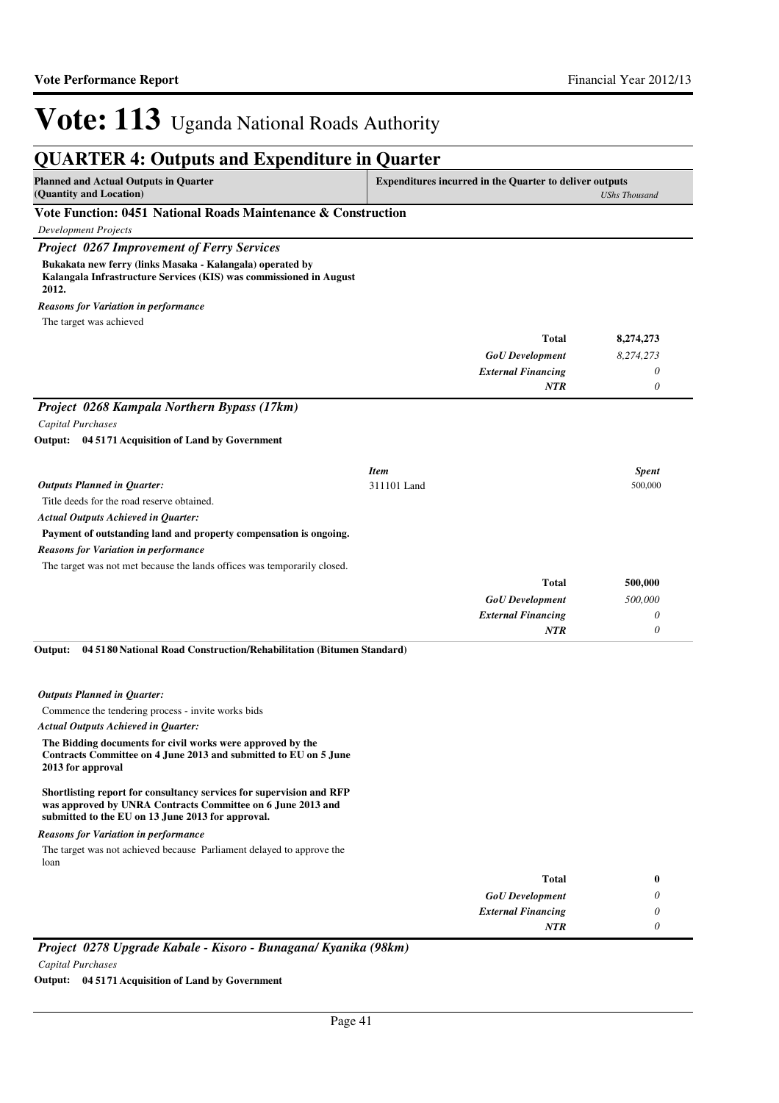*0*

*NTR*

# Vote: 113 Uganda National Roads Authority

## **QUARTER 4: Outputs and Expenditure in Quarter**

| Vermalin II ouvput und lapendrum in Vuurva                                                                                               |                                                                                 |  |
|------------------------------------------------------------------------------------------------------------------------------------------|---------------------------------------------------------------------------------|--|
| <b>Planned and Actual Outputs in Quarter</b><br>(Quantity and Location)                                                                  | <b>Expenditures incurred in the Quarter to deliver outputs</b><br>UShs Thousand |  |
| Vote Function: 0451 National Roads Maintenance & Construction                                                                            |                                                                                 |  |
| <b>Development Projects</b>                                                                                                              |                                                                                 |  |
| <b>Project 0267 Improvement of Ferry Services</b>                                                                                        |                                                                                 |  |
| Bukakata new ferry (links Masaka - Kalangala) operated by<br>Kalangala Infrastructure Services (KIS) was commissioned in August<br>2012. |                                                                                 |  |
| <b>Reasons for Variation in performance</b>                                                                                              |                                                                                 |  |
| The target was achieved                                                                                                                  |                                                                                 |  |

|                                                                                                                                                                                          |             | <b>Total</b>              | 8,274,273    |
|------------------------------------------------------------------------------------------------------------------------------------------------------------------------------------------|-------------|---------------------------|--------------|
|                                                                                                                                                                                          |             | <b>GoU</b> Development    | 8,274,273    |
|                                                                                                                                                                                          |             | <b>External Financing</b> | 0            |
|                                                                                                                                                                                          |             | <b>NTR</b>                | 0            |
| Project 0268 Kampala Northern Bypass (17km)                                                                                                                                              |             |                           |              |
| <b>Capital Purchases</b>                                                                                                                                                                 |             |                           |              |
| Output: 04 5171 Acquisition of Land by Government                                                                                                                                        |             |                           |              |
|                                                                                                                                                                                          |             |                           |              |
|                                                                                                                                                                                          | <b>Item</b> |                           | <b>Spent</b> |
| <b>Outputs Planned in Quarter:</b>                                                                                                                                                       | 311101 Land |                           | 500,000      |
| Title deeds for the road reserve obtained.                                                                                                                                               |             |                           |              |
| <b>Actual Outputs Achieved in Quarter:</b>                                                                                                                                               |             |                           |              |
| Payment of outstanding land and property compensation is ongoing.                                                                                                                        |             |                           |              |
| <b>Reasons for Variation in performance</b>                                                                                                                                              |             |                           |              |
| The target was not met because the lands offices was temporarily closed.                                                                                                                 |             |                           |              |
|                                                                                                                                                                                          |             | <b>Total</b>              | 500,000      |
|                                                                                                                                                                                          |             | <b>GoU</b> Development    | 500,000      |
|                                                                                                                                                                                          |             | <b>External Financing</b> | 0            |
|                                                                                                                                                                                          |             | <b>NTR</b>                | 0            |
| 04 5180 National Road Construction/Rehabilitation (Bitumen Standard)<br>Output:                                                                                                          |             |                           |              |
| <b>Outputs Planned in Quarter:</b>                                                                                                                                                       |             |                           |              |
| Commence the tendering process - invite works bids                                                                                                                                       |             |                           |              |
| <b>Actual Outputs Achieved in Quarter:</b>                                                                                                                                               |             |                           |              |
| The Bidding documents for civil works were approved by the<br>Contracts Committee on 4 June 2013 and submitted to EU on 5 June<br>2013 for approval                                      |             |                           |              |
| Shortlisting report for consultancy services for supervision and RFP<br>was approved by UNRA Contracts Committee on 6 June 2013 and<br>submitted to the EU on 13 June 2013 for approval. |             |                           |              |
| <b>Reasons for Variation in performance</b>                                                                                                                                              |             |                           |              |
| The target was not achieved because Parliament delayed to approve the<br>loan                                                                                                            |             |                           |              |
|                                                                                                                                                                                          |             | <b>Total</b>              | 0            |
|                                                                                                                                                                                          |             | <b>GoU</b> Development    | 0            |
|                                                                                                                                                                                          |             | <b>External Financing</b> | 0            |

*Project 0278 Upgrade Kabale - Kisoro - Bunagana/ Kyanika (98km) Capital Purchases*

**Output: 04 5171 Acquisition of Land by Government**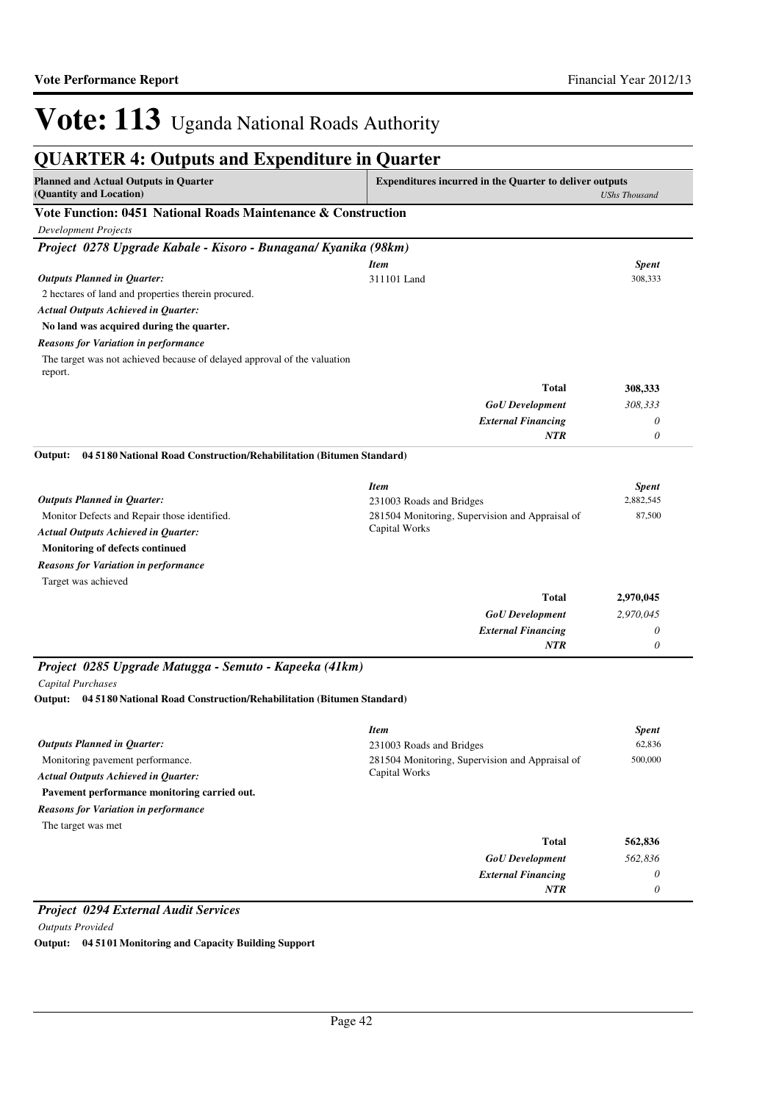| <b>QUARTER 4: Outputs and Expenditure in Quarter</b>                                |                                                                                        |                       |  |  |
|-------------------------------------------------------------------------------------|----------------------------------------------------------------------------------------|-----------------------|--|--|
| <b>Planned and Actual Outputs in Quarter</b><br>(Quantity and Location)             | <b>Expenditures incurred in the Quarter to deliver outputs</b><br><b>UShs Thousand</b> |                       |  |  |
|                                                                                     | Vote Function: 0451 National Roads Maintenance & Construction                          |                       |  |  |
| <b>Development Projects</b>                                                         |                                                                                        |                       |  |  |
| Project 0278 Upgrade Kabale - Kisoro - Bunagana/ Kyanika (98km)                     |                                                                                        |                       |  |  |
|                                                                                     | <b>Item</b>                                                                            | <b>Spent</b>          |  |  |
| <b>Outputs Planned in Quarter:</b>                                                  | 311101 Land                                                                            | 308,333               |  |  |
| 2 hectares of land and properties therein procured.                                 |                                                                                        |                       |  |  |
| <b>Actual Outputs Achieved in Quarter:</b>                                          |                                                                                        |                       |  |  |
| No land was acquired during the quarter.                                            |                                                                                        |                       |  |  |
| <b>Reasons for Variation in performance</b>                                         |                                                                                        |                       |  |  |
| The target was not achieved because of delayed approval of the valuation<br>report. |                                                                                        |                       |  |  |
|                                                                                     | <b>Total</b>                                                                           | 308,333               |  |  |
|                                                                                     | <b>GoU</b> Development                                                                 | 308,333               |  |  |
|                                                                                     | <b>External Financing</b>                                                              | 0                     |  |  |
|                                                                                     | NTR                                                                                    | 0                     |  |  |
| 04 5180 National Road Construction/Rehabilitation (Bitumen Standard)<br>Output:     |                                                                                        |                       |  |  |
|                                                                                     | <b>Item</b>                                                                            | <b>Spent</b>          |  |  |
| <b>Outputs Planned in Quarter:</b>                                                  | 231003 Roads and Bridges                                                               | 2,882,545             |  |  |
| Monitor Defects and Repair those identified.                                        | 281504 Monitoring, Supervision and Appraisal of<br>Capital Works                       | 87,500                |  |  |
| <b>Actual Outputs Achieved in Quarter:</b>                                          |                                                                                        |                       |  |  |
| Monitoring of defects continued                                                     |                                                                                        |                       |  |  |
| <b>Reasons for Variation in performance</b>                                         |                                                                                        |                       |  |  |
| Target was achieved                                                                 |                                                                                        |                       |  |  |
|                                                                                     | <b>Total</b>                                                                           | 2,970,045             |  |  |
|                                                                                     | <b>GoU</b> Development                                                                 | 2,970,045             |  |  |
|                                                                                     | <b>External Financing</b>                                                              | 0                     |  |  |
|                                                                                     | <b>NTR</b>                                                                             | $\boldsymbol{\theta}$ |  |  |
| Project 0285 Upgrade Matugga - Semuto - Kapeeka (41km)                              |                                                                                        |                       |  |  |
| Capital Purchases                                                                   |                                                                                        |                       |  |  |
| 04 5180 National Road Construction/Rehabilitation (Bitumen Standard)<br>Output:     |                                                                                        |                       |  |  |
|                                                                                     | <b>Item</b>                                                                            | Spent                 |  |  |
| <b>Outputs Planned in Quarter:</b>                                                  | 231003 Roads and Bridges                                                               | 62,836                |  |  |
| Monitoring pavement performance.                                                    | 281504 Monitoring, Supervision and Appraisal of                                        | 500,000               |  |  |
| <b>Actual Outputs Achieved in Quarter:</b>                                          | Capital Works                                                                          |                       |  |  |
| Pavement performance monitoring carried out.                                        |                                                                                        |                       |  |  |
| <b>Reasons for Variation in performance</b>                                         |                                                                                        |                       |  |  |
| The target was met                                                                  |                                                                                        |                       |  |  |
|                                                                                     | <b>Total</b>                                                                           | 562,836               |  |  |
|                                                                                     | <b>GoU</b> Development                                                                 | 562,836               |  |  |
|                                                                                     | <b>External Financing</b>                                                              | 0                     |  |  |
|                                                                                     | <b>NTR</b>                                                                             | $\boldsymbol{\theta}$ |  |  |

*Outputs Provided* **Output: 04 5101 Monitoring and Capacity Building Support**

*Project 0294 External Audit Services*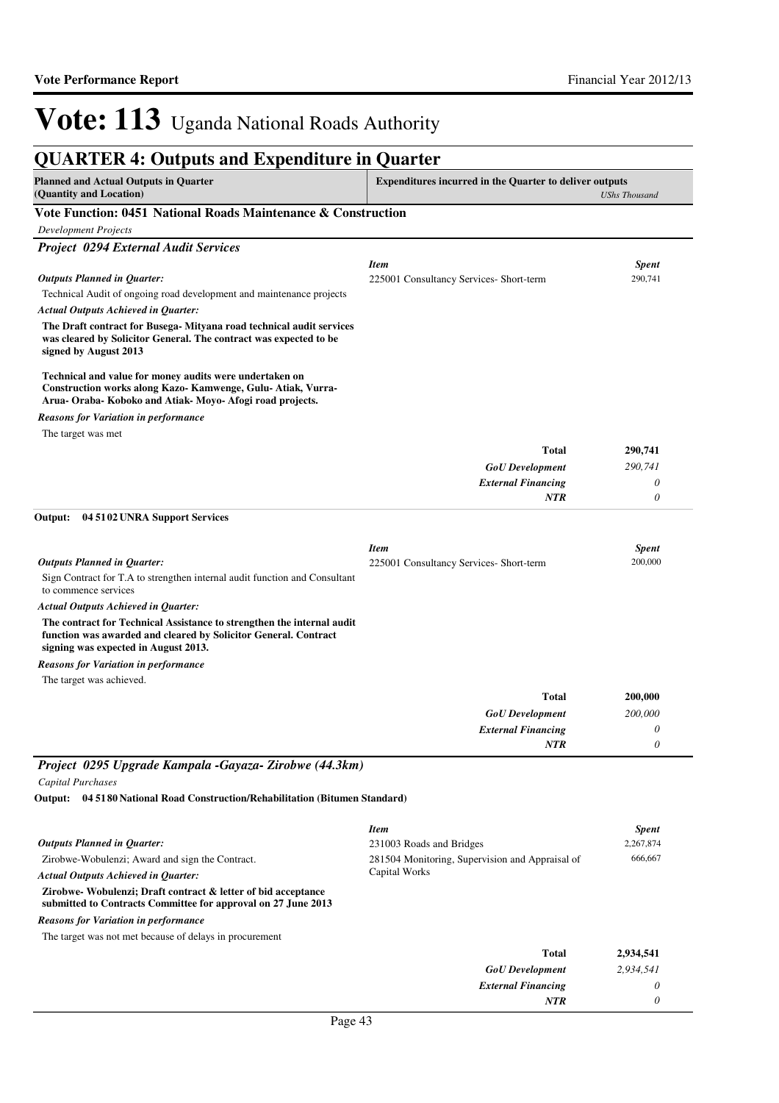| <b>QUARTER 4: Outputs and Expenditure in Quarter</b>                                                                                                                                 |                                                                |                           |
|--------------------------------------------------------------------------------------------------------------------------------------------------------------------------------------|----------------------------------------------------------------|---------------------------|
| <b>Planned and Actual Outputs in Quarter</b><br>(Quantity and Location)                                                                                                              | <b>Expenditures incurred in the Quarter to deliver outputs</b> | <b>UShs Thousand</b>      |
| Vote Function: 0451 National Roads Maintenance & Construction                                                                                                                        |                                                                |                           |
| <b>Development Projects</b>                                                                                                                                                          |                                                                |                           |
| <b>Project 0294 External Audit Services</b>                                                                                                                                          |                                                                |                           |
|                                                                                                                                                                                      | <b>Item</b>                                                    | <b>Spent</b>              |
| <b>Outputs Planned in Quarter:</b>                                                                                                                                                   | 225001 Consultancy Services- Short-term                        | 290,741                   |
| Technical Audit of ongoing road development and maintenance projects                                                                                                                 |                                                                |                           |
| <b>Actual Outputs Achieved in Quarter:</b>                                                                                                                                           |                                                                |                           |
| The Draft contract for Busega- Mityana road technical audit services<br>was cleared by Solicitor General. The contract was expected to be<br>signed by August 2013                   |                                                                |                           |
| Technical and value for money audits were undertaken on<br>Construction works along Kazo- Kamwenge, Gulu- Atiak, Vurra-<br>Arua- Oraba- Koboko and Atiak- Moyo- Afogi road projects. |                                                                |                           |
| <b>Reasons for Variation in performance</b>                                                                                                                                          |                                                                |                           |
| The target was met                                                                                                                                                                   |                                                                |                           |
|                                                                                                                                                                                      | <b>Total</b>                                                   | 290,741                   |
|                                                                                                                                                                                      | <b>GoU</b> Development                                         | 290,741                   |
|                                                                                                                                                                                      | <b>External Financing</b>                                      | 0                         |
|                                                                                                                                                                                      | NTR                                                            | 0                         |
| Output:<br>04 5102 UNRA Support Services                                                                                                                                             |                                                                |                           |
|                                                                                                                                                                                      | <b>Item</b>                                                    | <b>Spent</b>              |
| <b>Outputs Planned in Quarter:</b>                                                                                                                                                   | 225001 Consultancy Services- Short-term                        | 200,000                   |
| Sign Contract for T.A to strengthen internal audit function and Consultant<br>to commence services                                                                                   |                                                                |                           |
| <b>Actual Outputs Achieved in Quarter:</b>                                                                                                                                           |                                                                |                           |
| The contract for Technical Assistance to strengthen the internal audit<br>function was awarded and cleared by Solicitor General. Contract<br>signing was expected in August 2013.    |                                                                |                           |
| <b>Reasons for Variation in performance</b>                                                                                                                                          |                                                                |                           |
| The target was achieved.                                                                                                                                                             |                                                                |                           |
|                                                                                                                                                                                      | <b>Total</b>                                                   | 200,000                   |
|                                                                                                                                                                                      | <b>GoU</b> Development                                         | 200,000                   |
|                                                                                                                                                                                      | <b>External Financing</b>                                      | 0                         |
|                                                                                                                                                                                      | <b>NTR</b>                                                     | 0                         |
| Project 0295 Upgrade Kampala -Gayaza- Zirobwe (44.3km)                                                                                                                               |                                                                |                           |
| <b>Capital Purchases</b>                                                                                                                                                             |                                                                |                           |
| Output: 04 5180 National Road Construction/Rehabilitation (Bitumen Standard)                                                                                                         |                                                                |                           |
|                                                                                                                                                                                      |                                                                |                           |
|                                                                                                                                                                                      | <b>Item</b>                                                    | <b>Spent</b><br>2,267,874 |
| <b>Outputs Planned in Quarter:</b>                                                                                                                                                   | 231003 Roads and Bridges                                       | 666,667                   |
| Zirobwe-Wobulenzi; Award and sign the Contract.                                                                                                                                      | 281504 Monitoring, Supervision and Appraisal of                |                           |

**Zirobwe- Wobulenzi; Draft contract & letter of bid acceptance submitted to Contracts Committee for approval on 27 June 2013** *GoU Development* **Total** *Actual Outputs Achieved in Quarter:* The target was not met because of delays in procurement *Reasons for Variation in performance* Capital Works

| Page 43 |  |
|---------|--|

*External Financing*

*NTR*

*2,934,541 0 0*

**2,934,541**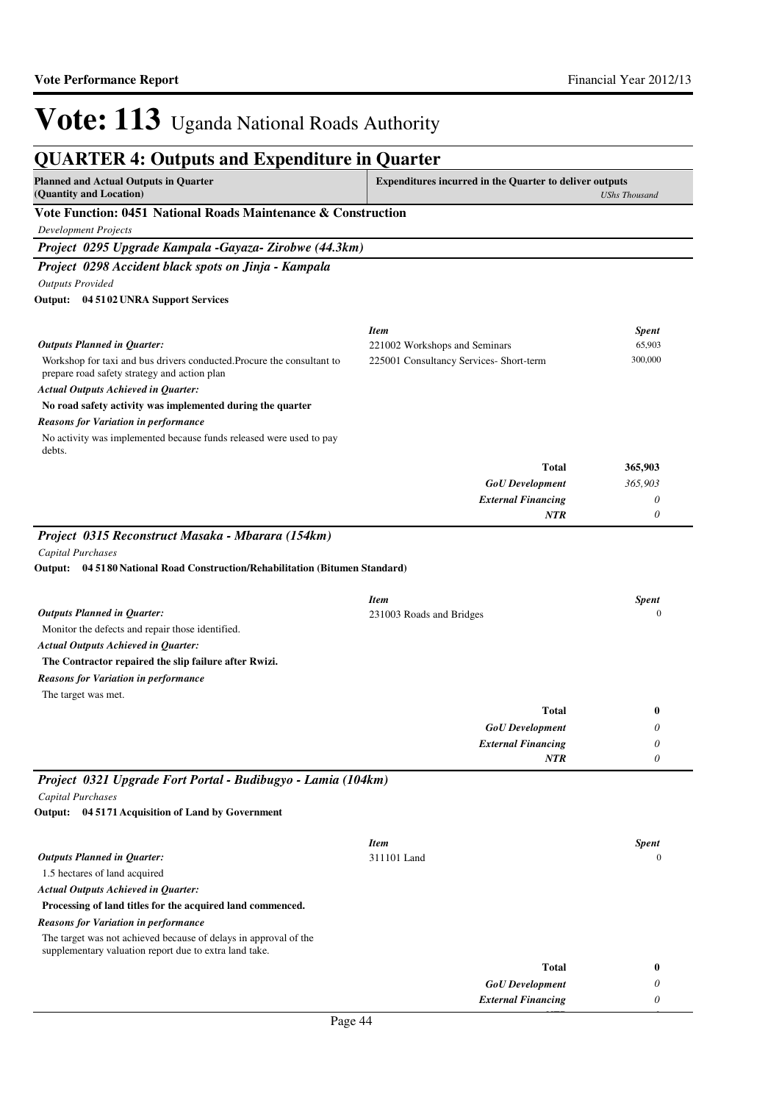#### **QUARTER 4: Outputs and Expenditure in Quarter Planned and Actual Outputs in Quarter (Quantity and Location) Expenditures incurred in the Quarter to deliver outputs**  *UShs Thousand* **Vote Function: 0451 National Roads Maintenance & Construction** *Development Projects Project 0295 Upgrade Kampala -Gayaza- Zirobwe (44.3km) Project 0298 Accident black spots on Jinja - Kampala Outputs Provided* Workshop for taxi and bus drivers conducted.Procure the consultant to prepare road safety strategy and action plan **No road safety activity was implemented during the quarter 04 5102 UNRA Support Services Output:** *GoU Development External Financing* **Total** *365,903 0 0* **365,903** *Actual Outputs Achieved in Quarter: Outputs Planned in Quarter: NTR* No activity was implemented because funds released were used to pay debts. *Reasons for Variation in performance Item Spent* 221002 Workshops and Seminars 65,903 225001 Consultancy Services- Short-term 300,000 *Project 0315 Reconstruct Masaka - Mbarara (154km) Capital Purchases* Monitor the defects and repair those identified. **The Contractor repaired the slip failure after Rwizi. 04 5180 National Road Construction/Rehabilitation (Bitumen Standard) Output:** *GoU Development External Financing* **Total** *0 0 0* **0** *Actual Outputs Achieved in Quarter: Outputs Planned in Quarter: NTR* The target was met. *Reasons for Variation in performance Item Spent* 231003 Roads and Bridges 0 *Project 0321 Upgrade Fort Portal - Budibugyo - Lamia (104km) Capital Purchases* 1.5 hectares of land acquired **Processing of land titles for the acquired land commenced. 04 5171 Acquisition of Land by Government Output:** *GoU Development* **Total** *0* **0** *Actual Outputs Achieved in Quarter: Outputs Planned in Quarter:* The target was not achieved because of delays in approval of the supplementary valuation report due to extra land take. *Reasons for Variation in performance Item Spent* 311101 Land 0

*External Financing*

*NTR*

*0 0*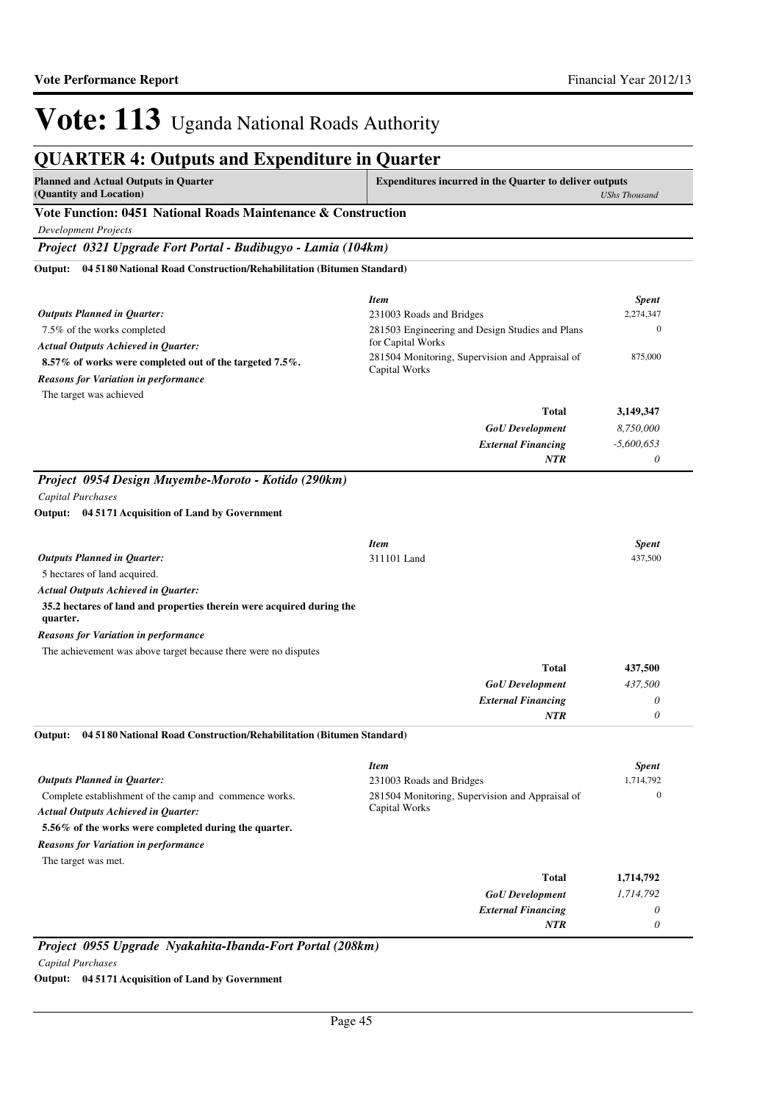## **QUARTER 4: Outputs and Expenditure in Quarter**

| <b>Planned and Actual Outputs in Quarter</b>                                                                                                                                                                                                                                                                                    | <b>Expenditures incurred in the Quarter to deliver outputs</b> |  |
|---------------------------------------------------------------------------------------------------------------------------------------------------------------------------------------------------------------------------------------------------------------------------------------------------------------------------------|----------------------------------------------------------------|--|
| (Quantity and Location)                                                                                                                                                                                                                                                                                                         | UShs Thousand                                                  |  |
| $\mathbf{V}$ . 4. E., 4., 4., $\mathbf{A}$ = 1. $\mathbf{N}$ , 4., $\mathbf{I}$ = 1. $\mathbf{N}$ , $\mathbf{I}$ , $\mathbf{A}$ , $\mathbf{I}$ , $\mathbf{A}$ , $\mathbf{I}$ , $\mathbf{A}$ , $\mathbf{I}$ , $\mathbf{A}$ , $\mathbf{I}$ , $\mathbf{A}$ , $\mathbf{I}$ , $\mathbf{A}$ , $\mathbf{I}$ , $\mathbf{I}$ , $\mathbf$ |                                                                |  |

### **Vote Function: 0451 National Roads Maintenance & Construction**

*Development Projects*

*Project 0321 Upgrade Fort Portal - Budibugyo - Lamia (104km)*

**04 5180 National Road Construction/Rehabilitation (Bitumen Standard) Output:**

|                                                                                   | <b>Item</b>                                                          | <b>Spent</b>                |  |
|-----------------------------------------------------------------------------------|----------------------------------------------------------------------|-----------------------------|--|
| Outputs Planned in Quarter:                                                       | 231003 Roads and Bridges                                             | 2,274,347<br>$\overline{0}$ |  |
| 7.5% of the works completed                                                       | 281503 Engineering and Design Studies and Plans<br>for Capital Works |                             |  |
| <b>Actual Outputs Achieved in Quarter:</b>                                        | 281504 Monitoring, Supervision and Appraisal of                      | 875,000                     |  |
| 8.57% of works were completed out of the targeted 7.5%.                           | Capital Works                                                        |                             |  |
| <b>Reasons for Variation in performance</b>                                       |                                                                      |                             |  |
| The target was achieved                                                           | <b>Total</b>                                                         |                             |  |
|                                                                                   |                                                                      | 3,149,347                   |  |
|                                                                                   | <b>GoU</b> Development                                               | 8,750,000                   |  |
|                                                                                   | <b>External Financing</b><br><b>NTR</b>                              | $-5,600,653$<br>$\theta$    |  |
|                                                                                   |                                                                      |                             |  |
| Project 0954 Design Muyembe-Moroto - Kotido (290km)                               |                                                                      |                             |  |
| Capital Purchases                                                                 |                                                                      |                             |  |
| Output: 04 5171 Acquisition of Land by Government                                 |                                                                      |                             |  |
|                                                                                   | <b>Item</b>                                                          | <b>Spent</b>                |  |
| <b>Outputs Planned in Quarter:</b>                                                | 311101 Land                                                          | 437,500                     |  |
| 5 hectares of land acquired.                                                      |                                                                      |                             |  |
| <b>Actual Outputs Achieved in Quarter:</b>                                        |                                                                      |                             |  |
| 35.2 hectares of land and properties therein were acquired during the<br>quarter. |                                                                      |                             |  |
| <b>Reasons for Variation in performance</b>                                       |                                                                      |                             |  |
| The achievement was above target because there were no disputes                   |                                                                      |                             |  |
|                                                                                   | <b>Total</b>                                                         | 437,500                     |  |
|                                                                                   | <b>GoU</b> Development                                               | 437,500                     |  |
|                                                                                   | <b>External Financing</b>                                            | 0                           |  |
|                                                                                   | <b>NTR</b>                                                           | 0                           |  |
| Output:<br>04 5180 National Road Construction/Rehabilitation (Bitumen Standard)   |                                                                      |                             |  |
|                                                                                   | <b>Item</b>                                                          | <b>Spent</b>                |  |
| <b>Outputs Planned in Quarter:</b>                                                | 231003 Roads and Bridges                                             | 1,714,792                   |  |
| Complete establishment of the camp and commence works.                            | 281504 Monitoring, Supervision and Appraisal of                      | $\mathbf{0}$                |  |
| <b>Actual Outputs Achieved in Quarter:</b>                                        | Capital Works                                                        |                             |  |
| 5.56% of the works were completed during the quarter.                             |                                                                      |                             |  |
| <b>Reasons for Variation in performance</b>                                       |                                                                      |                             |  |
| The target was met.                                                               |                                                                      |                             |  |
|                                                                                   | <b>Total</b>                                                         | 1,714,792                   |  |
|                                                                                   | <b>GoU</b> Development                                               | 1,714,792                   |  |
|                                                                                   | <b>External Financing</b>                                            | 0                           |  |
|                                                                                   | <b>NTR</b>                                                           | 0                           |  |

*Project 0955 Upgrade Nyakahita-Ibanda-Fort Portal (208km) Capital Purchases*

**Output: 04 5171 Acquisition of Land by Government**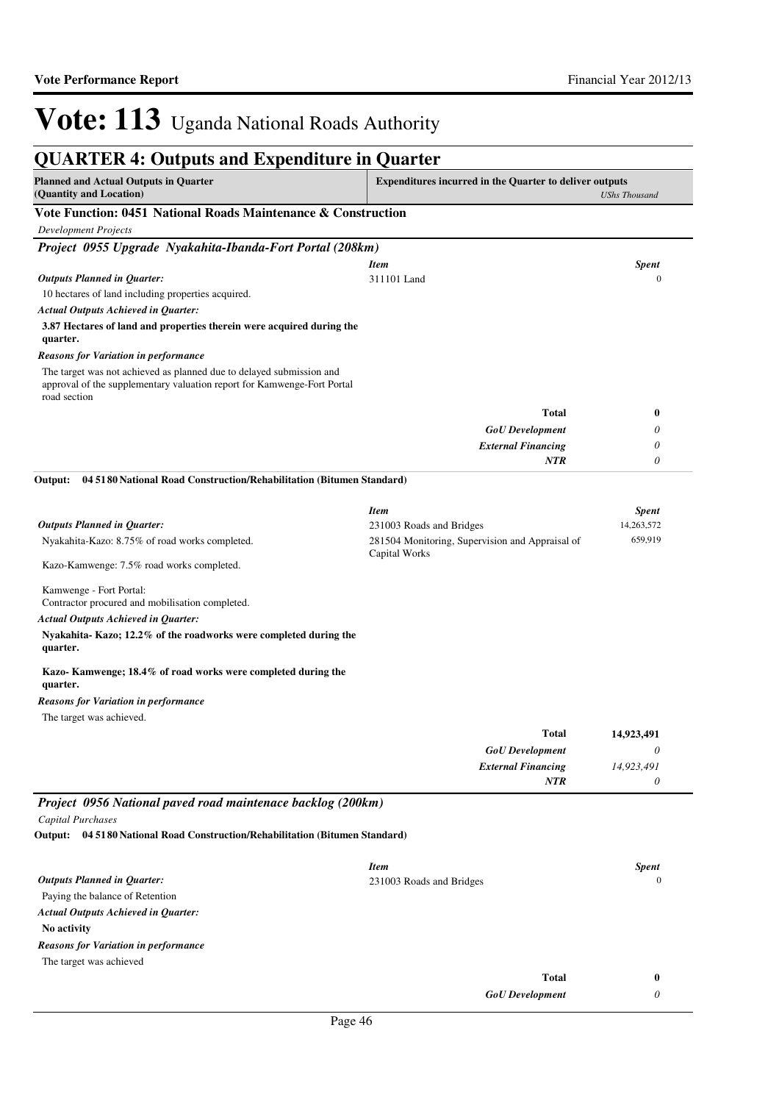| <b>QUARTER 4: Outputs and Expenditure in Quarter</b>                                                                                                            |                                                                |                      |  |
|-----------------------------------------------------------------------------------------------------------------------------------------------------------------|----------------------------------------------------------------|----------------------|--|
| <b>Planned and Actual Outputs in Quarter</b><br>(Quantity and Location)                                                                                         | <b>Expenditures incurred in the Quarter to deliver outputs</b> | <b>UShs Thousand</b> |  |
| Vote Function: 0451 National Roads Maintenance & Construction                                                                                                   |                                                                |                      |  |
| <b>Development Projects</b>                                                                                                                                     |                                                                |                      |  |
| Project 0955 Upgrade Nyakahita-Ibanda-Fort Portal (208km)                                                                                                       |                                                                |                      |  |
|                                                                                                                                                                 | <b>Item</b>                                                    | <b>Spent</b>         |  |
| <b>Outputs Planned in Quarter:</b>                                                                                                                              | 311101 Land                                                    | $\mathbf{0}$         |  |
| 10 hectares of land including properties acquired.                                                                                                              |                                                                |                      |  |
| <b>Actual Outputs Achieved in Quarter:</b>                                                                                                                      |                                                                |                      |  |
| 3.87 Hectares of land and properties therein were acquired during the<br>quarter.                                                                               |                                                                |                      |  |
| <b>Reasons for Variation in performance</b>                                                                                                                     |                                                                |                      |  |
| The target was not achieved as planned due to delayed submission and<br>approval of the supplementary valuation report for Kamwenge-Fort Portal<br>road section |                                                                |                      |  |
|                                                                                                                                                                 | <b>Total</b>                                                   | 0                    |  |
|                                                                                                                                                                 | <b>GoU</b> Development                                         | 0                    |  |
|                                                                                                                                                                 | <b>External Financing</b>                                      | 0                    |  |
|                                                                                                                                                                 | <b>NTR</b>                                                     | 0                    |  |
| Output:<br>04 5180 National Road Construction/Rehabilitation (Bitumen Standard)                                                                                 |                                                                |                      |  |
|                                                                                                                                                                 | <b>Item</b>                                                    | <b>Spent</b>         |  |
| <b>Outputs Planned in Quarter:</b>                                                                                                                              | 231003 Roads and Bridges                                       | 14,263,572           |  |
| Nyakahita-Kazo: 8.75% of road works completed.                                                                                                                  | 281504 Monitoring, Supervision and Appraisal of                | 659,919              |  |
| Kazo-Kamwenge: 7.5% road works completed.                                                                                                                       | Capital Works                                                  |                      |  |
| Kamwenge - Fort Portal:<br>Contractor procured and mobilisation completed.                                                                                      |                                                                |                      |  |
| <b>Actual Outputs Achieved in Quarter:</b><br>Nyakahita-Kazo; 12.2% of the roadworks were completed during the<br>quarter.                                      |                                                                |                      |  |
| Kazo-Kamwenge; 18.4% of road works were completed during the<br>quarter.                                                                                        |                                                                |                      |  |
| <b>Reasons for Variation in performance</b>                                                                                                                     |                                                                |                      |  |
| The target was achieved.                                                                                                                                        |                                                                |                      |  |
|                                                                                                                                                                 | Total                                                          | 14,923,491           |  |
|                                                                                                                                                                 | <b>GoU</b> Development                                         | 0                    |  |
|                                                                                                                                                                 | <b>External Financing</b>                                      | 14,923,491           |  |
|                                                                                                                                                                 | NTR                                                            | 0                    |  |
| Project 0956 National paved road maintenace backlog (200km)                                                                                                     |                                                                |                      |  |
| Capital Purchases                                                                                                                                               |                                                                |                      |  |
| Output:<br>04 5180 National Road Construction/Rehabilitation (Bitumen Standard)                                                                                 |                                                                |                      |  |
|                                                                                                                                                                 |                                                                |                      |  |
|                                                                                                                                                                 | <b>Item</b>                                                    | <b>Spent</b>         |  |
| <b>Outputs Planned in Quarter:</b>                                                                                                                              | 231003 Roads and Bridges                                       | $\mathbf{0}$         |  |
| Paying the balance of Retention                                                                                                                                 |                                                                |                      |  |
| <b>Actual Outputs Achieved in Quarter:</b>                                                                                                                      |                                                                |                      |  |
| No activity                                                                                                                                                     |                                                                |                      |  |
| <b>Reasons for Variation in performance</b>                                                                                                                     |                                                                |                      |  |
| The target was achieved                                                                                                                                         |                                                                |                      |  |
|                                                                                                                                                                 | <b>Total</b>                                                   | 0                    |  |

| <b>GoU</b> Development |  |
|------------------------|--|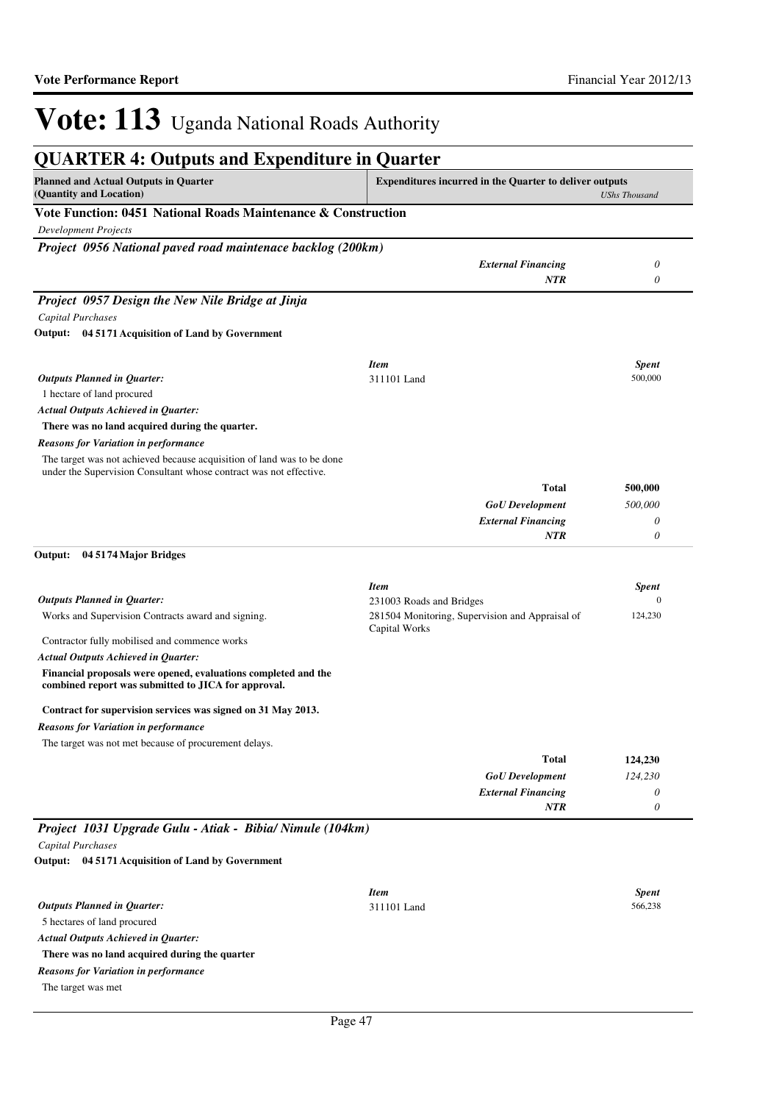| <b>QUARTER 4: Outputs and Expenditure in Quarter</b>                                                                  |                                                                |                         |
|-----------------------------------------------------------------------------------------------------------------------|----------------------------------------------------------------|-------------------------|
| <b>Planned and Actual Outputs in Quarter</b><br>(Quantity and Location)                                               | <b>Expenditures incurred in the Quarter to deliver outputs</b> | <b>UShs Thousand</b>    |
| Vote Function: 0451 National Roads Maintenance & Construction                                                         |                                                                |                         |
| <b>Development Projects</b>                                                                                           |                                                                |                         |
| Project 0956 National paved road maintenace backlog (200km)                                                           |                                                                |                         |
|                                                                                                                       | <b>External Financing</b>                                      | 0                       |
|                                                                                                                       | <b>NTR</b>                                                     | $\boldsymbol{\theta}$   |
| Project 0957 Design the New Nile Bridge at Jinja                                                                      |                                                                |                         |
| Capital Purchases                                                                                                     |                                                                |                         |
| Output: 04 5171 Acquisition of Land by Government                                                                     |                                                                |                         |
|                                                                                                                       |                                                                |                         |
| <b>Outputs Planned in Quarter:</b>                                                                                    | <b>Item</b><br>311101 Land                                     | <b>Spent</b><br>500,000 |
| 1 hectare of land procured                                                                                            |                                                                |                         |
| <b>Actual Outputs Achieved in Quarter:</b>                                                                            |                                                                |                         |
| There was no land acquired during the quarter.                                                                        |                                                                |                         |
| Reasons for Variation in performance                                                                                  |                                                                |                         |
| The target was not achieved because acquisition of land was to be done                                                |                                                                |                         |
| under the Supervision Consultant whose contract was not effective.                                                    |                                                                |                         |
|                                                                                                                       | Total                                                          | 500,000                 |
|                                                                                                                       | <b>GoU</b> Development                                         | 500,000                 |
|                                                                                                                       | <b>External Financing</b>                                      | 0                       |
|                                                                                                                       | NTR                                                            | 0                       |
| Output:<br>04 5174 Major Bridges                                                                                      |                                                                |                         |
|                                                                                                                       | <b>Item</b>                                                    | <b>Spent</b>            |
| <b>Outputs Planned in Quarter:</b>                                                                                    | 231003 Roads and Bridges                                       | $\mathbf{0}$            |
| Works and Supervision Contracts award and signing.                                                                    | 281504 Monitoring, Supervision and Appraisal of                | 124,230                 |
| Contractor fully mobilised and commence works                                                                         | Capital Works                                                  |                         |
| <b>Actual Outputs Achieved in Quarter:</b>                                                                            |                                                                |                         |
| Financial proposals were opened, evaluations completed and the<br>combined report was submitted to JICA for approval. |                                                                |                         |
| Contract for supervision services was signed on 31 May 2013.                                                          |                                                                |                         |
| Reasons for Variation in performance                                                                                  |                                                                |                         |
| The target was not met because of procurement delays.                                                                 |                                                                |                         |
|                                                                                                                       | Total                                                          | 124,230                 |
|                                                                                                                       | <b>GoU</b> Development                                         | 124,230                 |
|                                                                                                                       | <b>External Financing</b>                                      | 0                       |
|                                                                                                                       | NTR                                                            | $\boldsymbol{\theta}$   |
| Project 1031 Upgrade Gulu - Atiak - Bibia/ Nimule (104km)                                                             |                                                                |                         |
| <b>Capital Purchases</b>                                                                                              |                                                                |                         |
| Output: 04 5171 Acquisition of Land by Government                                                                     |                                                                |                         |
|                                                                                                                       | <b>Item</b>                                                    | <b>Spent</b>            |
| <b>Outputs Planned in Quarter:</b>                                                                                    | 311101 Land                                                    | 566,238                 |
| 5 hectares of land procured                                                                                           |                                                                |                         |
| <b>Actual Outputs Achieved in Quarter:</b>                                                                            |                                                                |                         |
| There was no land acquired during the quarter                                                                         |                                                                |                         |
| <b>Reasons for Variation in performance</b>                                                                           |                                                                |                         |
| The target was met                                                                                                    |                                                                |                         |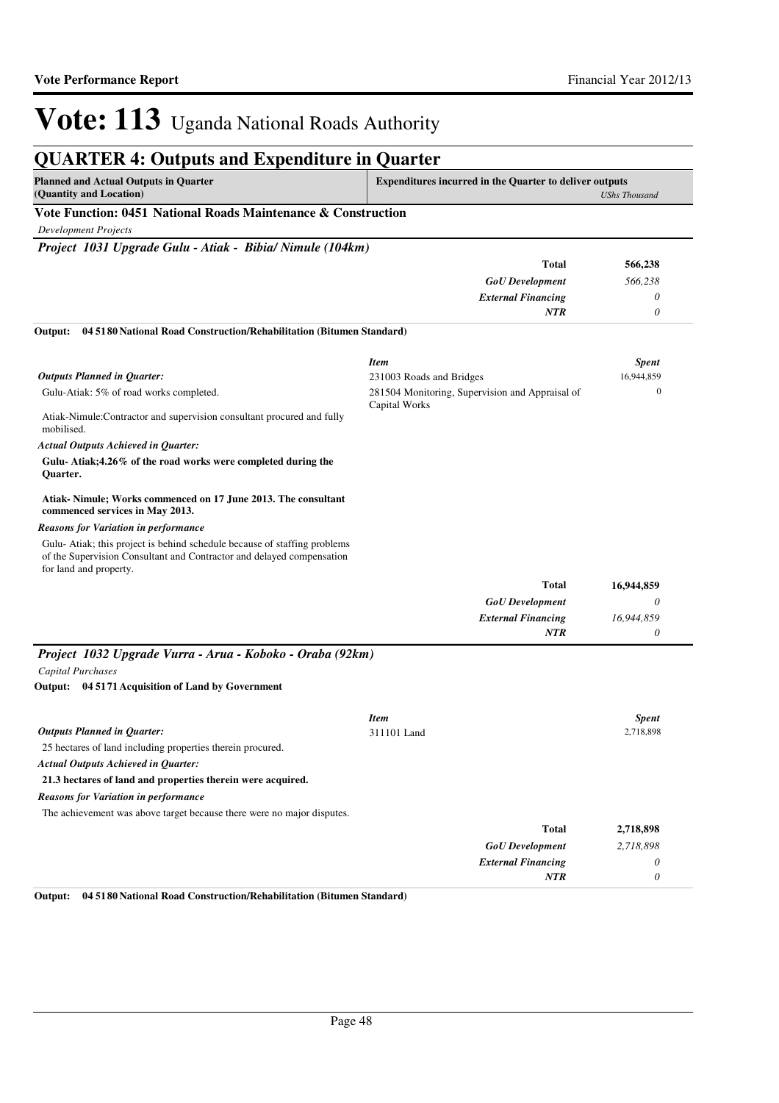*0*

*NTR*

# Vote: 113 Uganda National Roads Authority

## **QUARTER 4: Outputs and Expenditure in Quarter**

| <b>Planned and Actual Outputs in Quarter</b>                  | <b>Expenditures incurred in the Quarter to deliver outputs</b> |  |
|---------------------------------------------------------------|----------------------------------------------------------------|--|
| (Quantity and Location)                                       | UShs Thousand                                                  |  |
| Vote Function: 0451 National Roads Maintenance & Construction |                                                                |  |

*Development Projects*

*Project 1031 Upgrade Gulu - Atiak - Bibia/ Nimule (104km)*

|                                                                                                                                                                             | <b>Total</b>                                                     | 566,238      |
|-----------------------------------------------------------------------------------------------------------------------------------------------------------------------------|------------------------------------------------------------------|--------------|
|                                                                                                                                                                             | <b>GoU</b> Development                                           | 566,238      |
|                                                                                                                                                                             | <b>External Financing</b>                                        | 0            |
|                                                                                                                                                                             | NTR                                                              | 0            |
| 04 5180 National Road Construction/Rehabilitation (Bitumen Standard)<br>Output:                                                                                             |                                                                  |              |
|                                                                                                                                                                             | <b>Item</b>                                                      | <b>Spent</b> |
| <b>Outputs Planned in Quarter:</b>                                                                                                                                          | 231003 Roads and Bridges                                         | 16,944,859   |
| Gulu-Atiak: 5% of road works completed.                                                                                                                                     | 281504 Monitoring, Supervision and Appraisal of<br>Capital Works | $\theta$     |
| Atiak-Nimule: Contractor and supervision consultant procured and fully<br>mobilised.                                                                                        |                                                                  |              |
| <b>Actual Outputs Achieved in Quarter:</b>                                                                                                                                  |                                                                  |              |
| Gulu-Atiak; 4.26% of the road works were completed during the<br><b>Ouarter.</b>                                                                                            |                                                                  |              |
| Atiak-Nimule; Works commenced on 17 June 2013. The consultant<br>commenced services in May 2013.                                                                            |                                                                  |              |
| <b>Reasons for Variation in performance</b>                                                                                                                                 |                                                                  |              |
| Gulu-Atiak; this project is behind schedule because of staffing problems<br>of the Supervision Consultant and Contractor and delayed compensation<br>for land and property. |                                                                  |              |
|                                                                                                                                                                             | Total                                                            | 16,944,859   |
|                                                                                                                                                                             | <b>GoU</b> Development                                           | 0            |
|                                                                                                                                                                             | <b>External Financing</b>                                        | 16,944,859   |
|                                                                                                                                                                             | <b>NTR</b>                                                       | 0            |
|                                                                                                                                                                             |                                                                  |              |
| Project 1032 Upgrade Vurra - Arua - Koboko - Oraba (92km)                                                                                                                   |                                                                  |              |
| <b>Capital Purchases</b>                                                                                                                                                    |                                                                  |              |
| Output: 04 5171 Acquisition of Land by Government                                                                                                                           |                                                                  |              |
|                                                                                                                                                                             | <b>Item</b>                                                      | <b>Spent</b> |
| <b>Outputs Planned in Quarter:</b>                                                                                                                                          | 311101 Land                                                      | 2,718,898    |
| 25 hectares of land including properties therein procured.                                                                                                                  |                                                                  |              |
| <b>Actual Outputs Achieved in Quarter:</b>                                                                                                                                  |                                                                  |              |
| 21.3 hectares of land and properties therein were acquired.                                                                                                                 |                                                                  |              |
| <b>Reasons for Variation in performance</b>                                                                                                                                 |                                                                  |              |
| The achievement was above target because there were no major disputes.                                                                                                      |                                                                  |              |
|                                                                                                                                                                             | <b>Total</b>                                                     | 2,718,898    |
|                                                                                                                                                                             | <b>GoU</b> Development                                           | 2,718,898    |
|                                                                                                                                                                             | <b>External Financing</b>                                        | $\theta$     |

**Output: 04 5180 National Road Construction/Rehabilitation (Bitumen Standard)**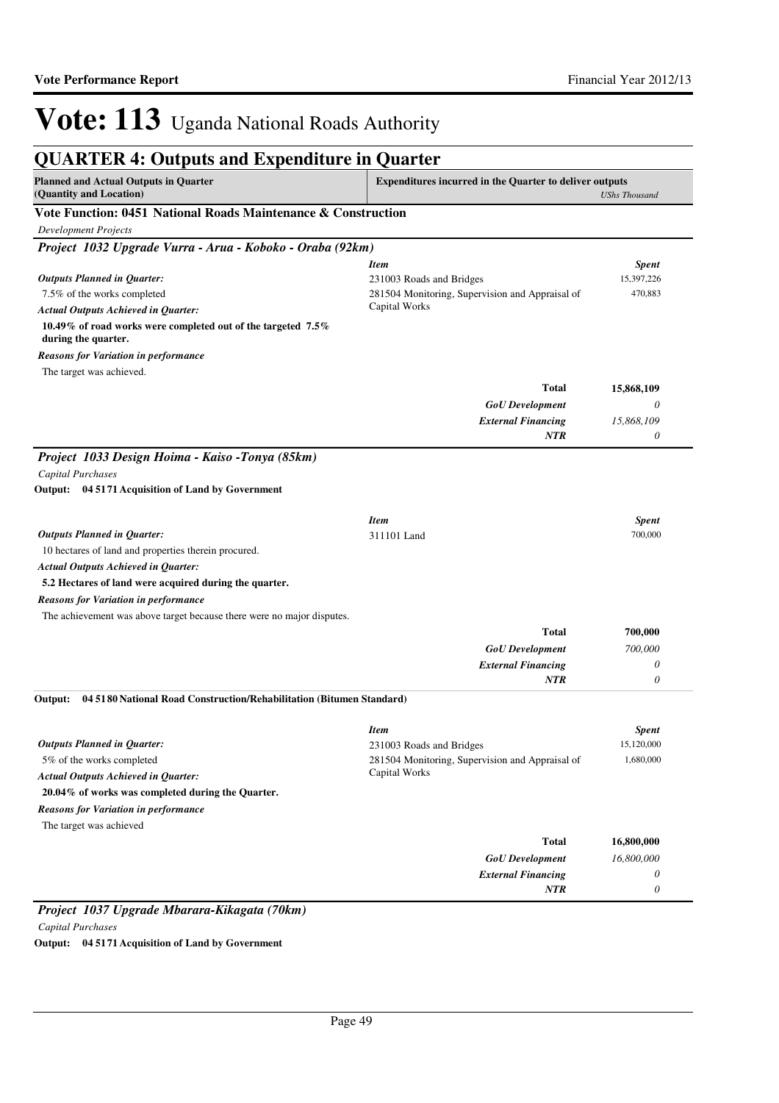#### **QUARTER 4: Outputs and Expenditure in Quarter Planned and Actual Outputs in Quarter (Quantity and Location) Expenditures incurred in the Quarter to deliver outputs**  *UShs Thousand* **Vote Function: 0451 National Roads Maintenance & Construction** *Development Projects Project 1032 Upgrade Vurra - Arua - Koboko - Oraba (92km)* 7.5% of the works completed **10.49% of road works were completed out of the targeted 7.5% during the quarter.** *GoU Development External Financing* **Total** *0 15,868,109 0* **15,868,109** *Actual Outputs Achieved in Quarter: Outputs Planned in Quarter: NTR* The target was achieved. *Reasons for Variation in performance Item Spent* 231003 Roads and Bridges 15,397,226 281504 Monitoring, Supervision and Appraisal of Capital Works 470,883 *Project 1033 Design Hoima - Kaiso -Tonya (85km) Capital Purchases* 10 hectares of land and properties therein procured. **5.2 Hectares of land were acquired during the quarter. 04 5171 Acquisition of Land by Government Output:** *GoU Development External Financing* **Total** *700,000 0 0* **700,000** *Actual Outputs Achieved in Quarter: Outputs Planned in Quarter: NTR* The achievement was above target because there were no major disputes. *Reasons for Variation in performance Item Spent* 311101 Land 700,000 5% of the works completed **20.04% of works was completed during the Quarter. 04 5180 National Road Construction/Rehabilitation (Bitumen Standard)** *GoU Development External Financing* **Total** *16,800,000 0 0* **16,800,000** *Actual Outputs Achieved in Quarter: Outputs Planned in Quarter:* **Output:** *NTR* The target was achieved *Reasons for Variation in performance Item Spent* 231003 Roads and Bridges 15,120,000 281504 Monitoring, Supervision and Appraisal of Capital Works 1,680,000

*Project 1037 Upgrade Mbarara-Kikagata (70km) Capital Purchases* **Output: 04 5171 Acquisition of Land by Government**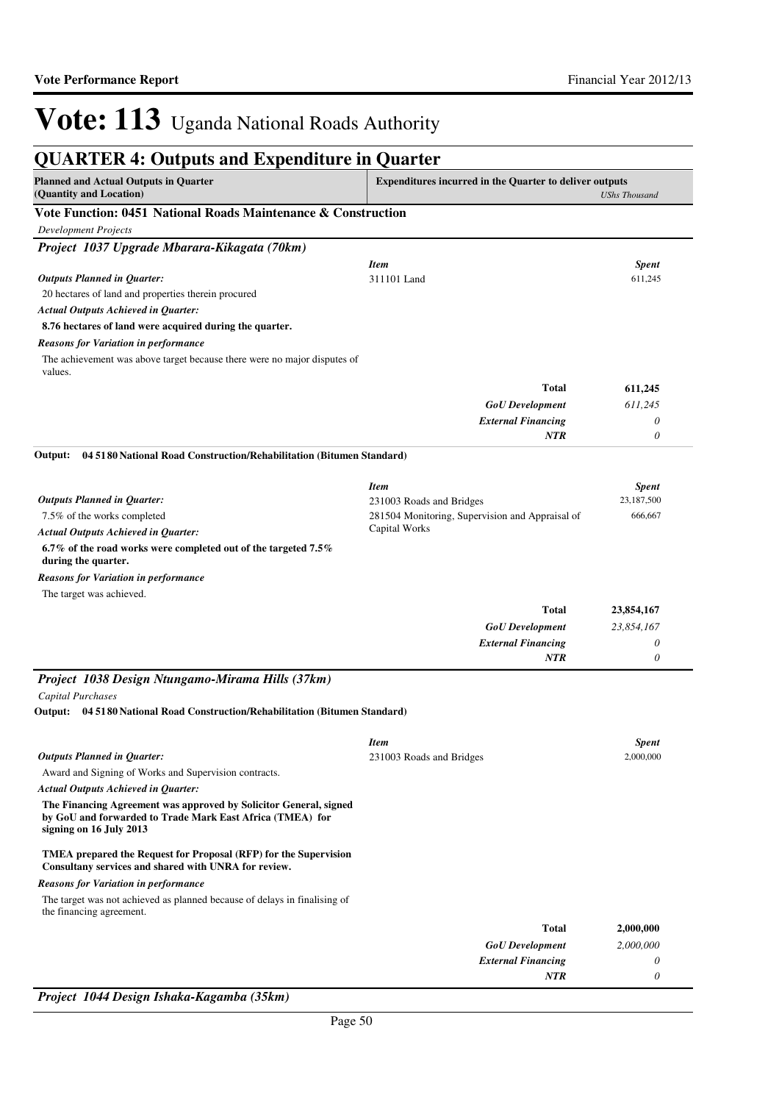| <b>QUARTER 4: Outputs and Expenditure in Quarter</b>                                                                                                      |                                                                |                      |
|-----------------------------------------------------------------------------------------------------------------------------------------------------------|----------------------------------------------------------------|----------------------|
| <b>Planned and Actual Outputs in Quarter</b><br>(Quantity and Location)                                                                                   | <b>Expenditures incurred in the Quarter to deliver outputs</b> | <b>UShs Thousand</b> |
| Vote Function: 0451 National Roads Maintenance & Construction                                                                                             |                                                                |                      |
| <b>Development Projects</b>                                                                                                                               |                                                                |                      |
| Project 1037 Upgrade Mbarara-Kikagata (70km)                                                                                                              |                                                                |                      |
|                                                                                                                                                           | <b>Item</b>                                                    | <b>Spent</b>         |
| <b>Outputs Planned in Quarter:</b>                                                                                                                        | 311101 Land                                                    | 611,245              |
| 20 hectares of land and properties therein procured                                                                                                       |                                                                |                      |
| <b>Actual Outputs Achieved in Quarter:</b>                                                                                                                |                                                                |                      |
| 8.76 hectares of land were acquired during the quarter.                                                                                                   |                                                                |                      |
| <b>Reasons for Variation in performance</b>                                                                                                               |                                                                |                      |
| The achievement was above target because there were no major disputes of<br>values.                                                                       |                                                                |                      |
|                                                                                                                                                           | <b>Total</b>                                                   | 611,245              |
|                                                                                                                                                           | <b>GoU</b> Development                                         | 611,245              |
|                                                                                                                                                           | <b>External Financing</b>                                      | $\theta$             |
|                                                                                                                                                           | <b>NTR</b>                                                     | $\theta$             |
| 04 5180 National Road Construction/Rehabilitation (Bitumen Standard)<br>Output:                                                                           |                                                                |                      |
|                                                                                                                                                           | <b>Item</b>                                                    | <b>Spent</b>         |
| <b>Outputs Planned in Quarter:</b>                                                                                                                        | 231003 Roads and Bridges                                       | 23,187,500           |
| 7.5% of the works completed                                                                                                                               | 281504 Monitoring, Supervision and Appraisal of                | 666,667              |
| <b>Actual Outputs Achieved in Quarter:</b>                                                                                                                | Capital Works                                                  |                      |
| 6.7% of the road works were completed out of the targeted 7.5%<br>during the quarter.                                                                     |                                                                |                      |
| <b>Reasons for Variation in performance</b>                                                                                                               |                                                                |                      |
| The target was achieved.                                                                                                                                  |                                                                |                      |
|                                                                                                                                                           | <b>Total</b>                                                   | 23,854,167           |
|                                                                                                                                                           | <b>GoU</b> Development                                         | 23,854,167           |
|                                                                                                                                                           | <b>External Financing</b>                                      | 0                    |
|                                                                                                                                                           | <b>NTR</b>                                                     | 0                    |
| Project 1038 Design Ntungamo-Mirama Hills (37km)                                                                                                          |                                                                |                      |
| <b>Capital Purchases</b>                                                                                                                                  |                                                                |                      |
| Output: 04 5180 National Road Construction/Rehabilitation (Bitumen Standard)                                                                              |                                                                |                      |
|                                                                                                                                                           | <b>Item</b>                                                    | <b>Spent</b>         |
| <b>Outputs Planned in Quarter:</b>                                                                                                                        | 231003 Roads and Bridges                                       | 2,000,000            |
| Award and Signing of Works and Supervision contracts.                                                                                                     |                                                                |                      |
| <b>Actual Outputs Achieved in Quarter:</b>                                                                                                                |                                                                |                      |
| The Financing Agreement was approved by Solicitor General, signed<br>by GoU and forwarded to Trade Mark East Africa (TMEA) for<br>signing on 16 July 2013 |                                                                |                      |
| TMEA prepared the Request for Proposal (RFP) for the Supervision<br>Consultany services and shared with UNRA for review.                                  |                                                                |                      |
| <b>Reasons for Variation in performance</b>                                                                                                               |                                                                |                      |
| The target was not achieved as planned because of delays in finalising of<br>the financing agreement.                                                     |                                                                |                      |
|                                                                                                                                                           | <b>Total</b>                                                   | 2,000,000            |
|                                                                                                                                                           | <b>GoU</b> Development                                         | 2,000,000            |
|                                                                                                                                                           | <b>External Financing</b>                                      | 0                    |
|                                                                                                                                                           | NTR                                                            | 0                    |

*Project 1044 Design Ishaka-Kagamba (35km)*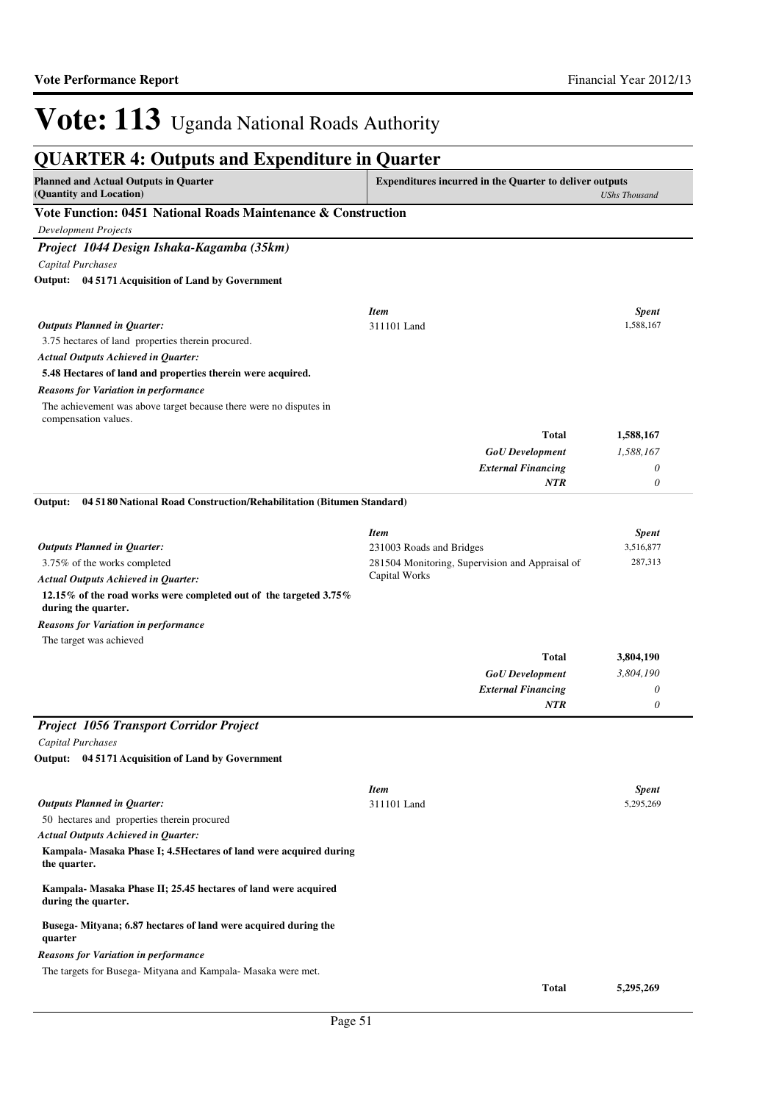| <b>QUARTER 4: Outputs and Expenditure in Quarter</b>                                       |                                                                |                      |
|--------------------------------------------------------------------------------------------|----------------------------------------------------------------|----------------------|
| <b>Planned and Actual Outputs in Quarter</b><br>(Quantity and Location)                    | <b>Expenditures incurred in the Quarter to deliver outputs</b> | <b>UShs Thousand</b> |
| Vote Function: 0451 National Roads Maintenance & Construction                              |                                                                |                      |
| <b>Development Projects</b>                                                                |                                                                |                      |
| Project 1044 Design Ishaka-Kagamba (35km)                                                  |                                                                |                      |
| <b>Capital Purchases</b>                                                                   |                                                                |                      |
| Output: 04 5171 Acquisition of Land by Government                                          |                                                                |                      |
|                                                                                            | <b>Item</b>                                                    | <b>Spent</b>         |
| <b>Outputs Planned in Quarter:</b>                                                         | 311101 Land                                                    | 1,588,167            |
| 3.75 hectares of land properties therein procured.                                         |                                                                |                      |
| <b>Actual Outputs Achieved in Quarter:</b>                                                 |                                                                |                      |
| 5.48 Hectares of land and properties therein were acquired.                                |                                                                |                      |
| <b>Reasons for Variation in performance</b>                                                |                                                                |                      |
| The achievement was above target because there were no disputes in<br>compensation values. |                                                                |                      |
|                                                                                            | <b>Total</b>                                                   | 1,588,167            |
|                                                                                            | <b>GoU</b> Development                                         | 1,588,167            |
|                                                                                            | <b>External Financing</b>                                      | 0                    |
|                                                                                            | NTR                                                            | 0                    |
| 04 5180 National Road Construction/Rehabilitation (Bitumen Standard)<br>Output:            |                                                                |                      |
|                                                                                            | <b>Item</b>                                                    | <b>Spent</b>         |
| <b>Outputs Planned in Quarter:</b>                                                         | 231003 Roads and Bridges                                       | 3,516,877            |
| 3.75% of the works completed                                                               | 281504 Monitoring, Supervision and Appraisal of                | 287,313              |
| <b>Actual Outputs Achieved in Quarter:</b>                                                 | Capital Works                                                  |                      |
| 12.15% of the road works were completed out of the targeted 3.75%<br>during the quarter.   |                                                                |                      |
| <b>Reasons for Variation in performance</b>                                                |                                                                |                      |
| The target was achieved                                                                    |                                                                |                      |
|                                                                                            | Total                                                          | 3,804,190            |
|                                                                                            | <b>GoU</b> Development                                         | 3,804,190            |
|                                                                                            | <b>External Financing</b>                                      | 0                    |
|                                                                                            | NTR                                                            | 0                    |
| <b>Project 1056 Transport Corridor Project</b>                                             |                                                                |                      |
| Capital Purchases                                                                          |                                                                |                      |
| Output: 04 5171 Acquisition of Land by Government                                          |                                                                |                      |
|                                                                                            | <b>Item</b>                                                    | <b>Spent</b>         |
| <b>Outputs Planned in Quarter:</b>                                                         | 311101 Land                                                    | 5,295,269            |
| 50 hectares and properties therein procured                                                |                                                                |                      |
| <b>Actual Outputs Achieved in Quarter:</b>                                                 |                                                                |                      |
| Kampala- Masaka Phase I; 4.5 Hectares of land were acquired during<br>the quarter.         |                                                                |                      |
| Kampala- Masaka Phase II; 25.45 hectares of land were acquired<br>during the quarter.      |                                                                |                      |
| Busega-Mityana; 6.87 hectares of land were acquired during the<br>quarter                  |                                                                |                      |
| <b>Reasons for Variation in performance</b>                                                |                                                                |                      |
| The targets for Busega- Mityana and Kampala- Masaka were met.                              |                                                                |                      |
|                                                                                            | <b>Total</b>                                                   | 5,295,269            |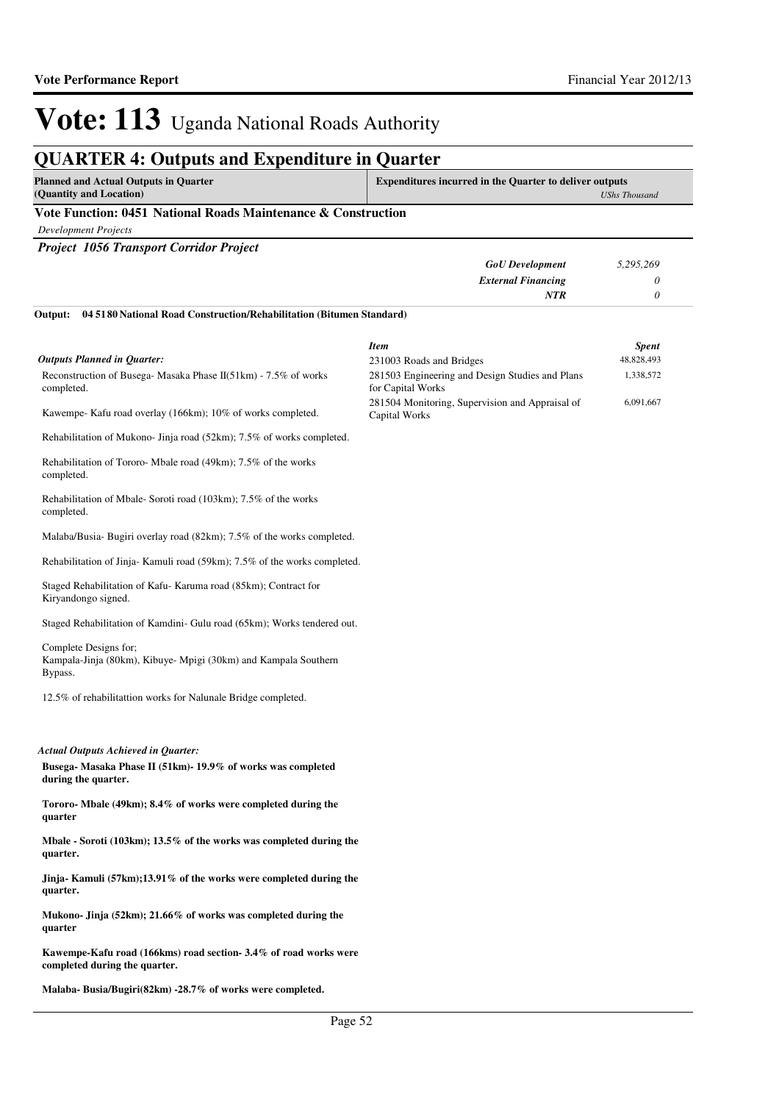*UShs Thousand*

## Vote: 113 Uganda National Roads Authority

## **QUARTER 4: Outputs and Expenditure in Quarter**

### **Vote Function: 0451 National Roads Maintenance & Construction**

*Development Projects*

| <b>Project 1056 Transport Corridor Project</b>                                                      |                                                                      |              |
|-----------------------------------------------------------------------------------------------------|----------------------------------------------------------------------|--------------|
|                                                                                                     | <b>GoU</b> Development                                               | 5,295,269    |
|                                                                                                     | <b>External Financing</b>                                            | 0            |
|                                                                                                     | <b>NTR</b>                                                           | 0            |
| 04 5180 National Road Construction/Rehabilitation (Bitumen Standard)<br>Output:                     |                                                                      |              |
|                                                                                                     | <b>Item</b>                                                          | <b>Spent</b> |
| <b>Outputs Planned in Quarter:</b>                                                                  | 231003 Roads and Bridges                                             | 48,828,493   |
| Reconstruction of Busega- Masaka Phase II(51km) - 7.5% of works<br>completed.                       | 281503 Engineering and Design Studies and Plans<br>for Capital Works | 1,338,572    |
| Kawempe- Kafu road overlay (166km); 10% of works completed.                                         | 281504 Monitoring, Supervision and Appraisal of<br>Capital Works     | 6,091,667    |
| Rehabilitation of Mukono- Jinja road (52km); 7.5% of works completed.                               |                                                                      |              |
| Rehabilitation of Tororo-Mbale road (49km); 7.5% of the works<br>completed.                         |                                                                      |              |
| Rehabilitation of Mbale-Soroti road (103km); 7.5% of the works<br>completed.                        |                                                                      |              |
| Malaba/Busia-Bugiri overlay road (82km); 7.5% of the works completed.                               |                                                                      |              |
| Rehabilitation of Jinja-Kamuli road (59km); 7.5% of the works completed.                            |                                                                      |              |
| Staged Rehabilitation of Kafu-Karuma road (85km); Contract for<br>Kiryandongo signed.               |                                                                      |              |
| Staged Rehabilitation of Kamdini- Gulu road (65km); Works tendered out.                             |                                                                      |              |
| Complete Designs for;<br>Kampala-Jinja (80km), Kibuye- Mpigi (30km) and Kampala Southern<br>Bypass. |                                                                      |              |
| 12.5% of rehabilitattion works for Nalunale Bridge completed.                                       |                                                                      |              |
| <b>Actual Outputs Achieved in Quarter:</b>                                                          |                                                                      |              |
| Busega- Masaka Phase II (51km)- 19.9% of works was completed<br>during the quarter.                 |                                                                      |              |
| Tororo- Mbale (49km); 8.4% of works were completed during the<br>quarter                            |                                                                      |              |
| Mbale - Soroti (103km); 13.5% of the works was completed during the<br>quarter.                     |                                                                      |              |
| Jinja- Kamuli $(57km);13.91\%$ of the works were completed during the<br>quarter.                   |                                                                      |              |
| Mukono- Jinja (52km); 21.66% of works was completed during the<br>quarter                           |                                                                      |              |
| Kawempe-Kafu road (166kms) road section-3.4% of road works were<br>completed during the quarter.    |                                                                      |              |

**Malaba- Busia/Bugiri(82km) -28.7% of works were completed.**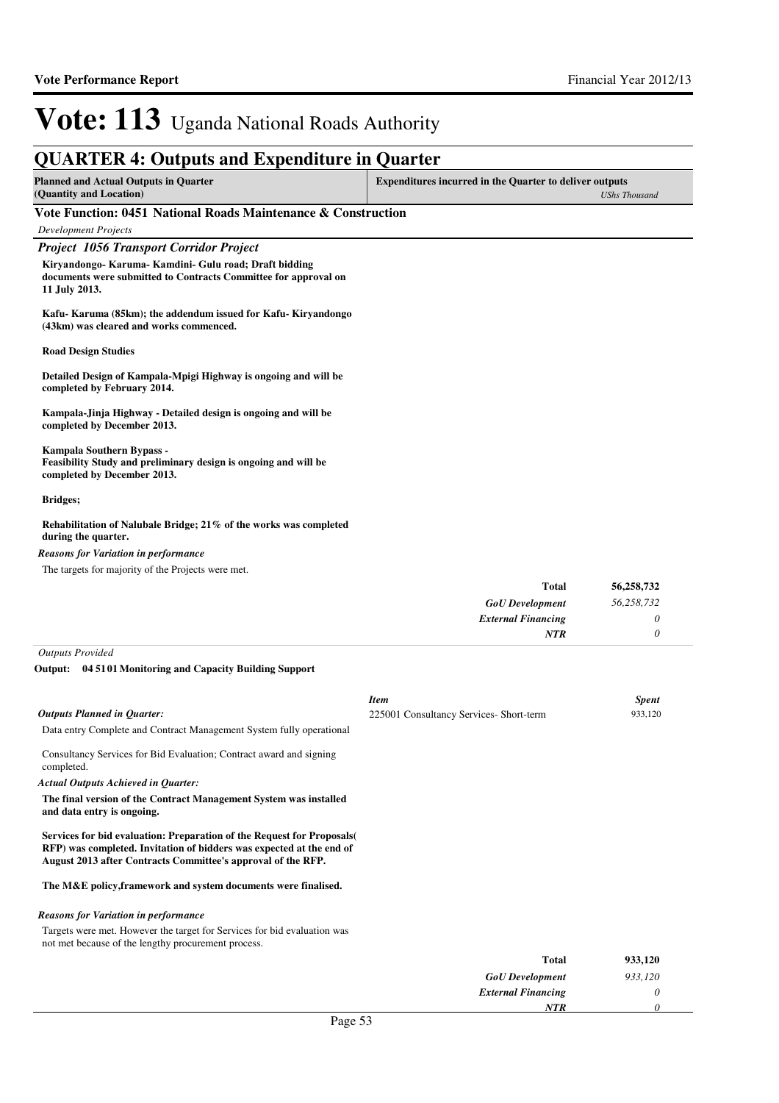### **QUARTER 4: Outputs and Expenditure in Quarter**

| Planned and Actual Outputs in Quarter | <b>Expenditures incurred in the Quarter to deliver outputs</b> |  |
|---------------------------------------|----------------------------------------------------------------|--|
| (Quantity and Location)               | UShs Thousand                                                  |  |

### **Vote Function: 0451 National Roads Maintenance & Construction**

| <b>Development Projects</b> |  |
|-----------------------------|--|
|-----------------------------|--|

### *Project 1056 Transport Corridor Project*

Kiryandongo- Karuma- Kamdini- Gulu road; **Draft bidding documents were submitted to Contracts Committee for approval on 11 July 2013.**

**Kafu- Karuma (85km); the addendum issued for Kafu- Kiryandongo (43km) was cleared and works commenced.**

**Road Design Studies**

**Detailed Design of Kampala-Mpigi Highway is ongoing and will be completed by February 2014.**

**Kampala-Jinja Highway - Detailed design is ongoing and will be completed by December 2013.**

**Kampala Southern Bypass - Feasibility Study and preliminary design is ongoing and will be completed by December 2013.**

#### **Bridges;**

#### **Rehabilitation of Nalubale Bridge; 21% of the works was completed during the quarter.**

#### *Reasons for Variation in performance*

The targets for majority of the Projects were met.

| 56,258,732 | <b>Total</b>              |
|------------|---------------------------|
| 56,258,732 | <b>GoU</b> Development    |
|            | <b>External Financing</b> |
|            | <b>NTR</b>                |
|            |                           |

*Outputs Provided*

#### **04 5101 Monitoring and Capacity Building Support Output:**

|                                                                                                                                                                                                               | <b>Item</b>                             | <b>Spent</b> |
|---------------------------------------------------------------------------------------------------------------------------------------------------------------------------------------------------------------|-----------------------------------------|--------------|
| <b>Outputs Planned in Quarter:</b>                                                                                                                                                                            | 225001 Consultancy Services- Short-term | 933,120      |
| Data entry Complete and Contract Management System fully operational                                                                                                                                          |                                         |              |
| Consultancy Services for Bid Evaluation; Contract award and signing<br>completed.                                                                                                                             |                                         |              |
| Actual Outputs Achieved in Quarter:                                                                                                                                                                           |                                         |              |
| The final version of the Contract Management System was installed<br>and data entry is ongoing.                                                                                                               |                                         |              |
| Services for bid evaluation: Preparation of the Request for Proposals<br>RFP) was completed. Invitation of bidders was expected at the end of<br>August 2013 after Contracts Committee's approval of the RFP. |                                         |              |
| The M&E policy, framework and system documents were finalised.                                                                                                                                                |                                         |              |
| <b>Reasons for Variation in performance</b>                                                                                                                                                                   |                                         |              |
| Targets were met. However the target for Services for bid evaluation was<br>not met because of the lengthy procurement process.                                                                               |                                         |              |
|                                                                                                                                                                                                               | <b>Total</b>                            | 933,120      |
|                                                                                                                                                                                                               | <b>GoU</b> Development                  | 933,120      |
|                                                                                                                                                                                                               | <b>External Financing</b>               | 0            |
|                                                                                                                                                                                                               | NTR                                     | 0            |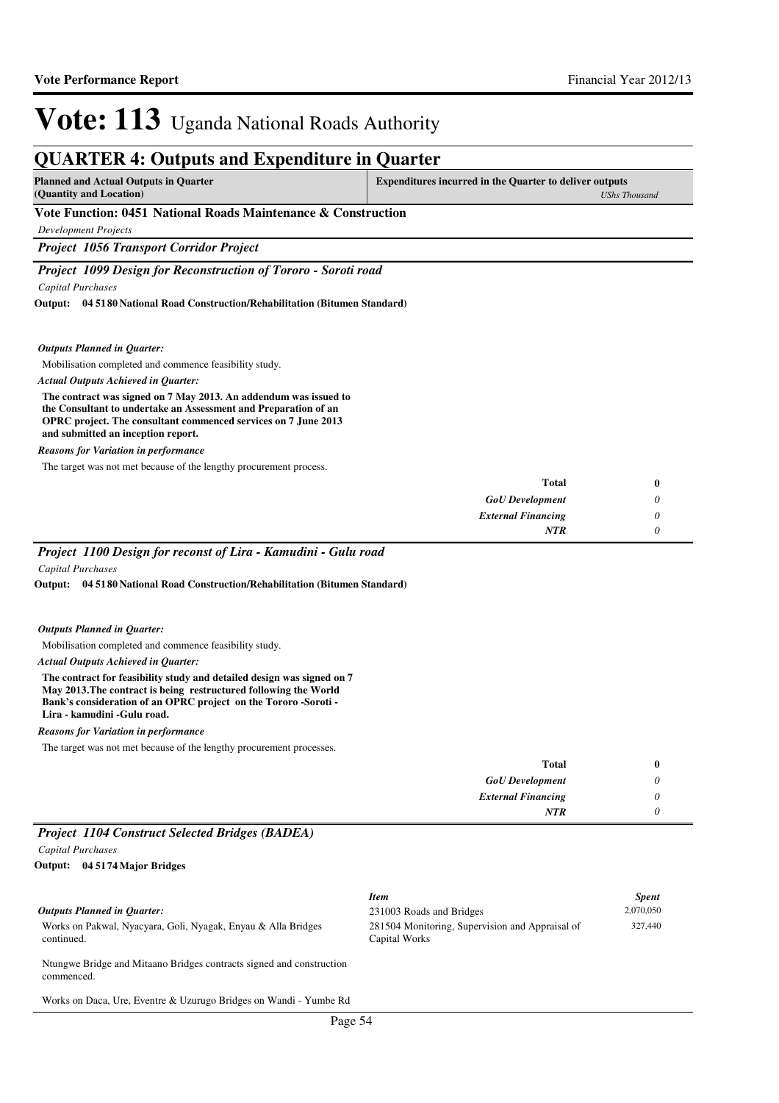## **QUARTER 4: Outputs and Expenditure in Quarter**

**Planned and Actual Outputs in Quarter (Quantity and Location)**

**Expenditures incurred in the Quarter to deliver outputs**  *UShs Thousand*

### **Vote Function: 0451 National Roads Maintenance & Construction**

*Development Projects*

*Project 1056 Transport Corridor Project*

*Project 1099 Design for Reconstruction of Tororo - Soroti road*

*Capital Purchases*

**04 5180 National Road Construction/Rehabilitation (Bitumen Standard) Output:**

### *Outputs Planned in Quarter:*

Mobilisation completed and commence feasibility study.

#### *Actual Outputs Achieved in Quarter:*

**The contract was signed on 7 May 2013. An addendum was issued to the Consultant to undertake an Assessment and Preparation of an OPRC project. The consultant commenced services on 7 June 2013 and submitted an inception report.**

#### *Reasons for Variation in performance*

The target was not met because of the lengthy procurement process.

|   | <b>Total</b>              |
|---|---------------------------|
| ◡ | <b>GoU</b> Development    |
|   | <b>External Financing</b> |
|   | <b>NTR</b>                |
|   |                           |

### *Project 1100 Design for reconst of Lira - Kamudini - Gulu road*

*Capital Purchases*

**04 5180 National Road Construction/Rehabilitation (Bitumen Standard) Output:**

#### *Outputs Planned in Quarter:*

Mobilisation completed and commence feasibility study.

#### *Actual Outputs Achieved in Quarter:*

**The contract for feasibility study and detailed design was signed on 7 May 2013.The contract is being restructured following the World Bank's consideration of an OPRC project on the Tororo -Soroti - Lira - kamudini -Gulu road.**

*Reasons for Variation in performance*

The target was not met because of the lengthy procurement processes.

| <b>Total</b>              |                       |                               |                                        |  |
|---------------------------|-----------------------|-------------------------------|----------------------------------------|--|
| <b>GoU</b> Development    |                       |                               |                                        |  |
| <b>External Financing</b> |                       |                               |                                        |  |
| <b>NTR</b>                |                       |                               |                                        |  |
|                           | $\sqrt{2}$ $\sqrt{2}$ | $\cdots$ $\alpha$ is $\cdots$ | $\mathbf{r}$ $\mathbf{r}$ $\mathbf{r}$ |  |

### *Project 1104 Construct Selected Bridges (BADEA)*

*Capital Purchases*

**04 5174 Major Bridges Output:**

Works on Pakwal, Nyacyara, Goli, Nyagak, Enyau & Alla Bridges continued.

*Item Spent* 231003 Roads and Bridges 2,070,050 281504 Monitoring, Supervision and Appraisal of Capital Works 327,440

Ntungwe Bridge and Mitaano Bridges contracts signed and construction commenced.

Works on Daca, Ure, Eventre & Uzurugo Bridges on Wandi - Yumbe Rd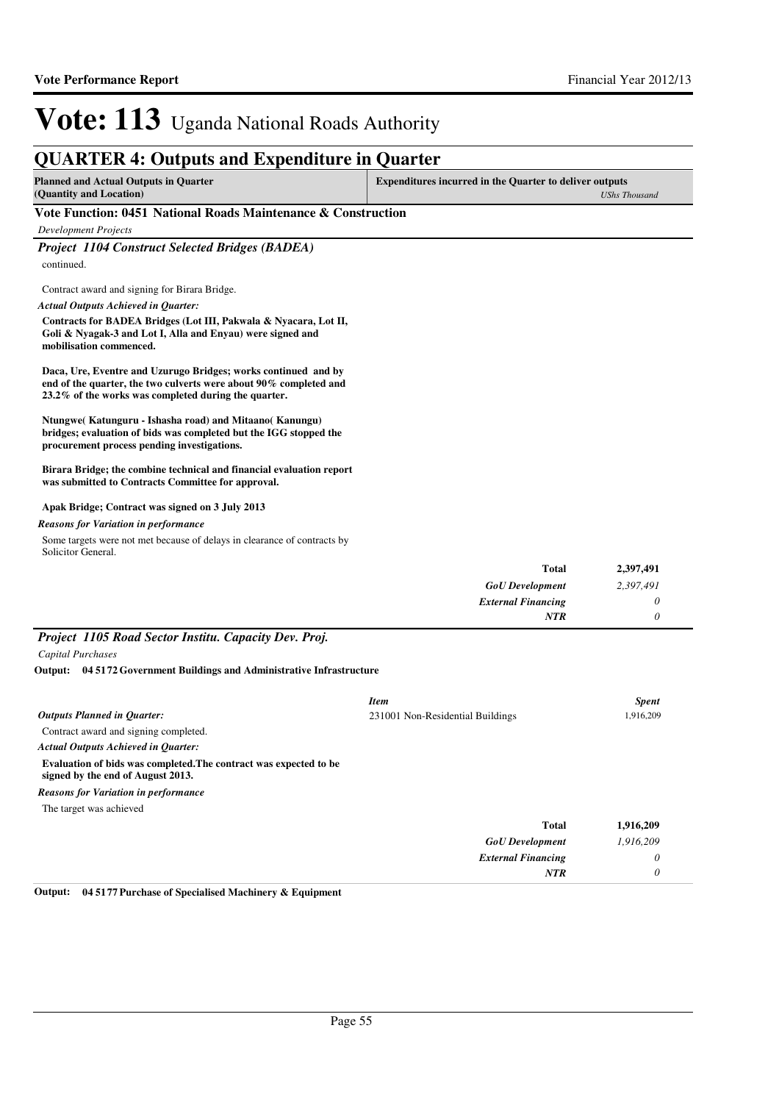### **QUARTER 4: Outputs and Expenditure in Quarter**

| <b>Planned and Actual Outputs in Quarter</b> | <b>Expenditures incurred in the Quarter to deliver outputs</b> |
|----------------------------------------------|----------------------------------------------------------------|
| (Quantity and Location)                      | UShs Thousand                                                  |

### **Vote Function: 0451 National Roads Maintenance & Construction**

*Development Projects*

*Project 1104 Construct Selected Bridges (BADEA)* continued.

Contract award and signing for Birara Bridge.

*Actual Outputs Achieved in Quarter:*

**Contracts for BADEA Bridges (Lot III, Pakwala & Nyacara, Lot II, Goli & Nyagak-3 and Lot I, Alla and Enyau) were signed and mobilisation commenced.**

**Daca, Ure, Eventre and Uzurugo Bridges; works continued and by end of the quarter, the two culverts were about 90% completed and 23.2% of the works was completed during the quarter.**

**Ntungwe( Katunguru - Ishasha road) and Mitaano( Kanungu) bridges; evaluation of bids was completed but the IGG stopped the procurement process pending investigations.**

**Birara Bridge; the combine technical and financial evaluation report was submitted to Contracts Committee for approval.**

### **Apak Bridge; Contract was signed on 3 July 2013**

*Reasons for Variation in performance*

Some targets were not met because of delays in clearance of contracts by Solicitor General.

| <b>Total</b>              | 2,397,491 |
|---------------------------|-----------|
| <b>GoU</b> Development    | 2,397,491 |
| <b>External Financing</b> |           |
| <b>NTR</b>                |           |

### *Project 1105 Road Sector Institu. Capacity Dev. Proj.*

*Capital Purchases*

**04 5172 Government Buildings and Administrative Infrastructure Output:**

|                                                                                                        | <b>Item</b>                      | <b>Spent</b> |
|--------------------------------------------------------------------------------------------------------|----------------------------------|--------------|
| <b>Outputs Planned in Ouarter:</b>                                                                     | 231001 Non-Residential Buildings | 1,916,209    |
| Contract award and signing completed.                                                                  |                                  |              |
| <b>Actual Outputs Achieved in Ouarter:</b>                                                             |                                  |              |
| Evaluation of bids was completed. The contract was expected to be<br>signed by the end of August 2013. |                                  |              |
| <b>Reasons for Variation in performance</b>                                                            |                                  |              |
| The target was achieved                                                                                |                                  |              |
|                                                                                                        | <b>Total</b>                     | 1,916,209    |
|                                                                                                        | <b>GoU</b> Development           | 1,916,209    |
|                                                                                                        | <b>External Financing</b>        | 0            |
|                                                                                                        | <b>NTR</b>                       | 0            |

**Output: 04 5177 Purchase of Specialised Machinery & Equipment**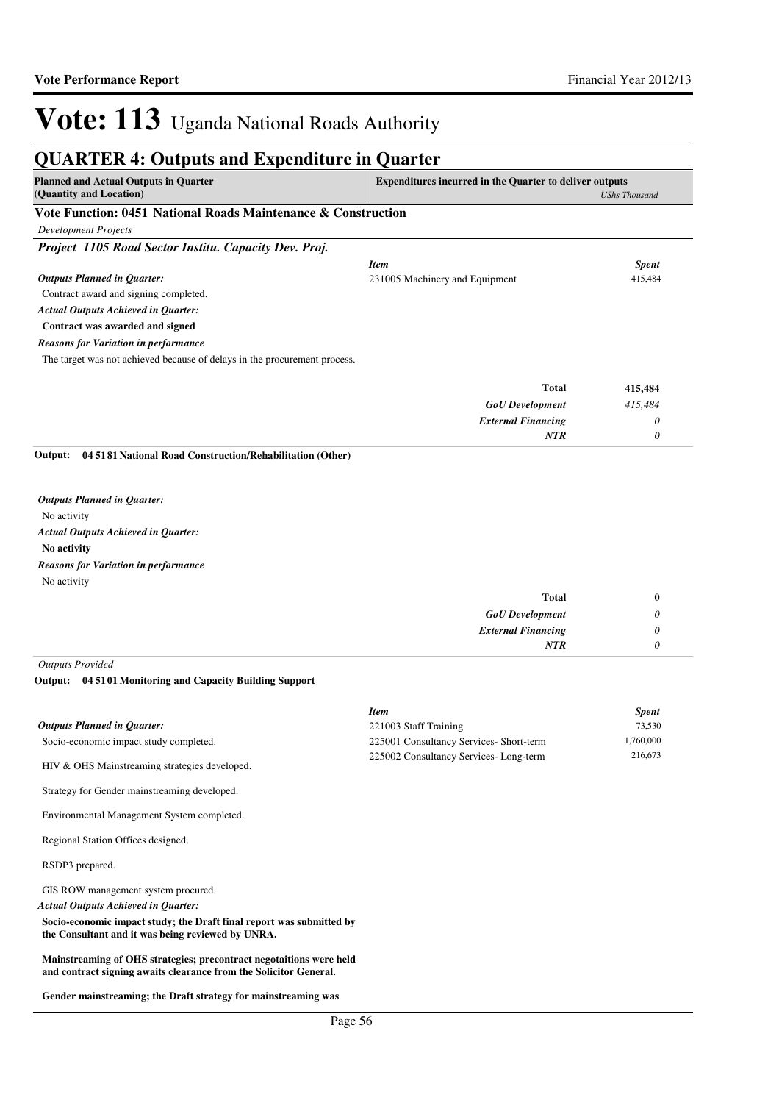#### **QUARTER 4: Outputs and Expenditure in Quarter Planned and Actual Outputs in Quarter (Quantity and Location) Expenditures incurred in the Quarter to deliver outputs**  *UShs Thousand* **Vote Function: 0451 National Roads Maintenance & Construction** *Development Projects Project 1105 Road Sector Institu. Capacity Dev. Proj.* Contract award and signing completed. **Contract was awarded and signed** *GoU Development External Financing* **Total** *415,484 0 0* **415,484** *Actual Outputs Achieved in Quarter: Outputs Planned in Quarter: NTR* The target was not achieved because of delays in the procurement process. *Reasons for Variation in performance Item Spent* 231005 Machinery and Equipment 415,484

#### **04 5181 National Road Construction/Rehabilitation (Other) Output:**

No activity **No activity** *Actual Outputs Achieved in Quarter: Outputs Planned in Quarter:* No activity *Reasons for Variation in performance*

| <b>Total</b>              | 0 |
|---------------------------|---|
| <b>GoU</b> Development    | U |
| <b>External Financing</b> | υ |
| <b>NTR</b>                |   |
|                           |   |

*Outputs Provided*

#### **04 5101 Monitoring and Capacity Building Support Output:**

|                                               | Item                                    | <b>Spent</b> |
|-----------------------------------------------|-----------------------------------------|--------------|
| <b>Outputs Planned in Ouarter:</b>            | 221003 Staff Training                   | 73.530       |
| Socio-economic impact study completed.        | 225001 Consultancy Services- Short-term | 1.760.000    |
| HIV & OHS Mainstreaming strategies developed. | 225002 Consultancy Services-Long-term   | 216,673      |

Strategy for Gender mainstreaming developed.

Environmental Management System completed.

Regional Station Offices designed.

RSDP3 prepared.

GIS ROW management system procured.

*Actual Outputs Achieved in Quarter:*

**Socio-economic impact study; the Draft final report was submitted by the Consultant and it was being reviewed by UNRA.**

**Mainstreaming of OHS strategies; precontract negotaitions were held and contract signing awaits clearance from the Solicitor General.**

**Gender mainstreaming; the Draft strategy for mainstreaming was**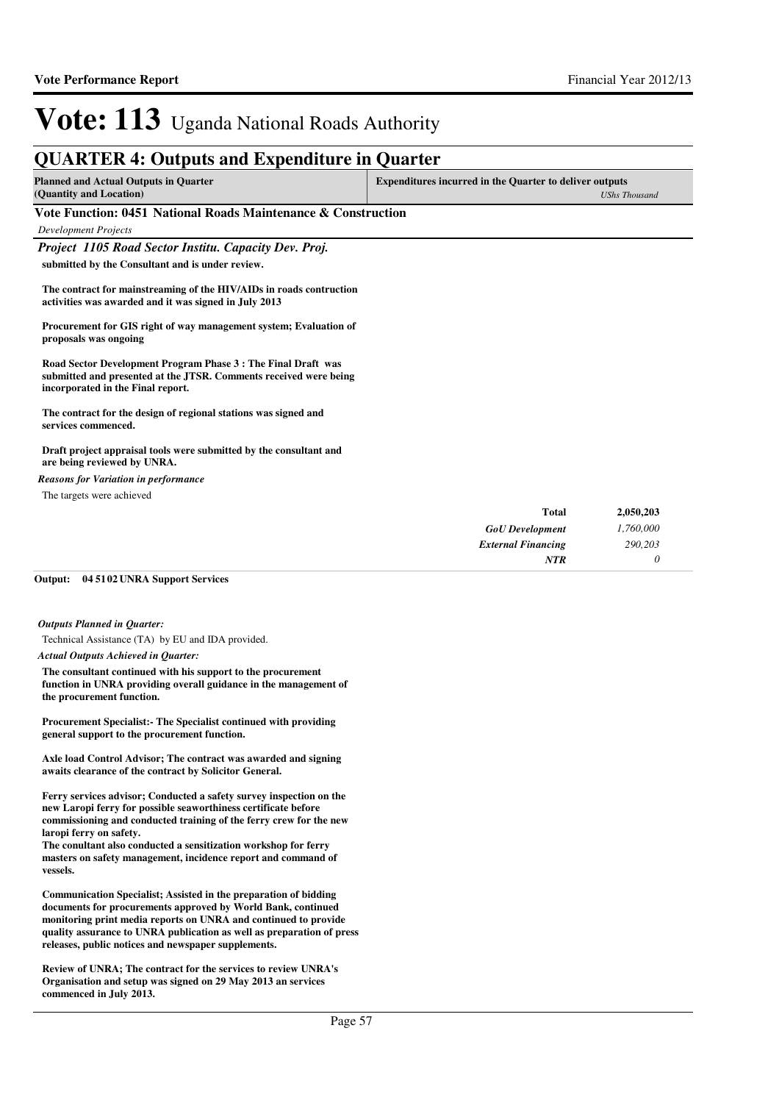### **QUARTER 4: Outputs and Expenditure in Quarter**

| <b>Planned and Actual Outputs in Quarter</b> | <b>Expenditures incurred in the Quarter to deliver outputs</b> |  |
|----------------------------------------------|----------------------------------------------------------------|--|
| (Quantity and Location)                      | UShs Thousand                                                  |  |
|                                              |                                                                |  |

### **Vote Function: 0451 National Roads Maintenance & Construction**

*Development Projects*

*Project 1105 Road Sector Institu. Capacity Dev. Proj.*

**submitted by the Consultant and is under review.**

**The contract for mainstreaming of the HIV/AIDs in roads contruction activities was awarded and it was signed in July 2013**

**Procurement for GIS right of way management system; Evaluation of proposals was ongoing**

**Road Sector Development Program Phase 3 : The Final Draft was submitted and presented at the JTSR. Comments received were being incorporated in the Final report.**

**The contract for the design of regional stations was signed and services commenced.**

#### **Draft project appraisal tools were submitted by the consultant and are being reviewed by UNRA.**

### The targets were achieved *Reasons for Variation in performance*

| <b>Total</b>              | 2,050,203 |
|---------------------------|-----------|
| <b>GoU</b> Development    | 1,760,000 |
| <b>External Financing</b> | 290,203   |
| <b>NTR</b>                |           |

#### **04 5102 UNRA Support Services Output:**

#### *Outputs Planned in Quarter:*

Technical Assistance (TA) by EU and IDA provided.

#### *Actual Outputs Achieved in Quarter:*

**The consultant continued with his support to the procurement function in UNRA providing overall guidance in the management of the procurement function.**

**Procurement Specialist:- The Specialist continued with providing general support to the procurement function.**

**Axle load Control Advisor; The contract was awarded and signing awaits clearance of the contract by Solicitor General.**

**Ferry services advisor; Conducted a safety survey inspection on the new Laropi ferry for possible seaworthiness certificate before commissioning and conducted training of the ferry crew for the new laropi ferry on safety.**

**The conultant also conducted a sensitization workshop for ferry masters on safety management, incidence report and command of vessels.**

**Communication Specialist; Assisted in the preparation of bidding documents for procurements approved by World Bank, continued monitoring print media reports on UNRA and continued to provide quality assurance to UNRA publication as well as preparation of press releases, public notices and newspaper supplements.**

**Review of UNRA; The contract for the services to review UNRA's Organisation and setup was signed on 29 May 2013 an services commenced in July 2013.**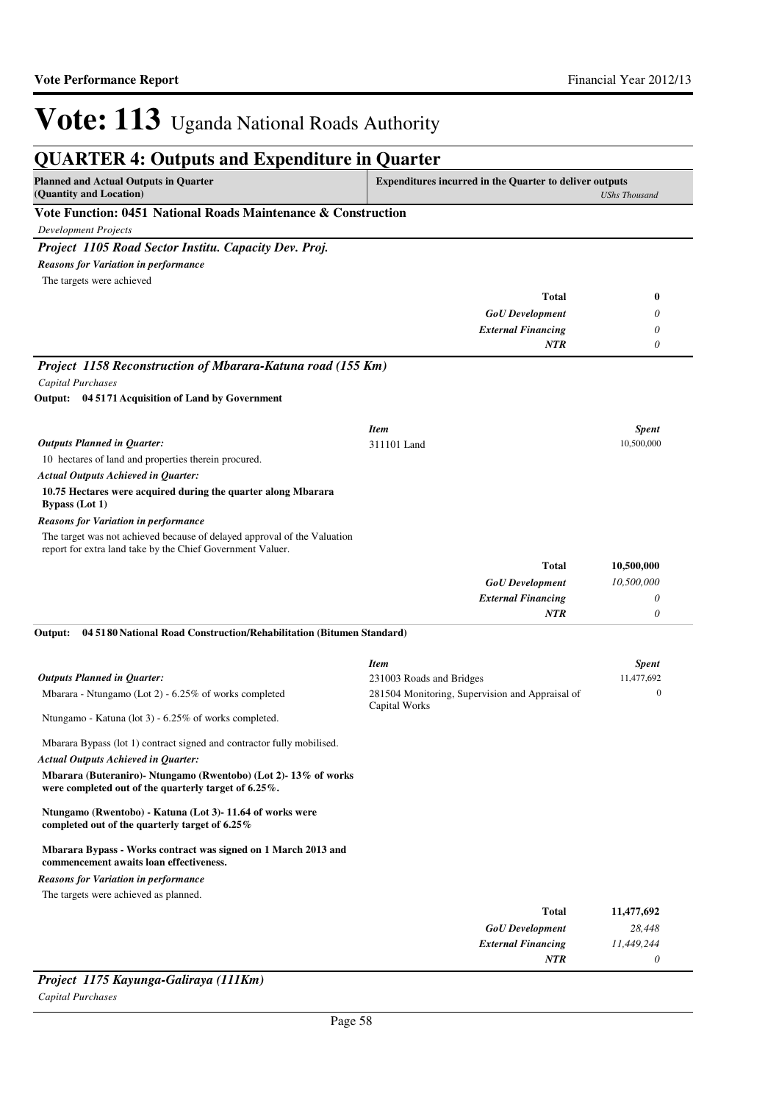*0*

*NTR*

# Vote: 113 Uganda National Roads Authority

| <b>QUARTER 4: Outputs and Expenditure in Quarter</b>                                                                                   |                                                                  |                            |
|----------------------------------------------------------------------------------------------------------------------------------------|------------------------------------------------------------------|----------------------------|
| <b>Planned and Actual Outputs in Quarter</b><br>(Quantity and Location)                                                                | <b>Expenditures incurred in the Quarter to deliver outputs</b>   | <b>UShs Thousand</b>       |
| Vote Function: 0451 National Roads Maintenance & Construction                                                                          |                                                                  |                            |
| <b>Development Projects</b>                                                                                                            |                                                                  |                            |
| Project 1105 Road Sector Institu. Capacity Dev. Proj.                                                                                  |                                                                  |                            |
| Reasons for Variation in performance                                                                                                   |                                                                  |                            |
| The targets were achieved                                                                                                              |                                                                  |                            |
|                                                                                                                                        | Total                                                            | 0                          |
|                                                                                                                                        | <b>GoU</b> Development                                           | 0                          |
|                                                                                                                                        | <b>External Financing</b><br>NTR                                 | 0                          |
| Project 1158 Reconstruction of Mbarara-Katuna road (155 Km)                                                                            |                                                                  |                            |
| Capital Purchases                                                                                                                      |                                                                  |                            |
| Output: 04 5171 Acquisition of Land by Government                                                                                      |                                                                  |                            |
|                                                                                                                                        |                                                                  |                            |
| <b>Outputs Planned in Quarter:</b>                                                                                                     | <b>Item</b><br>311101 Land                                       | <b>Spent</b><br>10,500,000 |
| 10 hectares of land and properties therein procured.                                                                                   |                                                                  |                            |
| <b>Actual Outputs Achieved in Quarter:</b>                                                                                             |                                                                  |                            |
| 10.75 Hectares were acquired during the quarter along Mbarara<br><b>Bypass</b> (Lot 1)                                                 |                                                                  |                            |
| <b>Reasons for Variation in performance</b>                                                                                            |                                                                  |                            |
| The target was not achieved because of delayed approval of the Valuation<br>report for extra land take by the Chief Government Valuer. |                                                                  |                            |
|                                                                                                                                        | Total                                                            | 10,500,000                 |
|                                                                                                                                        | <b>GoU</b> Development                                           | 10,500,000                 |
|                                                                                                                                        | <b>External Financing</b>                                        | 0                          |
| Output:                                                                                                                                | <b>NTR</b>                                                       | 0                          |
| 04 5180 National Road Construction/Rehabilitation (Bitumen Standard)                                                                   |                                                                  |                            |
|                                                                                                                                        | <b>Item</b>                                                      | <b>Spent</b>               |
| <b>Outputs Planned in Quarter:</b>                                                                                                     | 231003 Roads and Bridges                                         | 11,477,692                 |
| Mbarara - Ntungamo (Lot 2) - 6.25% of works completed                                                                                  | 281504 Monitoring, Supervision and Appraisal of<br>Capital Works | 0                          |
| Ntungamo - Katuna (lot 3) - 6.25% of works completed.                                                                                  |                                                                  |                            |
| Mbarara Bypass (lot 1) contract signed and contractor fully mobilised.                                                                 |                                                                  |                            |
| <b>Actual Outputs Achieved in Quarter:</b>                                                                                             |                                                                  |                            |
| Mbarara (Buteraniro)- Ntungamo (Rwentobo) (Lot 2)-13% of works<br>were completed out of the quarterly target of 6.25%.                 |                                                                  |                            |
| Ntungamo (Rwentobo) - Katuna (Lot 3)- 11.64 of works were<br>completed out of the quarterly target of 6.25%                            |                                                                  |                            |
| Mbarara Bypass - Works contract was signed on 1 March 2013 and<br>commencement awaits loan effectiveness.                              |                                                                  |                            |
| <b>Reasons for Variation in performance</b>                                                                                            |                                                                  |                            |
| The targets were achieved as planned.                                                                                                  |                                                                  |                            |
|                                                                                                                                        | <b>Total</b>                                                     | 11,477,692                 |
|                                                                                                                                        | <b>GoU</b> Development<br><b>External Financing</b>              | 28,448<br>11,449,244       |
|                                                                                                                                        |                                                                  |                            |

### *Project 1175 Kayunga-Galiraya (111Km)*

*Capital Purchases*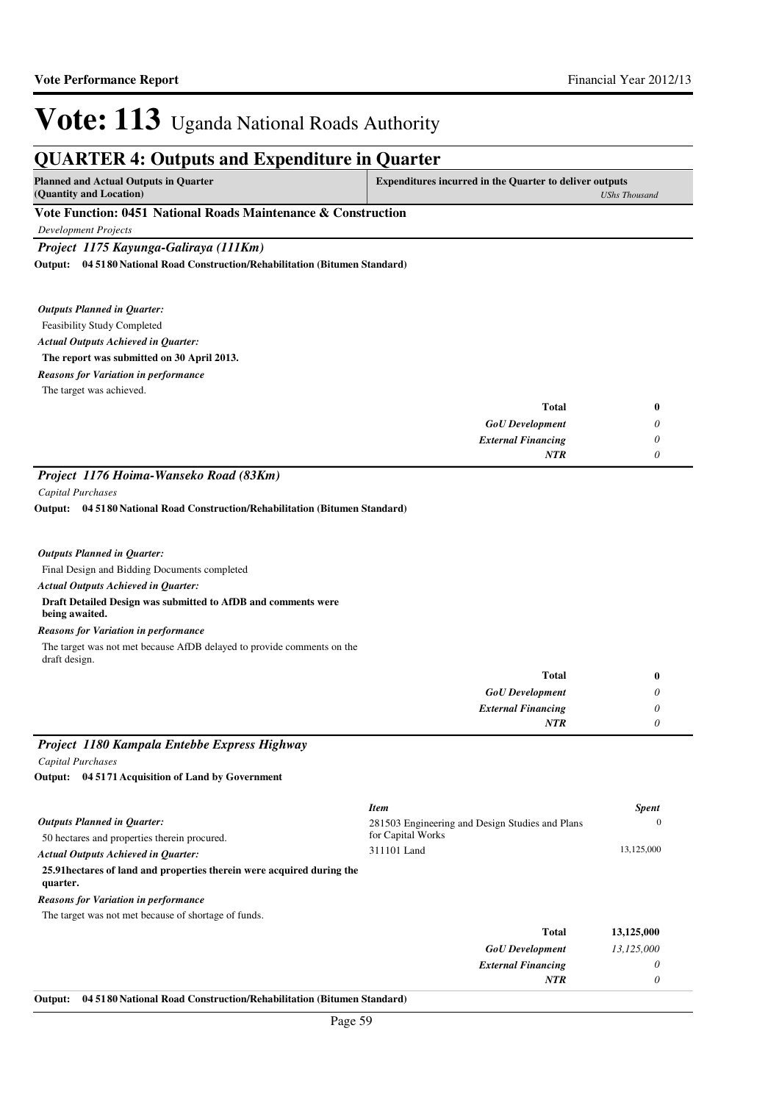*UShs Thousand*

## Vote: 113 Uganda National Roads Authority

### **QUARTER 4: Outputs and Expenditure in Quarter**

| <b>Planned and Actual Outputs in Quarter</b> | <b>Expenditures incurred in the Quarter to deliver outputs</b> |
|----------------------------------------------|----------------------------------------------------------------|
| (Quantity and Location)                      | UShsT                                                          |

### **Vote Function: 0451 National Roads Maintenance & Construction**

*Development Projects*

*Project 1175 Kayunga-Galiraya (111Km)*

**04 5180 National Road Construction/Rehabilitation (Bitumen Standard) Output:**

Feasibility Study Completed **The report was submitted on 30 April 2013.** *Actual Outputs Achieved in Quarter: Outputs Planned in Quarter:* The target was achieved. *Reasons for Variation in performance*

| Total                     |
|---------------------------|
| <b>GoU</b> Development    |
| <b>External Financing</b> |
| <b>NTR</b>                |
|                           |

### *Project 1176 Hoima-Wanseko Road (83Km)*

*Capital Purchases*

draft design.

**04 5180 National Road Construction/Rehabilitation (Bitumen Standard) Output:**

Final Design and Bidding Documents completed **Draft Detailed Design was submitted to AfDB and comments were being awaited.** *Actual Outputs Achieved in Quarter: Outputs Planned in Quarter:* The target was not met because AfDB delayed to provide comments on the *Reasons for Variation in performance*

| <b>Total</b>              |  |
|---------------------------|--|
| <b>GoU</b> Development    |  |
| <b>External Financing</b> |  |
| <b>NTR</b>                |  |

### *Project 1180 Kampala Entebbe Express Highway Capital Purchases*

**04 5171 Acquisition of Land by Government Output:**

|                                                                                    | <b>Item</b>                                                          | <b>Spent</b> |
|------------------------------------------------------------------------------------|----------------------------------------------------------------------|--------------|
| <b>Outputs Planned in Ouarter:</b><br>50 hectares and properties therein procured. | 281503 Engineering and Design Studies and Plans<br>for Capital Works | $\Omega$     |
| <b>Actual Outputs Achieved in Ouarter:</b>                                         | 311101 Land                                                          | 13,125,000   |
| 25.91 hectares of land and properties therein were acquired during the<br>quarter. |                                                                      |              |
| <b>Reasons for Variation in performance</b>                                        |                                                                      |              |
| The target was not met because of shortage of funds.                               |                                                                      |              |
|                                                                                    | <b>Total</b>                                                         | 13,125,000   |
|                                                                                    | <b>GoU</b> Development                                               | 13.125.000   |
|                                                                                    | <b>External Financing</b>                                            | 0            |
|                                                                                    | <b>NTR</b>                                                           | 0            |

#### **Output: 04 5180 National Road Construction/Rehabilitation (Bitumen Standard)**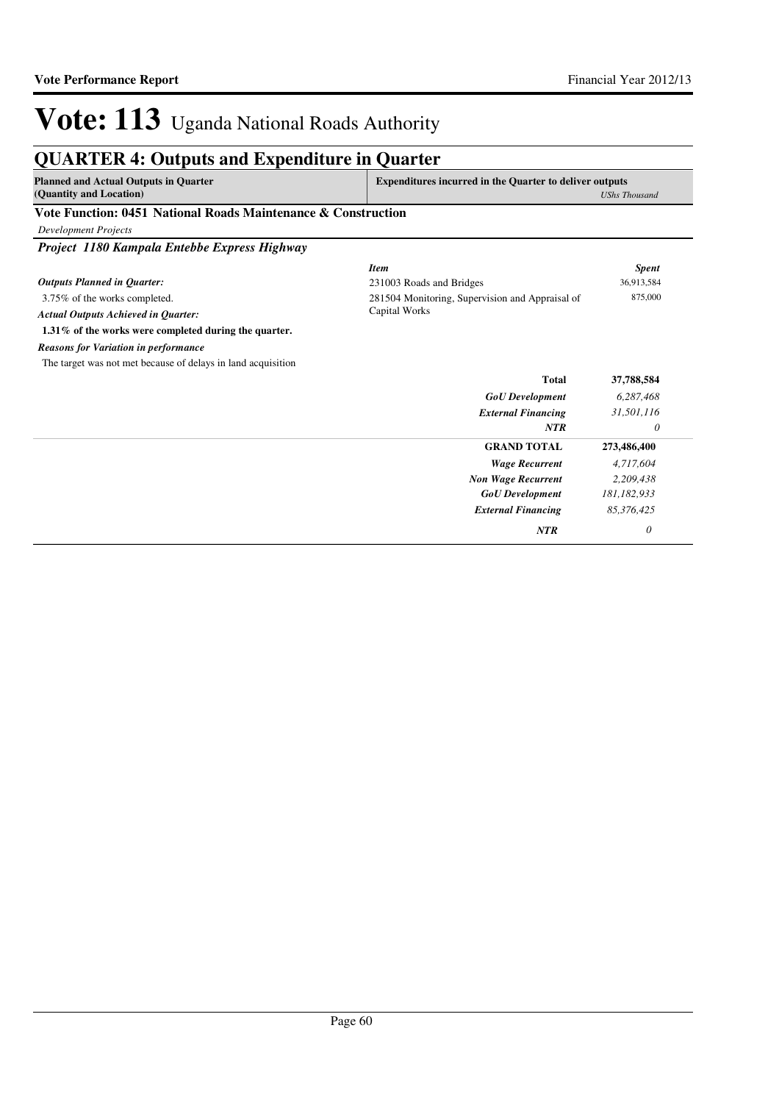## **QUARTER 4: Outputs and Expenditure in Quarter**

| <b>Planned and Actual Outputs in Quarter</b> | <b>Expenditures incurred in the Quarter to deliver outputs</b> |  |
|----------------------------------------------|----------------------------------------------------------------|--|
| (Quantity and Location)                      | UShs Thousand                                                  |  |

### **Vote Function: 0451 National Roads Maintenance & Construction**

*Development Projects*

*Project 1180 Kampala Entebbe Express Highway*

|                                                              | <b>Item</b>                                     | <b>Spent</b> |
|--------------------------------------------------------------|-------------------------------------------------|--------------|
| <b>Outputs Planned in Quarter:</b>                           | 231003 Roads and Bridges                        | 36,913,584   |
| 3.75% of the works completed.                                | 281504 Monitoring, Supervision and Appraisal of | 875,000      |
| <b>Actual Outputs Achieved in Quarter:</b>                   | Capital Works                                   |              |
| 1.31% of the works were completed during the quarter.        |                                                 |              |
| <b>Reasons for Variation in performance</b>                  |                                                 |              |
| The target was not met because of delays in land acquisition |                                                 |              |
|                                                              | <b>Total</b>                                    | 37,788,584   |
|                                                              | <b>GoU</b> Development                          | 6,287,468    |
|                                                              | <b>External Financing</b>                       | 31,501,116   |
|                                                              | <b>NTR</b>                                      | 0            |
|                                                              | <b>GRAND TOTAL</b>                              | 273,486,400  |
|                                                              | <b>Wage Recurrent</b>                           | 4,717,604    |
|                                                              | <b>Non Wage Recurrent</b>                       | 2,209,438    |
|                                                              | <b>GoU</b> Development                          | 181,182,933  |
|                                                              | <b>External Financing</b>                       | 85,376,425   |
|                                                              | <b>NTR</b>                                      | 0            |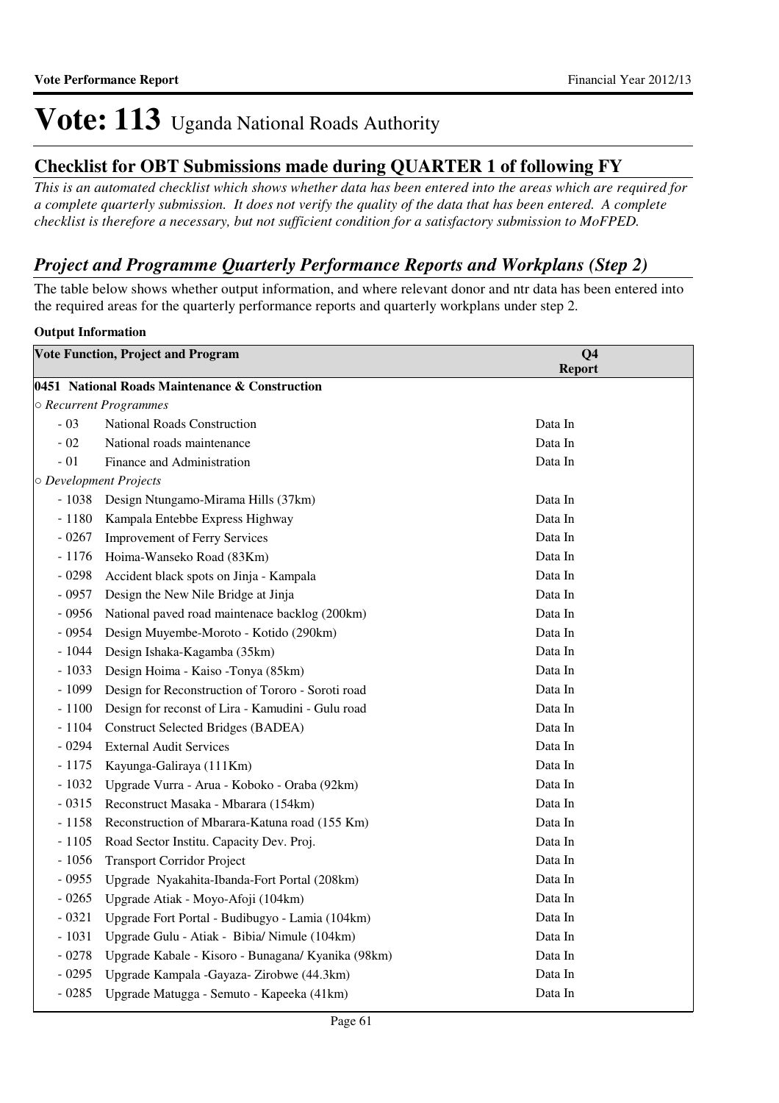### **Checklist for OBT Submissions made during QUARTER 1 of following FY**

*This is an automated checklist which shows whether data has been entered into the areas which are required for a complete quarterly submission. It does not verify the quality of the data that has been entered. A complete checklist is therefore a necessary, but not sufficient condition for a satisfactory submission to MoFPED.*

### *Project and Programme Quarterly Performance Reports and Workplans (Step 2)*

The table below shows whether output information, and where relevant donor and ntr data has been entered into the required areas for the quarterly performance reports and quarterly workplans under step 2.

### **Output Information**

| <b>Vote Function, Project and Program</b>      |                                                    | Q <sub>4</sub><br><b>Report</b> |  |  |  |  |
|------------------------------------------------|----------------------------------------------------|---------------------------------|--|--|--|--|
| 0451 National Roads Maintenance & Construction |                                                    |                                 |  |  |  |  |
| ○ Recurrent Programmes                         |                                                    |                                 |  |  |  |  |
| $-03$                                          | National Roads Construction                        | Data In                         |  |  |  |  |
| $-02$                                          | National roads maintenance                         | Data In                         |  |  |  |  |
| $-01$                                          | Finance and Administration                         | Data In                         |  |  |  |  |
|                                                | O Development Projects                             |                                 |  |  |  |  |
| $-1038$                                        | Design Ntungamo-Mirama Hills (37km)                | Data In                         |  |  |  |  |
| $-1180$                                        | Kampala Entebbe Express Highway                    | Data In                         |  |  |  |  |
| $-0267$                                        | <b>Improvement of Ferry Services</b>               | Data In                         |  |  |  |  |
| $-1176$                                        | Hoima-Wanseko Road (83Km)                          | Data In                         |  |  |  |  |
| $-0298$                                        | Accident black spots on Jinja - Kampala            | Data In                         |  |  |  |  |
| $-0957$                                        | Design the New Nile Bridge at Jinja                | Data In                         |  |  |  |  |
| $-0956$                                        | National paved road maintenace backlog (200km)     | Data In                         |  |  |  |  |
| $-0954$                                        | Design Muyembe-Moroto - Kotido (290km)             | Data In                         |  |  |  |  |
| $-1044$                                        | Design Ishaka-Kagamba (35km)                       | Data In                         |  |  |  |  |
| $-1033$                                        | Design Hoima - Kaiso -Tonya (85km)                 | Data In                         |  |  |  |  |
| $-1099$                                        | Design for Reconstruction of Tororo - Soroti road  | Data In                         |  |  |  |  |
| $-1100$                                        | Design for reconst of Lira - Kamudini - Gulu road  | Data In                         |  |  |  |  |
| $-1104$                                        | <b>Construct Selected Bridges (BADEA)</b>          | Data In                         |  |  |  |  |
| $-0294$                                        | <b>External Audit Services</b>                     | Data In                         |  |  |  |  |
| $-1175$                                        | Kayunga-Galiraya (111Km)                           | Data In                         |  |  |  |  |
| $-1032$                                        | Upgrade Vurra - Arua - Koboko - Oraba (92km)       | Data In                         |  |  |  |  |
| $-0315$                                        | Reconstruct Masaka - Mbarara (154km)               | Data In                         |  |  |  |  |
| $-1158$                                        | Reconstruction of Mbarara-Katuna road (155 Km)     | Data In                         |  |  |  |  |
| $-1105$                                        | Road Sector Institu. Capacity Dev. Proj.           | Data In                         |  |  |  |  |
| $-1056$                                        | <b>Transport Corridor Project</b>                  | Data In                         |  |  |  |  |
| $-0955$                                        | Upgrade Nyakahita-Ibanda-Fort Portal (208km)       | Data In                         |  |  |  |  |
| $-0265$                                        | Upgrade Atiak - Moyo-Afoji (104km)                 | Data In                         |  |  |  |  |
| $-0321$                                        | Upgrade Fort Portal - Budibugyo - Lamia (104km)    | Data In                         |  |  |  |  |
| $-1031$                                        | Upgrade Gulu - Atiak - Bibia/ Nimule (104km)       | Data In                         |  |  |  |  |
| $-0278$                                        | Upgrade Kabale - Kisoro - Bunagana/ Kyanika (98km) | Data In                         |  |  |  |  |
| $-0295$                                        | Upgrade Kampala -Gayaza- Zirobwe (44.3km)          | Data In                         |  |  |  |  |
| $-0285$                                        | Upgrade Matugga - Semuto - Kapeeka (41km)          | Data In                         |  |  |  |  |